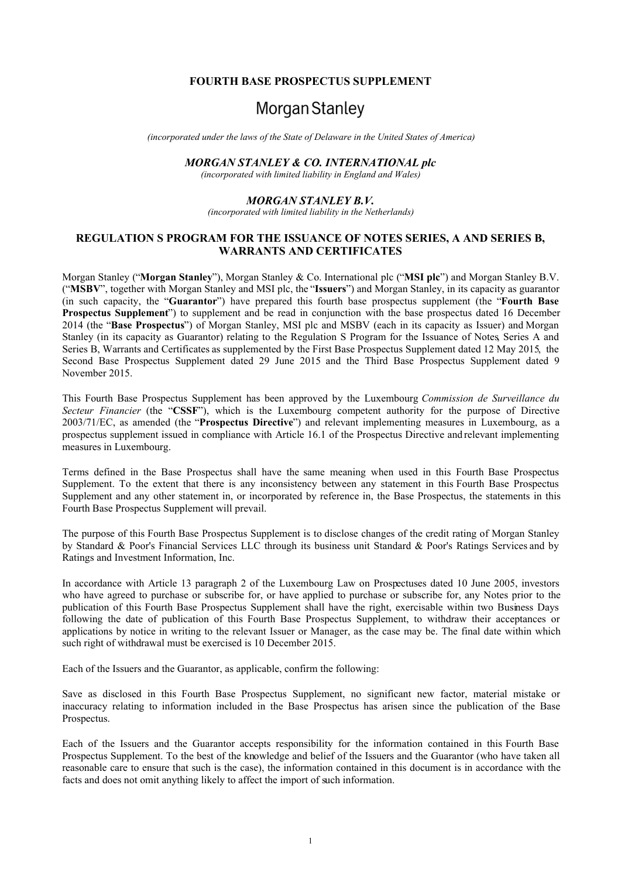## **FOURTH BASE PROSPECTUS SUPPLEMENT**

# **Morgan Stanley**

*(incorporated under the laws of the State of Delaware in the United States of America)*

# *MORGAN STANLEY & CO. INTERNATIONAL plc*

*(incorporated with limited liability in England and Wales)*

# *MORGAN STANLEY B.V.*

*(incorporated with limited liability in the Netherlands)*

# **REGULATION S PROGRAM FOR THE ISSUANCE OF NOTES SERIES, A AND SERIES B, WARRANTS AND CERTIFICATES**

Morgan Stanley ("**Morgan Stanley**"), Morgan Stanley & Co. International plc ("**MSI plc**") and Morgan Stanley B.V. ("**MSBV**", together with Morgan Stanley and MSI plc, the "**Issuers**") and Morgan Stanley, in its capacity as guarantor (in such capacity, the "**Guarantor**") have prepared this fourth base prospectus supplement (the "**Fourth Base Prospectus Supplement**") to supplement and be read in conjunction with the base prospectus dated 16 December 2014 (the "**Base Prospectus**") of Morgan Stanley, MSI plc and MSBV (each in its capacity as Issuer) and Morgan Stanley (in its capacity as Guarantor) relating to the Regulation S Program for the Issuance of Notes, Series A and Series B, Warrants and Certificates as supplemented by the First Base Prospectus Supplement dated 12 May 2015, the Second Base Prospectus Supplement dated 29 June 2015 and the Third Base Prospectus Supplement dated 9 November 2015.

This Fourth Base Prospectus Supplement has been approved by the Luxembourg *Commission de Surveillance du Secteur Financier* (the "**CSSF**"), which is the Luxembourg competent authority for the purpose of Directive 2003/71/EC, as amended (the "**Prospectus Directive**") and relevant implementing measures in Luxembourg, as a prospectus supplement issued in compliance with Article 16.1 of the Prospectus Directive and relevant implementing measures in Luxembourg.

Terms defined in the Base Prospectus shall have the same meaning when used in this Fourth Base Prospectus Supplement. To the extent that there is any inconsistency between any statement in this Fourth Base Prospectus Supplement and any other statement in, or incorporated by reference in, the Base Prospectus, the statements in this Fourth Base Prospectus Supplement will prevail.

The purpose of this Fourth Base Prospectus Supplement is to disclose changes of the credit rating of Morgan Stanley by Standard & Poor's Financial Services LLC through its business unit Standard & Poor's Ratings Services and by Ratings and Investment Information, Inc.

In accordance with Article 13 paragraph 2 of the Luxembourg Law on Prospectuses dated 10 June 2005, investors who have agreed to purchase or subscribe for, or have applied to purchase or subscribe for, any Notes prior to the publication of this Fourth Base Prospectus Supplement shall have the right, exercisable within two Business Days following the date of publication of this Fourth Base Prospectus Supplement, to withdraw their acceptances or applications by notice in writing to the relevant Issuer or Manager, as the case may be. The final date within which such right of withdrawal must be exercised is 10 December 2015.

Each of the Issuers and the Guarantor, as applicable, confirm the following:

Save as disclosed in this Fourth Base Prospectus Supplement, no significant new factor, material mistake or inaccuracy relating to information included in the Base Prospectus has arisen since the publication of the Base Prospectus.

Each of the Issuers and the Guarantor accepts responsibility for the information contained in this Fourth Base Prospectus Supplement. To the best of the knowledge and belief of the Issuers and the Guarantor (who have taken all reasonable care to ensure that such is the case), the information contained in this document is in accordance with the facts and does not omit anything likely to affect the import of such information.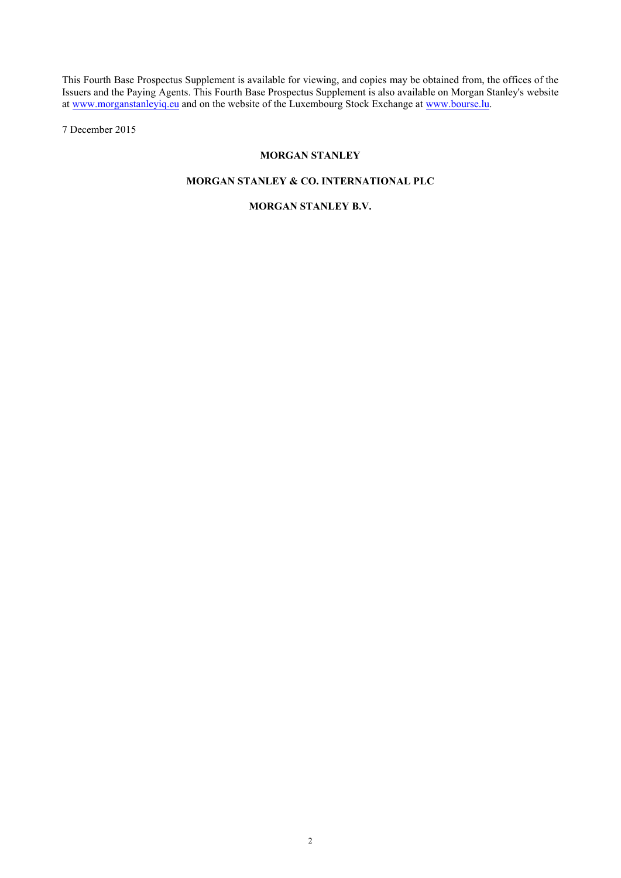This Fourth Base Prospectus Supplement is available for viewing, and copies may be obtained from, the offices of the Issuers and the Paying Agents. This Fourth Base Prospectus Supplement is also available on Morgan Stanley's website at www.morganstanleyiq.eu and on the website of the Luxembourg Stock Exchange at www.bourse.lu.

7 December 2015

## **MORGAN STANLEY**

# **MORGAN STANLEY & CO. INTERNATIONAL PLC**

## **MORGAN STANLEY B.V.**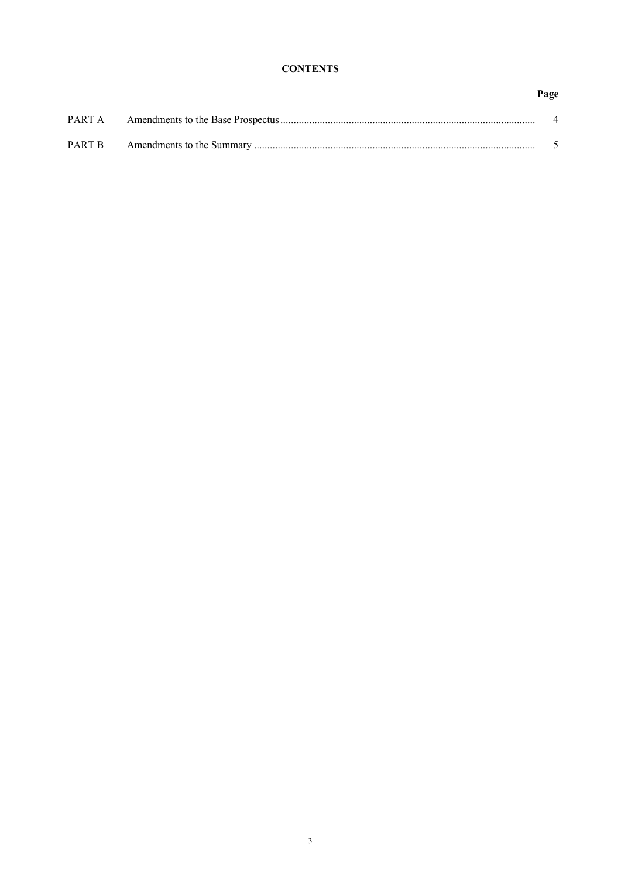# **CONTENTS**

Page

| PART A |  |
|--------|--|
| PART B |  |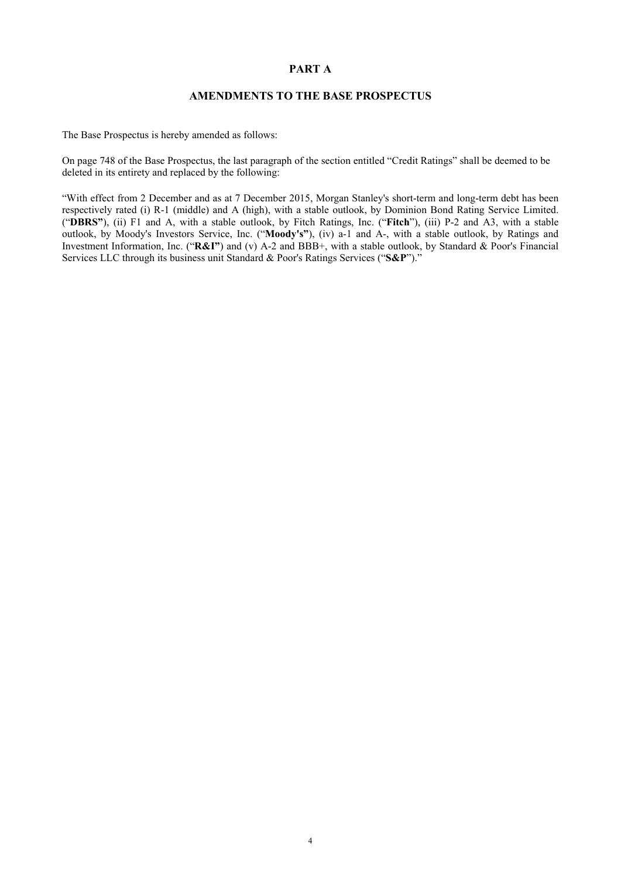## **PART A**

## **AMENDMENTS TO THE BASE PROSPECTUS**

The Base Prospectus is hereby amended as follows:

On page 748 of the Base Prospectus, the last paragraph of the section entitled "Credit Ratings" shall be deemed to be deleted in its entirety and replaced by the following:

"With effect from 2 December and as at 7 December 2015, Morgan Stanley's short-term and long-term debt has been respectively rated (i) R-1 (middle) and A (high), with a stable outlook, by Dominion Bond Rating Service Limited. ("**DBRS"**), (ii) F1 and A, with a stable outlook, by Fitch Ratings, Inc. ("**Fitch**"), (iii) P-2 and A3, with a stable outlook, by Moody's Investors Service, Inc. ("**Moody's"**), (iv) a-1 and A-, with a stable outlook, by Ratings and Investment Information, Inc. ("**R&I"**) and (v) A-2 and BBB+, with a stable outlook, by Standard & Poor's Financial Services LLC through its business unit Standard & Poor's Ratings Services ("**S&P**")."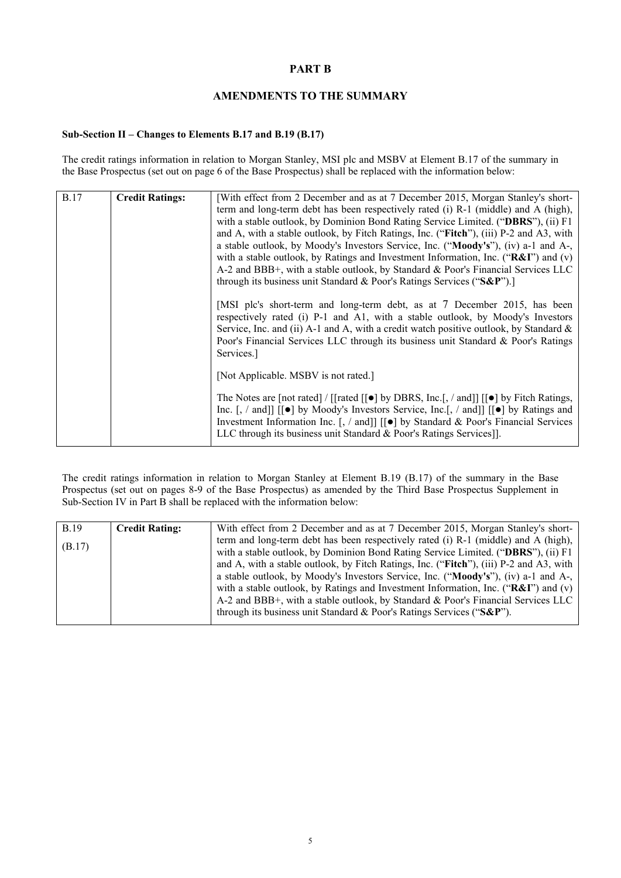# **PART B**

## **AMENDMENTS TO THE SUMMARY**

## **Sub-Section II – Changes to Elements B.17 and B.19 (B.17)**

The credit ratings information in relation to Morgan Stanley, MSI plc and MSBV at Element B.17 of the summary in the Base Prospectus (set out on page 6 of the Base Prospectus) shall be replaced with the information below:

| <b>B.17</b> | <b>Credit Ratings:</b> | [With effect from 2 December and as at 7 December 2015, Morgan Stanley's short-                                                                                                                                                                                                                                                                                                                                   |
|-------------|------------------------|-------------------------------------------------------------------------------------------------------------------------------------------------------------------------------------------------------------------------------------------------------------------------------------------------------------------------------------------------------------------------------------------------------------------|
|             |                        | term and long-term debt has been respectively rated (i) R-1 (middle) and A (high),                                                                                                                                                                                                                                                                                                                                |
|             |                        | with a stable outlook, by Dominion Bond Rating Service Limited. ("DBRS"), (ii) F1                                                                                                                                                                                                                                                                                                                                 |
|             |                        | and A, with a stable outlook, by Fitch Ratings, Inc. ("Fitch"), (iii) P-2 and A3, with                                                                                                                                                                                                                                                                                                                            |
|             |                        | a stable outlook, by Moody's Investors Service, Inc. ("Moody's"), (iv) a-1 and A-,                                                                                                                                                                                                                                                                                                                                |
|             |                        | with a stable outlook, by Ratings and Investment Information, Inc. (" $\mathbf{R}\&\mathbf{I}$ ") and (v)                                                                                                                                                                                                                                                                                                         |
|             |                        | A-2 and BBB+, with a stable outlook, by Standard & Poor's Financial Services LLC                                                                                                                                                                                                                                                                                                                                  |
|             |                        | through its business unit Standard & Poor's Ratings Services (" $S\&P$ ").]                                                                                                                                                                                                                                                                                                                                       |
|             |                        |                                                                                                                                                                                                                                                                                                                                                                                                                   |
|             |                        | [MSI plc's short-term and long-term debt, as at 7 December 2015, has been<br>respectively rated (i) P-1 and A1, with a stable outlook, by Moody's Investors<br>Service, Inc. and (ii) A-1 and A, with a credit watch positive outlook, by Standard $\&$<br>Poor's Financial Services LLC through its business unit Standard & Poor's Ratings<br>Services.                                                         |
|             |                        | [Not Applicable. MSBV is not rated.]                                                                                                                                                                                                                                                                                                                                                                              |
|             |                        | The Notes are [not rated] / [[rated $[[\bullet]]$ by DBRS, Inc.[, / and]] $[[\bullet]]$ by Fitch Ratings,<br>Inc. [, / and]] [ $\lceil \bullet \rceil$ by Moody's Investors Service, Inc. [, / and]] $\lceil \bullet \rceil$ by Ratings and<br>Investment Information Inc. [, / and]] $[[\bullet]]$ by Standard & Poor's Financial Services<br>LLC through its business unit Standard & Poor's Ratings Services]. |

The credit ratings information in relation to Morgan Stanley at Element B.19 (B.17) of the summary in the Base Prospectus (set out on pages 8-9 of the Base Prospectus) as amended by the Third Base Prospectus Supplement in Sub-Section IV in Part B shall be replaced with the information below:

| <b>B.19</b> | <b>Credit Rating:</b> | With effect from 2 December and as at 7 December 2015, Morgan Stanley's short-                            |
|-------------|-----------------------|-----------------------------------------------------------------------------------------------------------|
| (B.17)      |                       | term and long-term debt has been respectively rated (i) R-1 (middle) and A (high),                        |
|             |                       | with a stable outlook, by Dominion Bond Rating Service Limited. ("DBRS"), (ii) F1                         |
|             |                       | and A, with a stable outlook, by Fitch Ratings, Inc. ("Fitch"), (iii) P-2 and A3, with                    |
|             |                       | a stable outlook, by Moody's Investors Service, Inc. ("Moody's"), (iv) a-1 and A-,                        |
|             |                       | with a stable outlook, by Ratings and Investment Information, Inc. (" $\mathbf{R}\&\mathbf{I}$ ") and (v) |
|             |                       | A-2 and BBB+, with a stable outlook, by Standard & Poor's Financial Services LLC                          |
|             |                       | through its business unit Standard & Poor's Ratings Services (" $S\&P$ ").                                |
|             |                       |                                                                                                           |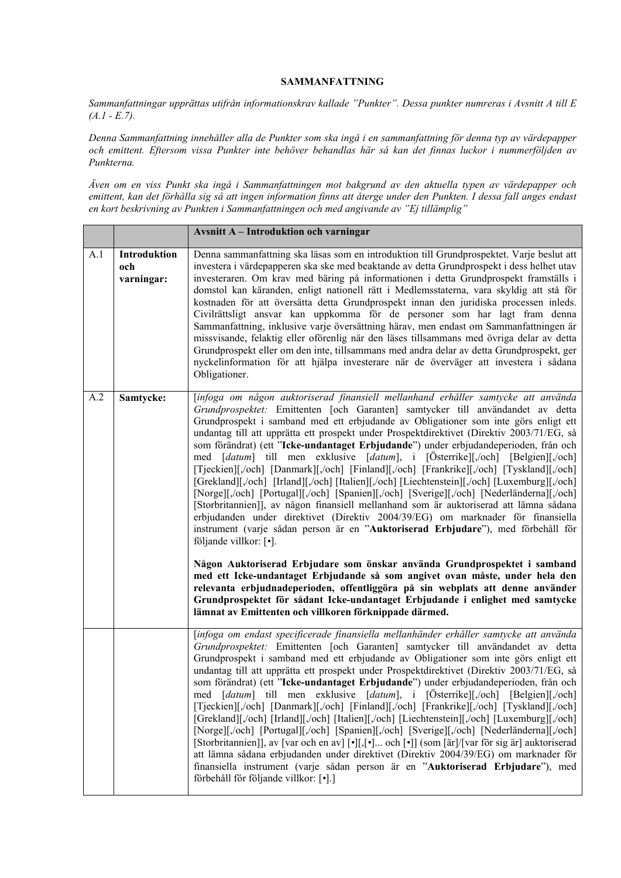#### **SAMMANFATTNING**

*Sammanfattningar upprättas utifrån informationskrav kallade "Punkter". Dessa punkter numreras i Avsnitt A till E (A.1 - E.7).* 

*Denna Sammanfattning innehåller alla de Punkter som ska ingå i en sammanfattning för denna typ av värdepapper och emittent. Eftersom vissa Punkter inte behöver behandlas här så kan det finnas luckor i nummerföljden av Punkterna.*

*Även om en viss Punkt ska ingå i Sammanfattningen mot bakgrund av den aktuella typen av värdepapper och emittent, kan det förhålla sig så att ingen information finns att återge under den Punkten. I dessa fall anges endast en kort beskrivning av Punkten i Sammanfattningen och med angivande av "Ej tillämplig"*

|     |                                   | <b>Avsnitt A - Introduktion och varningar</b>                                                                                                                                                                                                                                                                                                                                                                                                                                                                                                                                                                                                                                                                                                                                                                                                                                                                                                                                                                                                                                                                                                                                                                                                                                                                                                                        |
|-----|-----------------------------------|----------------------------------------------------------------------------------------------------------------------------------------------------------------------------------------------------------------------------------------------------------------------------------------------------------------------------------------------------------------------------------------------------------------------------------------------------------------------------------------------------------------------------------------------------------------------------------------------------------------------------------------------------------------------------------------------------------------------------------------------------------------------------------------------------------------------------------------------------------------------------------------------------------------------------------------------------------------------------------------------------------------------------------------------------------------------------------------------------------------------------------------------------------------------------------------------------------------------------------------------------------------------------------------------------------------------------------------------------------------------|
| A.1 | Introduktion<br>och<br>varningar: | Denna sammanfattning ska läsas som en introduktion till Grundprospektet. Varje beslut att<br>investera i värdepapperen ska ske med beaktande av detta Grundprospekt i dess helhet utav<br>investeraren. Om krav med bäring på informationen i detta Grundprospekt framställs i<br>domstol kan käranden, enligt nationell rätt i Medlemsstaterna, vara skyldig att stå för<br>kostnaden för att översätta detta Grundprospekt innan den juridiska processen inleds.<br>Civilrättsligt ansvar kan uppkomma för de personer som har lagt fram denna<br>Sammanfattning, inklusive varje översättning härav, men endast om Sammanfattningen är<br>missvisande, felaktig eller oförenlig när den läses tillsammans med övriga delar av detta<br>Grundprospekt eller om den inte, tillsammans med andra delar av detta Grundprospekt, ger<br>nyckelinformation för att hjälpa investerare när de överväger att investera i sådana<br>Obligationer.                                                                                                                                                                                                                                                                                                                                                                                                                          |
| A.2 | Samtycke:                         | [infoga om någon auktoriserad finansiell mellanhand erhåller samtycke att använda<br>Grundprospektet: Emittenten [och Garanten] samtycker till användandet av detta<br>Grundprospekt i samband med ett erbjudande av Obligationer som inte görs enligt ett<br>undantag till att upprätta ett prospekt under Prospektdirektivet (Direktiv 2003/71/EG, så<br>som förändrat) (ett "Icke-undantaget Erbjudande") under erbjudandeperioden, från och<br>med [datum] till men exklusive [datum], i [Österrike][,/och] [Belgien][,/och]<br>[Tjeckien][,/och] [Danmark][,/och] [Finland][,/och] [Frankrike][,/och] [Tyskland][,/och]<br>[Grekland][,/och] [Irland][,/och] [Italien][,/och] [Liechtenstein][,/och] [Luxemburg][,/och]<br>[Norge][,/och] [Portugal][,/och] [Spanien][,/och] [Sverige][,/och] [Nederländerna][,/och]<br>[Storbritannien]], av någon finansiell mellanhand som är auktoriserad att lämna sådana<br>erbjudanden under direktivet (Direktiv 2004/39/EG) om marknader för finansiella<br>instrument (varje sådan person är en "Auktoriserad Erbjudare"), med förbehåll för<br>följande villkor: [•].<br>Någon Auktoriserad Erbjudare som önskar använda Grundprospektet i samband<br>med ett Icke-undantaget Erbjudande så som angivet ovan måste, under hela den<br>relevanta erbjudnadeperioden, offentliggöra på sin webplats att denne använder |
|     |                                   | Grundprospektet för sådant Icke-undantaget Erbjudande i enlighet med samtycke<br>lämnat av Emittenten och villkoren förknippade därmed.                                                                                                                                                                                                                                                                                                                                                                                                                                                                                                                                                                                                                                                                                                                                                                                                                                                                                                                                                                                                                                                                                                                                                                                                                              |
|     |                                   | [infoga om endast specificerade finansiella mellanhänder erhåller samtycke att använda<br>Grundprospektet: Emittenten [och Garanten] samtycker till användandet av detta<br>Grundprospekt i samband med ett erbjudande av Obligationer som inte görs enligt ett<br>undantag till att upprätta ett prospekt under Prospektdirektivet (Direktiv 2003/71/EG, så<br>som förändrat) (ett "Icke-undantaget Erbjudande") under erbjudandeperioden, från och<br>med [datum] till men exklusive [datum], i [Österrike][/och] [Belgien][/och]<br>[Tjeckien][,/och] [Danmark][,/och] [Finland][,/och] [Frankrike][,/och] [Tyskland][,/och]<br>[Grekland][,/och] [Irland][,/och] [Italien][,/och] [Liechtenstein][,/och] [Luxemburg][,/och]<br>[Norge][,/och] [Portugal][,/och] [Spanien][,/och] [Sverige][,/och] [Nederländerna][,/och]<br>[Storbritannien]], av [var och en av] [•][,[•] och [•]] (som [är]/[var för sig är] auktoriserad<br>att lämna sådana erbjudanden under direktivet (Direktiv 2004/39/EG) om marknader för<br>finansiella instrument (varje sådan person är en "Auktoriserad Erbjudare"), med<br>förbehåll för följande villkor: [•].]                                                                                                                                                                                                                  |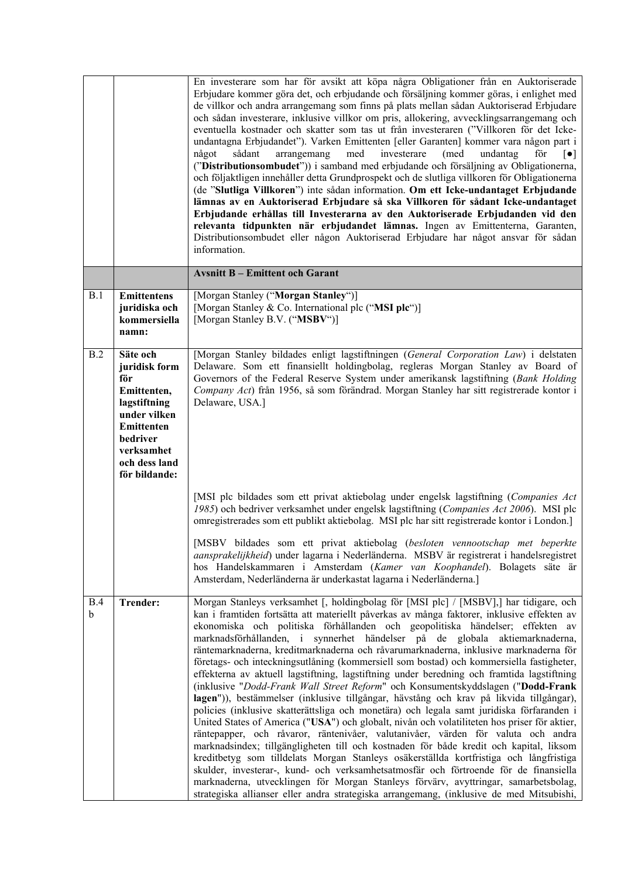|          |                                                                                                                                                           | En investerare som har för avsikt att köpa några Obligationer från en Auktoriserade<br>Erbjudare kommer göra det, och erbjudande och försäljning kommer göras, i enlighet med<br>de villkor och andra arrangemang som finns på plats mellan sådan Auktoriserad Erbjudare<br>och sådan investerare, inklusive villkor om pris, allokering, avvecklingsarrangemang och<br>eventuella kostnader och skatter som tas ut från investeraren ("Villkoren för det Icke-<br>undantagna Erbjudandet"). Varken Emittenten [eller Garanten] kommer vara någon part i<br>investerare<br>något<br>sådant<br>arrangemang<br>med<br>(med<br>undantag<br>för<br>$\lceil \bullet \rceil$<br>("Distributionsombudet")) i samband med erbjudande och försäljning av Obligationerna,<br>och följaktligen innehåller detta Grundprospekt och de slutliga villkoren för Obligationerna<br>(de "Slutliga Villkoren") inte sådan information. Om ett Icke-undantaget Erbjudande<br>lämnas av en Auktoriserad Erbjudare så ska Villkoren för sådant Icke-undantaget<br>Erbjudande erhållas till Investerarna av den Auktoriserade Erbjudanden vid den<br>relevanta tidpunkten när erbjudandet lämnas. Ingen av Emittenterna, Garanten,<br>Distributionsombudet eller någon Auktoriserad Erbjudare har något ansvar för sådan<br>information.                                                                                                                                                                                                                                                    |
|----------|-----------------------------------------------------------------------------------------------------------------------------------------------------------|-----------------------------------------------------------------------------------------------------------------------------------------------------------------------------------------------------------------------------------------------------------------------------------------------------------------------------------------------------------------------------------------------------------------------------------------------------------------------------------------------------------------------------------------------------------------------------------------------------------------------------------------------------------------------------------------------------------------------------------------------------------------------------------------------------------------------------------------------------------------------------------------------------------------------------------------------------------------------------------------------------------------------------------------------------------------------------------------------------------------------------------------------------------------------------------------------------------------------------------------------------------------------------------------------------------------------------------------------------------------------------------------------------------------------------------------------------------------------------------------------------------------------------------------------------------------------|
|          |                                                                                                                                                           | <b>Avsnitt B - Emittent och Garant</b>                                                                                                                                                                                                                                                                                                                                                                                                                                                                                                                                                                                                                                                                                                                                                                                                                                                                                                                                                                                                                                                                                                                                                                                                                                                                                                                                                                                                                                                                                                                                |
| B.1      | <b>Emittentens</b><br>juridiska och<br>kommersiella<br>namn:                                                                                              | [Morgan Stanley ("Morgan Stanley")]<br>[Morgan Stanley & Co. International plc ("MSI plc")]<br>[Morgan Stanley B.V. ("MSBV")]                                                                                                                                                                                                                                                                                                                                                                                                                                                                                                                                                                                                                                                                                                                                                                                                                                                                                                                                                                                                                                                                                                                                                                                                                                                                                                                                                                                                                                         |
| B.2      | Säte och<br>juridisk form<br>för<br>Emittenten,<br>lagstiftning<br>under vilken<br>Emittenten<br>bedriver<br>verksamhet<br>och dess land<br>för bildande: | [Morgan Stanley bildades enligt lagstiftningen (General Corporation Law) i delstaten<br>Delaware. Som ett finansiellt holdingbolag, regleras Morgan Stanley av Board of<br>Governors of the Federal Reserve System under amerikansk lagstiftning (Bank Holding<br>Company Act) från 1956, så som förändrad. Morgan Stanley har sitt registrerade kontor i<br>Delaware, USA.]                                                                                                                                                                                                                                                                                                                                                                                                                                                                                                                                                                                                                                                                                                                                                                                                                                                                                                                                                                                                                                                                                                                                                                                          |
|          |                                                                                                                                                           | [MSI plc bildades som ett privat aktiebolag under engelsk lagstiftning (Companies Act<br>1985) och bedriver verksamhet under engelsk lagstiftning (Companies Act 2006). MSI plc<br>omregistrerades som ett publikt aktiebolag. MSI plc har sitt registrerade kontor i London.]<br>[MSBV bildades som ett privat aktiebolag (besloten vennootschap met beperkte                                                                                                                                                                                                                                                                                                                                                                                                                                                                                                                                                                                                                                                                                                                                                                                                                                                                                                                                                                                                                                                                                                                                                                                                        |
|          |                                                                                                                                                           | aansprakelijkheid) under lagarna i Nederländerna. MSBV är registrerat i handelsregistret<br>hos Handelskammaren i Amsterdam (Kamer van Koophandel). Bolagets säte är<br>Amsterdam, Nederländerna är underkastat lagarna i Nederländerna.]                                                                                                                                                                                                                                                                                                                                                                                                                                                                                                                                                                                                                                                                                                                                                                                                                                                                                                                                                                                                                                                                                                                                                                                                                                                                                                                             |
| B.4<br>b | <b>Trender:</b>                                                                                                                                           | Morgan Stanleys verksamhet [, holdingbolag för [MSI plc] / [MSBV],] har tidigare, och<br>kan i framtiden fortsätta att materiellt påverkas av många faktorer, inklusive effekten av<br>ekonomiska och politiska förhållanden och geopolitiska händelser; effekten av<br>marknadsförhållanden, i synnerhet händelser på de globala aktiemarknaderna,<br>räntemarknaderna, kreditmarknaderna och råvarumarknaderna, inklusive marknaderna för<br>företags- och inteckningsutlåning (kommersiell som bostad) och kommersiella fastigheter,<br>effekterna av aktuell lagstiftning, lagstiftning under beredning och framtida lagstiftning<br>(inklusive "Dodd-Frank Wall Street Reform" och Konsumentskyddslagen ("Dodd-Frank<br>lagen")), bestämmelser (inklusive tillgångar, hävstång och krav på likvida tillgångar),<br>policies (inklusive skatterättsliga och monetära) och legala samt juridiska förfaranden i<br>United States of America ("USA") och globalt, nivån och volatiliteten hos priser för aktier,<br>räntepapper, och råvaror, räntenivåer, valutanivåer, värden för valuta och andra<br>marknadsindex; tillgängligheten till och kostnaden för både kredit och kapital, liksom<br>kreditbetyg som tilldelats Morgan Stanleys osäkerställda kortfristiga och långfristiga<br>skulder, investerar-, kund- och verksamhetsatmosfär och förtroende för de finansiella<br>marknaderna, utvecklingen för Morgan Stanleys förvärv, avyttringar, samarbetsbolag,<br>strategiska allianser eller andra strategiska arrangemang, (inklusive de med Mitsubishi, |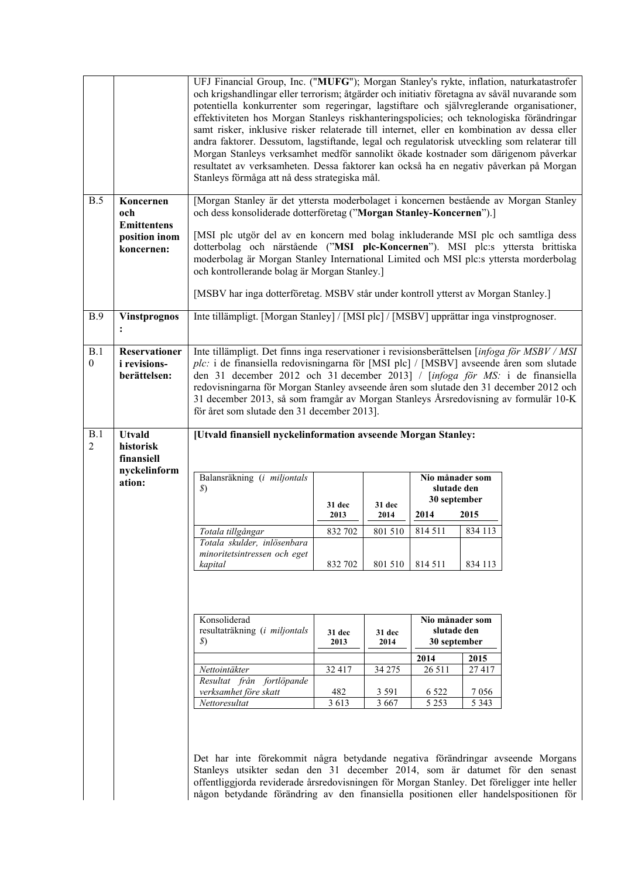|                       |                                                      | UFJ Financial Group, Inc. ("MUFG"); Morgan Stanley's rykte, inflation, naturkatastrofer<br>och krigshandlingar eller terrorism; åtgärder och initiativ företagna av såväl nuvarande som<br>potentiella konkurrenter som regeringar, lagstiftare och självreglerande organisationer,<br>effektiviteten hos Morgan Stanleys riskhanteringspolicies; och teknologiska förändringar<br>samt risker, inklusive risker relaterade till internet, eller en kombination av dessa eller<br>andra faktorer. Dessutom, lagstiftande, legal och regulatorisk utveckling som relaterar till<br>Morgan Stanleys verksamhet medför sannolikt ökade kostnader som därigenom påverkar<br>resultatet av verksamheten. Dessa faktorer kan också ha en negativ påverkan på Morgan<br>Stanleys förmåga att nå dess strategiska mål. |                |                 |                                                        |                    |  |
|-----------------------|------------------------------------------------------|----------------------------------------------------------------------------------------------------------------------------------------------------------------------------------------------------------------------------------------------------------------------------------------------------------------------------------------------------------------------------------------------------------------------------------------------------------------------------------------------------------------------------------------------------------------------------------------------------------------------------------------------------------------------------------------------------------------------------------------------------------------------------------------------------------------|----------------|-----------------|--------------------------------------------------------|--------------------|--|
| B.5                   | Koncernen<br>och<br><b>Emittentens</b>               | [Morgan Stanley är det yttersta moderbolaget i koncernen bestående av Morgan Stanley<br>och dess konsoliderade dotterföretag ("Morgan Stanley-Koncernen").]                                                                                                                                                                                                                                                                                                                                                                                                                                                                                                                                                                                                                                                    |                |                 |                                                        |                    |  |
|                       | position inom<br>koncernen:                          | [MSI plc utgör del av en koncern med bolag inkluderande MSI plc och samtliga dess<br>dotterbolag och närstående ("MSI plc-Koncernen"). MSI plc:s yttersta brittiska<br>moderbolag är Morgan Stanley International Limited och MSI plc:s yttersta morderbolag<br>och kontrollerande bolag är Morgan Stanley.]                                                                                                                                                                                                                                                                                                                                                                                                                                                                                                   |                |                 |                                                        |                    |  |
|                       |                                                      | [MSBV har inga dotterföretag. MSBV står under kontroll ytterst av Morgan Stanley.]                                                                                                                                                                                                                                                                                                                                                                                                                                                                                                                                                                                                                                                                                                                             |                |                 |                                                        |                    |  |
| B.9                   | <b>Vinstprognos</b>                                  | Inte tillämpligt. [Morgan Stanley] / [MSI plc] / [MSBV] upprättar inga vinstprognoser.                                                                                                                                                                                                                                                                                                                                                                                                                                                                                                                                                                                                                                                                                                                         |                |                 |                                                        |                    |  |
| B.1<br>0              | <b>Reservationer</b><br>i revisions-<br>berättelsen: | Inte tillämpligt. Det finns inga reservationer i revisionsberättelsen [infoga för MSBV / MSI<br>$plc$ : i de finansiella redovisningarna för [MSI plc] / [MSBV] avseende åren som slutade<br>den 31 december 2012 och 31 december 2013] / [infoga för MS: i de finansiella<br>redovisningarna för Morgan Stanley avseende åren som slutade den 31 december 2012 och<br>31 december 2013, så som framgår av Morgan Stanleys Årsredovisning av formulär 10-K<br>för året som slutade den 31 december 2013].                                                                                                                                                                                                                                                                                                      |                |                 |                                                        |                    |  |
| B.1<br>$\overline{c}$ | <b>Utvald</b><br>historisk<br>finansiell             | [Utvald finansiell nyckelinformation avseende Morgan Stanley:                                                                                                                                                                                                                                                                                                                                                                                                                                                                                                                                                                                                                                                                                                                                                  |                |                 |                                                        |                    |  |
|                       | nyckelinform<br>ation:                               | Balansräkning (i miljontals<br>$\mathcal{S}$                                                                                                                                                                                                                                                                                                                                                                                                                                                                                                                                                                                                                                                                                                                                                                   | 31 dec<br>2013 | 31 dec<br>2014  | Nio månader som<br>slutade den<br>30 september<br>2014 | 2015               |  |
|                       |                                                      | Totala tillgångar                                                                                                                                                                                                                                                                                                                                                                                                                                                                                                                                                                                                                                                                                                                                                                                              | 832 702        | 801 510         | 814 511                                                | 834 113            |  |
|                       |                                                      | Totala skulder, inlösenbara<br>minoritetsintressen och eget<br>kapital                                                                                                                                                                                                                                                                                                                                                                                                                                                                                                                                                                                                                                                                                                                                         | 832 702        | 801 510         | 814 511                                                | 834 113            |  |
|                       |                                                      | Konsoliderad                                                                                                                                                                                                                                                                                                                                                                                                                                                                                                                                                                                                                                                                                                                                                                                                   |                |                 | Nio månader som                                        |                    |  |
|                       |                                                      | resultaträkning (i miljontals<br>$\mathcal{S}$                                                                                                                                                                                                                                                                                                                                                                                                                                                                                                                                                                                                                                                                                                                                                                 | 31 dec<br>2013 | 31 dec<br>2014  | slutade den<br>30 september                            |                    |  |
|                       |                                                      |                                                                                                                                                                                                                                                                                                                                                                                                                                                                                                                                                                                                                                                                                                                                                                                                                |                |                 | 2014                                                   | 2015               |  |
|                       |                                                      | Nettointäkter<br>Resultat från fortlöpande                                                                                                                                                                                                                                                                                                                                                                                                                                                                                                                                                                                                                                                                                                                                                                     | 32 417         | 34 275          | 26 5 11                                                | 27417              |  |
|                       |                                                      | verksamhet före skatt<br>Nettoresultat                                                                                                                                                                                                                                                                                                                                                                                                                                                                                                                                                                                                                                                                                                                                                                         | 482<br>3 6 1 3 | 3 5 9 1<br>3667 | 6 5 2 2<br>5 2 5 3                                     | 7 0 5 6<br>5 3 4 3 |  |
|                       |                                                      | Det har inte förekommit några betydande negativa förändringar avseende Morgans<br>Stanleys utsikter sedan den 31 december 2014, som är datumet för den senast<br>offentliggjorda reviderade årsredovisningen för Morgan Stanley. Det föreligger inte heller<br>någon betydande förändring av den finansiella positionen eller handelspositionen för                                                                                                                                                                                                                                                                                                                                                                                                                                                            |                |                 |                                                        |                    |  |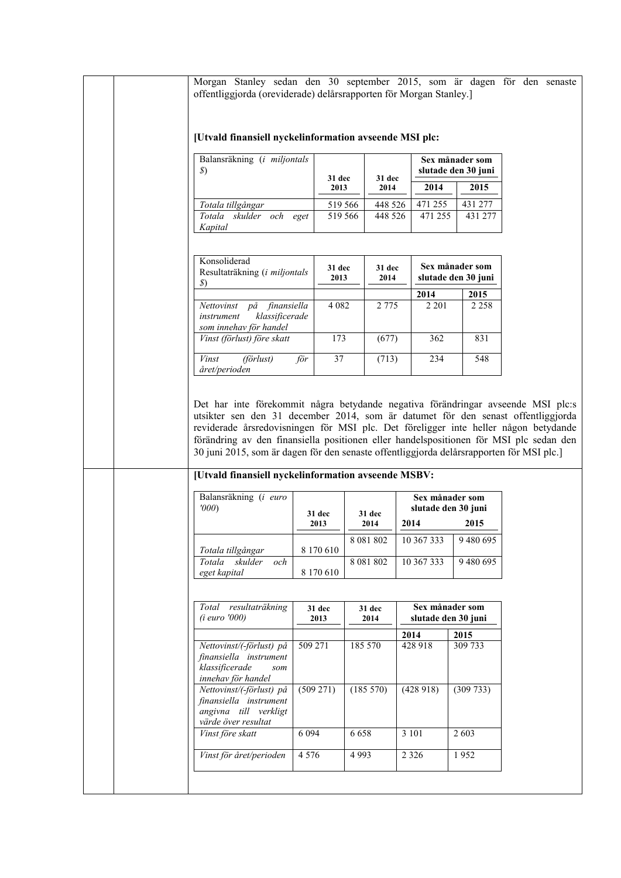Morgan Stanley sedan den 30 september 2015, som är dagen för den senaste offentliggjorda (oreviderade) delårsrapporten för Morgan Stanley.]

#### **[Utvald finansiell nyckelinformation avseende MSI plc:**

| Balansräkning ( <i>i miljontals</i><br>$\mathcal{S}$ | 31 dec  | 31 dec  | Sex månader som<br>slutade den 30 juni |         |
|------------------------------------------------------|---------|---------|----------------------------------------|---------|
|                                                      | 2013    | 2014    | 2014                                   | 2015    |
| Totala tillgångar                                    | 519 566 | 448 526 | 471 255                                | 431 277 |
| skulder<br>och<br>Totala<br>eget                     | 519 566 | 448 526 | 471 255                                | 431 277 |
| Kapital                                              |         |         |                                        |         |

| Konsoliderad<br>Resultaträkning (i miljontals<br>$\mathcal{S}$                                | <b>31 dec</b><br>2013 | <b>31 dec</b><br>2014 | Sex månader som<br>slutade den 30 juni |         |
|-----------------------------------------------------------------------------------------------|-----------------------|-----------------------|----------------------------------------|---------|
|                                                                                               |                       |                       | 2014                                   | 2015    |
| på finansiella<br><b>Nettovinst</b><br>klassificerade<br>instrument<br>som innehav för handel | 4 0 8 2               | 2 7 7 5               | 2 2 0 1                                | 2 2 5 8 |
| Vinst (förlust) före skatt                                                                    | 173                   | (677)                 | 362                                    | 831     |
| (förlust)<br>för<br>Vinst<br>året/perioden                                                    | 37                    | (713)                 | 234                                    | 548     |

Det har inte förekommit några betydande negativa förändringar avseende MSI plc:s utsikter sen den 31 december 2014, som är datumet för den senast offentliggjorda reviderade årsredovisningen för MSI plc. Det föreligger inte heller någon betydande förändring av den finansiella positionen eller handelspositionen för MSI plc sedan den 30 juni 2015, som är dagen för den senaste offentliggjorda delårsrapporten för MSI plc.]

## **[Utvald finansiell nyckelinformation avseende MSBV:**

| Balansräkning (i euro<br>'000 | 31 dec<br>2013 | 31 dec<br>2014 | Sex månader som<br>slutade den 30 juni<br>2014 | 2015      |
|-------------------------------|----------------|----------------|------------------------------------------------|-----------|
|                               |                | 8 0 8 1 8 0 2  | 10 367 333                                     | 9480695   |
| Totala tillgångar             | 8 170 610      |                |                                                |           |
| och<br>Totala<br>skulder      |                | 8 0 8 1 8 0 2  | 10 367 333                                     | 9 480 695 |
| eget kapital                  | 8 170 610      |                |                                                |           |

| resultaträkning<br>Total<br>$(i$ euro '000)                                                        | 31 dec<br><b>31 dec</b><br>2013<br>2014 |           | Sex månader som<br>slutade den 30 juni |          |
|----------------------------------------------------------------------------------------------------|-----------------------------------------|-----------|----------------------------------------|----------|
|                                                                                                    |                                         |           | 2014                                   | 2015     |
| Nettovinst/(-förlust) på<br>finansiella instrument<br>klassificerade<br>som<br>innehav för handel  | 509 271                                 | 185 570   | 428 918                                | 309 733  |
| Nettovinst/(-förlust) på<br>finansiella instrument<br>angivna till verkligt<br>värde över resultat | (509 271)                               | (185 570) | (428918)                               | (309733) |
| Vinst före skatt                                                                                   | 6 0 9 4                                 | 6.658     | 3 1 0 1                                | 2 603    |
| Vinst för året/perioden                                                                            | 4 5 7 6                                 | 4993      | 2 3 2 6                                | 1952     |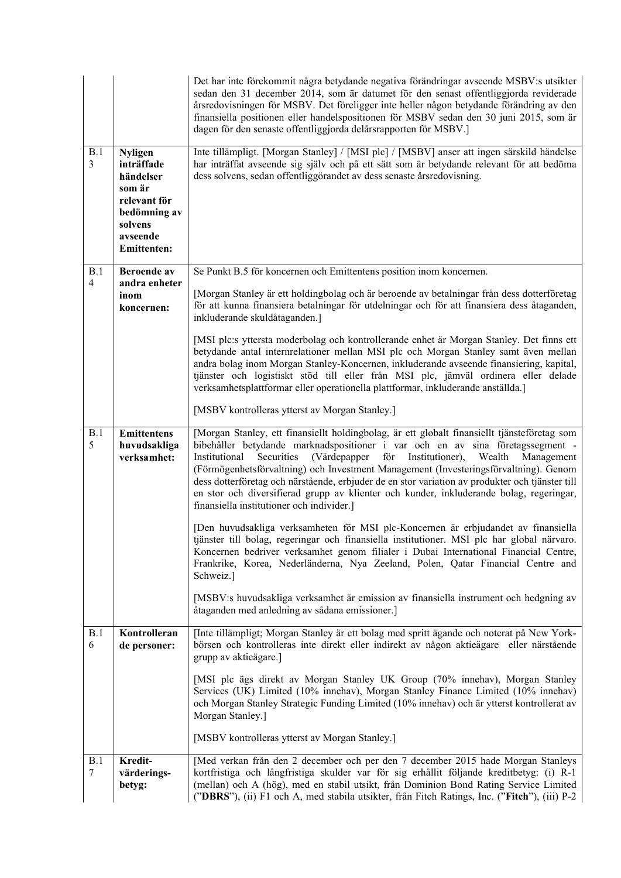|          |                                                                                                                                  | Det har inte förekommit några betydande negativa förändringar avseende MSBV:s utsikter<br>sedan den 31 december 2014, som är datumet för den senast offentliggjorda reviderade<br>årsredovisningen för MSBV. Det föreligger inte heller någon betydande förändring av den<br>finansiella positionen eller handelspositionen för MSBV sedan den 30 juni 2015, som är<br>dagen för den senaste offentliggjorda delårsrapporten för MSBV.]                                                                                                                                                                         |
|----------|----------------------------------------------------------------------------------------------------------------------------------|-----------------------------------------------------------------------------------------------------------------------------------------------------------------------------------------------------------------------------------------------------------------------------------------------------------------------------------------------------------------------------------------------------------------------------------------------------------------------------------------------------------------------------------------------------------------------------------------------------------------|
| B.1<br>3 | <b>Nyligen</b><br>inträffade<br>händelser<br>som är<br>relevant för<br>bedömning av<br>solvens<br>avseende<br><b>Emittenten:</b> | Inte tillämpligt. [Morgan Stanley] / [MSI plc] / [MSBV] anser att ingen särskild händelse<br>har inträffat avseende sig själv och på ett sätt som är betydande relevant för att bedöma<br>dess solvens, sedan offentliggörandet av dess senaste årsredovisning.                                                                                                                                                                                                                                                                                                                                                 |
| B.1<br>4 | <b>Beroende</b> av<br>andra enheter                                                                                              | Se Punkt B.5 för koncernen och Emittentens position inom koncernen.                                                                                                                                                                                                                                                                                                                                                                                                                                                                                                                                             |
|          | inom<br>koncernen:                                                                                                               | [Morgan Stanley är ett holdingbolag och är beroende av betalningar från dess dotterföretag<br>för att kunna finansiera betalningar för utdelningar och för att finansiera dess åtaganden,<br>inkluderande skuldåtaganden.]                                                                                                                                                                                                                                                                                                                                                                                      |
|          |                                                                                                                                  | [MSI plc:s yttersta moderbolag och kontrollerande enhet är Morgan Stanley. Det finns ett<br>betydande antal internrelationer mellan MSI plc och Morgan Stanley samt även mellan<br>andra bolag inom Morgan Stanley-Koncernen, inkluderande avseende finansiering, kapital,<br>tjänster och logistiskt stöd till eller från MSI plc, jämväl ordinera eller delade<br>verksamhetsplattformar eller operationella plattformar, inkluderande anställda.]                                                                                                                                                            |
|          |                                                                                                                                  | [MSBV kontrolleras ytterst av Morgan Stanley.]                                                                                                                                                                                                                                                                                                                                                                                                                                                                                                                                                                  |
| B.1<br>5 | <b>Emittentens</b><br>huvudsakliga<br>verksamhet:                                                                                | [Morgan Stanley, ett finansiellt holdingbolag, är ett globalt finansiellt tjänsteföretag som<br>bibehåller betydande marknadspositioner i var och en av sina företagssegment -<br>Securities<br>(Värdepapper<br>för Institutioner),<br>Institutional<br>Wealth<br>Management<br>(Förmögenhetsförvaltning) och Investment Management (Investeringsförvaltning). Genom<br>dess dotterföretag och närstående, erbjuder de en stor variation av produkter och tjänster till<br>en stor och diversifierad grupp av klienter och kunder, inkluderande bolag, regeringar,<br>finansiella institutioner och individer.] |
|          |                                                                                                                                  | [Den huvudsakliga verksamheten för MSI plc-Koncernen är erbjudandet av finansiella<br>tjänster till bolag, regeringar och finansiella institutioner. MSI plc har global närvaro.<br>Koncernen bedriver verksamhet genom filialer i Dubai International Financial Centre,<br>Frankrike, Korea, Nederländerna, Nya Zeeland, Polen, Qatar Financial Centre and<br>Schweiz.]                                                                                                                                                                                                                                        |
|          |                                                                                                                                  | [MSBV:s huvudsakliga verksamhet är emission av finansiella instrument och hedgning av<br>åtaganden med anledning av sådana emissioner.]                                                                                                                                                                                                                                                                                                                                                                                                                                                                         |
| B.1<br>6 | Kontrolleran<br>de personer:                                                                                                     | [Inte tillämpligt; Morgan Stanley är ett bolag med spritt ägande och noterat på New York-<br>börsen och kontrolleras inte direkt eller indirekt av någon aktieägare eller närstående<br>grupp av aktieägare.]                                                                                                                                                                                                                                                                                                                                                                                                   |
|          |                                                                                                                                  | [MSI plc ägs direkt av Morgan Stanley UK Group (70% innehav), Morgan Stanley<br>Services (UK) Limited (10% innehav), Morgan Stanley Finance Limited (10% innehav)<br>och Morgan Stanley Strategic Funding Limited (10% innehav) och är ytterst kontrollerat av<br>Morgan Stanley.]                                                                                                                                                                                                                                                                                                                              |
|          |                                                                                                                                  | [MSBV kontrolleras ytterst av Morgan Stanley.]                                                                                                                                                                                                                                                                                                                                                                                                                                                                                                                                                                  |
| B.1<br>7 | Kredit-<br>värderings-<br>betyg:                                                                                                 | [Med verkan från den 2 december och per den 7 december 2015 hade Morgan Stanleys<br>kortfristiga och långfristiga skulder var för sig erhållit följande kreditbetyg: (i) R-1<br>(mellan) och A (hög), med en stabil utsikt, från Dominion Bond Rating Service Limited<br>("DBRS"), (ii) F1 och A, med stabila utsikter, från Fitch Ratings, Inc. ("Fitch"), (iii) P-2                                                                                                                                                                                                                                           |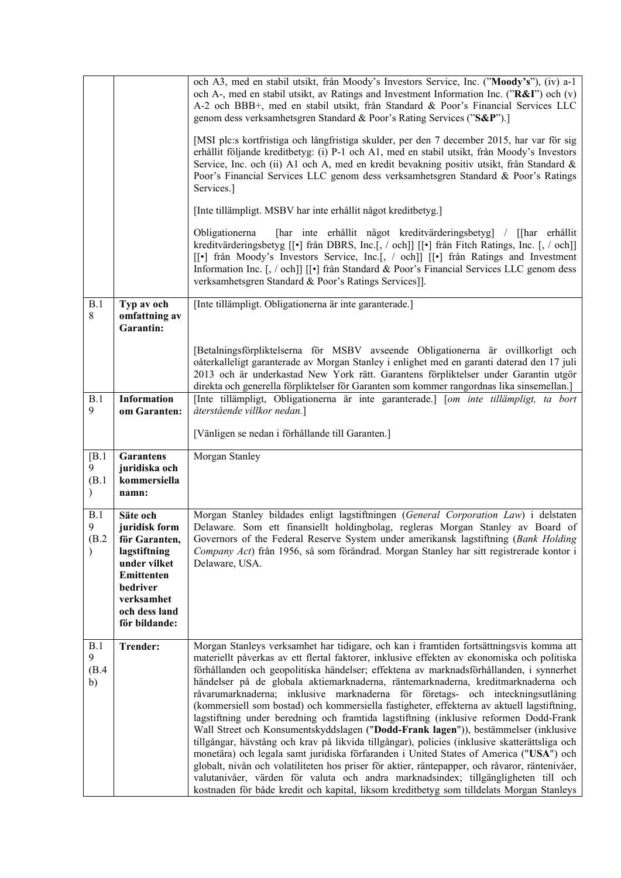|                         |                                                                                                                                                      | och A3, med en stabil utsikt, från Moody's Investors Service, Inc. ("Moody's"), (iv) a-1<br>och A-, med en stabil utsikt, av Ratings and Investment Information Inc. ("R&I") och (v)<br>A-2 och BBB+, med en stabil utsikt, från Standard & Poor's Financial Services LLC<br>genom dess verksamhetsgren Standard & Poor's Rating Services ("S&P").]<br>[MSI plc:s kortfristiga och långfristiga skulder, per den 7 december 2015, har var för sig<br>erhållit följande kreditbetyg: (i) P-1 och A1, med en stabil utsikt, från Moody's Investors<br>Service, Inc. och (ii) A1 och A, med en kredit bevakning positiv utsikt, från Standard &<br>Poor's Financial Services LLC genom dess verksamhetsgren Standard & Poor's Ratings<br>Services.]<br>[Inte tillämpligt. MSBV har inte erhållit något kreditbetyg.]<br>[har inte erhållit något kreditvärderingsbetyg] / [[har erhållit<br>Obligationerna<br>kreditvärderingsbetyg [[•] från DBRS, Inc.[, / och]] [[•] från Fitch Ratings, Inc. [, / och]]<br>[[•] från Moody's Investors Service, Inc.[, / och]] [[•] från Ratings and Investment<br>Information Inc. [, / och]] [[•] från Standard & Poor's Financial Services LLC genom dess<br>verksamhetsgren Standard & Poor's Ratings Services]]. |
|-------------------------|------------------------------------------------------------------------------------------------------------------------------------------------------|--------------------------------------------------------------------------------------------------------------------------------------------------------------------------------------------------------------------------------------------------------------------------------------------------------------------------------------------------------------------------------------------------------------------------------------------------------------------------------------------------------------------------------------------------------------------------------------------------------------------------------------------------------------------------------------------------------------------------------------------------------------------------------------------------------------------------------------------------------------------------------------------------------------------------------------------------------------------------------------------------------------------------------------------------------------------------------------------------------------------------------------------------------------------------------------------------------------------------------------------------------|
| B.1<br>8                | Typ av och<br>omfattning av<br>Garantin:                                                                                                             | [Inte tillämpligt. Obligationerna är inte garanterade.]                                                                                                                                                                                                                                                                                                                                                                                                                                                                                                                                                                                                                                                                                                                                                                                                                                                                                                                                                                                                                                                                                                                                                                                                |
|                         |                                                                                                                                                      | [Betalningsförpliktelserna för MSBV avseende Obligationerna är ovillkorligt och<br>oåterkalleligt garanterade av Morgan Stanley i enlighet med en garanti daterad den 17 juli<br>2013 och är underkastad New York rätt. Garantens förpliktelser under Garantin utgör<br>direkta och generella förpliktelser för Garanten som kommer rangordnas lika sinsemellan.]                                                                                                                                                                                                                                                                                                                                                                                                                                                                                                                                                                                                                                                                                                                                                                                                                                                                                      |
| B.1<br>9                | <b>Information</b><br>om Garanten:                                                                                                                   | [Inte tillämpligt, Obligationerna är inte garanterade.] [om inte tillämpligt, ta bort<br>återstående villkor nedan.]                                                                                                                                                                                                                                                                                                                                                                                                                                                                                                                                                                                                                                                                                                                                                                                                                                                                                                                                                                                                                                                                                                                                   |
|                         |                                                                                                                                                      | [Vänligen se nedan i förhållande till Garanten.]                                                                                                                                                                                                                                                                                                                                                                                                                                                                                                                                                                                                                                                                                                                                                                                                                                                                                                                                                                                                                                                                                                                                                                                                       |
| [B.1]<br>9<br>(B.1)     | Garantens<br>juridiska och<br>kommersiella<br>namn:                                                                                                  | Morgan Stanley                                                                                                                                                                                                                                                                                                                                                                                                                                                                                                                                                                                                                                                                                                                                                                                                                                                                                                                                                                                                                                                                                                                                                                                                                                         |
| B.1<br>9<br>(B.2)       | Säte och<br>juridisk form<br>för Garanten,<br>lagstiftning<br>under vilket<br>Emittenten<br>bedriver<br>verksamhet<br>och dess land<br>för bildande: | Morgan Stanley bildades enligt lagstiftningen (General Corporation Law) i delstaten<br>Delaware. Som ett finansiellt holdingbolag, regleras Morgan Stanley av Board of<br>Governors of the Federal Reserve System under amerikansk lagstiftning (Bank Holding<br>Company Act) från 1956, så som förändrad. Morgan Stanley har sitt registrerade kontor i<br>Delaware, USA.                                                                                                                                                                                                                                                                                                                                                                                                                                                                                                                                                                                                                                                                                                                                                                                                                                                                             |
| B.1<br>9<br>(B.4)<br>b) | <b>Trender:</b>                                                                                                                                      | Morgan Stanleys verksamhet har tidigare, och kan i framtiden fortsättningsvis komma att<br>materiellt påverkas av ett flertal faktorer, inklusive effekten av ekonomiska och politiska<br>förhållanden och geopolitiska händelser; effektena av marknadsförhållanden, i synnerhet<br>händelser på de globala aktiemarknaderna, räntemarknaderna, kreditmarknaderna och<br>råvarumarknaderna; inklusive marknaderna för företags- och inteckningsutlåning<br>(kommersiell som bostad) och kommersiella fastigheter, effekterna av aktuell lagstiftning,<br>lagstiftning under beredning och framtida lagstiftning (inklusive reformen Dodd-Frank<br>Wall Street och Konsumentskyddslagen ("Dodd-Frank lagen")), bestämmelser (inklusive<br>tillgångar, hävstång och krav på likvida tillgångar), policies (inklusive skatterättsliga och<br>monetära) och legala samt juridiska förfaranden i United States of America ("USA") och<br>globalt, nivån och volatiliteten hos priser för aktier, räntepapper, och råvaror, räntenivåer,<br>valutanivåer, värden för valuta och andra marknadsindex; tillgängligheten till och<br>kostnaden för både kredit och kapital, liksom kreditbetyg som tilldelats Morgan Stanleys                                  |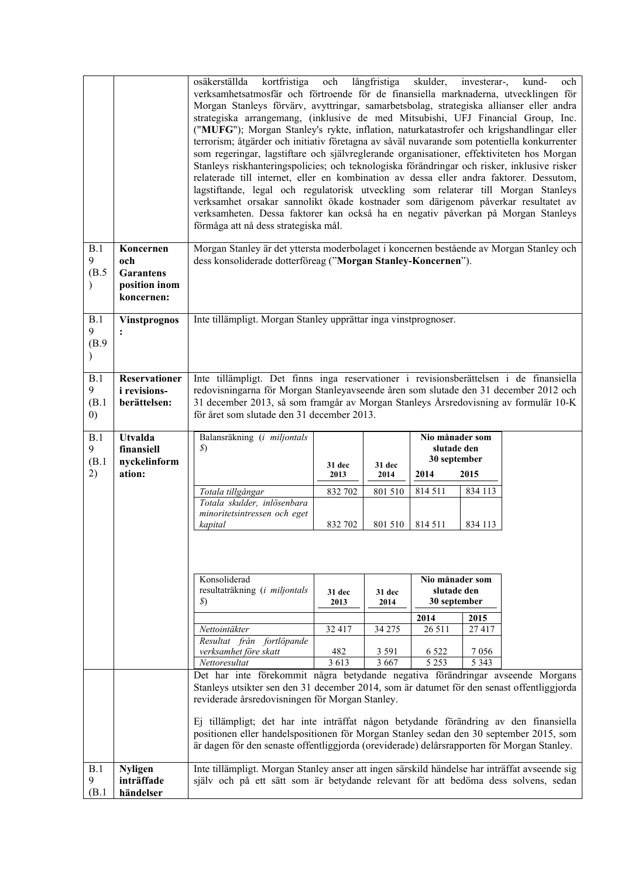| B.1                         | Koncernen                                              | osäkerställda<br>kortfristiga<br>verksamhetsatmosfär och förtroende för de finansiella marknaderna, utvecklingen för<br>Morgan Stanleys förvärv, avyttringar, samarbetsbolag, strategiska allianser eller andra<br>strategiska arrangemang, (inklusive de med Mitsubishi, UFJ Financial Group, Inc.<br>("MUFG"); Morgan Stanley's rykte, inflation, naturkatastrofer och krigshandlingar eller<br>terrorism; åtgärder och initiativ företagna av såväl nuvarande som potentiella konkurrenter<br>som regeringar, lagstiftare och självreglerande organisationer, effektiviteten hos Morgan<br>Stanleys riskhanteringspolicies; och teknologiska förändringar och risker, inklusive risker<br>relaterade till internet, eller en kombination av dessa eller andra faktorer. Dessutom,<br>lagstiftande, legal och regulatorisk utveckling som relaterar till Morgan Stanleys<br>verksamhet orsakar sannolikt ökade kostnader som därigenom påverkar resultatet av<br>verksamheten. Dessa faktorer kan också ha en negativ påverkan på Morgan Stanleys<br>förmåga att nå dess strategiska mål.<br>Morgan Stanley är det yttersta moderbolaget i koncernen bestående av Morgan Stanley och | och                | långfristiga       | skulder,                                               | investerar-,       | kund-<br>och |
|-----------------------------|--------------------------------------------------------|----------------------------------------------------------------------------------------------------------------------------------------------------------------------------------------------------------------------------------------------------------------------------------------------------------------------------------------------------------------------------------------------------------------------------------------------------------------------------------------------------------------------------------------------------------------------------------------------------------------------------------------------------------------------------------------------------------------------------------------------------------------------------------------------------------------------------------------------------------------------------------------------------------------------------------------------------------------------------------------------------------------------------------------------------------------------------------------------------------------------------------------------------------------------------------------|--------------------|--------------------|--------------------------------------------------------|--------------------|--------------|
| 9<br>(B.5)<br>$\mathcal{E}$ | och<br><b>Garantens</b><br>position inom<br>koncernen: | dess konsoliderade dotterföreag ("Morgan Stanley-Koncernen").                                                                                                                                                                                                                                                                                                                                                                                                                                                                                                                                                                                                                                                                                                                                                                                                                                                                                                                                                                                                                                                                                                                          |                    |                    |                                                        |                    |              |
| B.1<br>9<br>(B.9)           | <b>Vinstprognos</b>                                    | Inte tillämpligt. Morgan Stanley upprättar inga vinstprognoser.                                                                                                                                                                                                                                                                                                                                                                                                                                                                                                                                                                                                                                                                                                                                                                                                                                                                                                                                                                                                                                                                                                                        |                    |                    |                                                        |                    |              |
| B.1<br>9<br>(B.1)<br>(0)    | Reservationer<br>i revisions-<br>berättelsen:          | Inte tillämpligt. Det finns inga reservationer i revisionsberättelsen i de finansiella<br>redovisningarna för Morgan Stanleyavseende åren som slutade den 31 december 2012 och<br>31 december 2013, så som framgår av Morgan Stanleys Årsredovisning av formulär 10-K<br>för året som slutade den 31 december 2013.                                                                                                                                                                                                                                                                                                                                                                                                                                                                                                                                                                                                                                                                                                                                                                                                                                                                    |                    |                    |                                                        |                    |              |
| B.1<br>9<br>(B.1)<br>2)     | <b>Utvalda</b><br>finansiell<br>nyckelinform<br>ation: | Balansräkning (i miljontals<br>$\mathcal{S}$                                                                                                                                                                                                                                                                                                                                                                                                                                                                                                                                                                                                                                                                                                                                                                                                                                                                                                                                                                                                                                                                                                                                           | 31 dec<br>2013     | 31 dec<br>2014     | Nio månader som<br>slutade den<br>30 september<br>2014 | 2015               |              |
|                             |                                                        |                                                                                                                                                                                                                                                                                                                                                                                                                                                                                                                                                                                                                                                                                                                                                                                                                                                                                                                                                                                                                                                                                                                                                                                        |                    |                    |                                                        |                    |              |
|                             |                                                        | Totala tillgångar<br>Totala skulder, inlösenbara<br>minoritetsintressen och eget<br>kapital                                                                                                                                                                                                                                                                                                                                                                                                                                                                                                                                                                                                                                                                                                                                                                                                                                                                                                                                                                                                                                                                                            | 832 702<br>832 702 | 801 510<br>801 510 | 814 511<br>814 511                                     | 834 113<br>834 113 |              |
|                             |                                                        | Konsoliderad<br>resultaträkning (i miljontals<br>$\mathcal{S}$                                                                                                                                                                                                                                                                                                                                                                                                                                                                                                                                                                                                                                                                                                                                                                                                                                                                                                                                                                                                                                                                                                                         | 31 dec<br>2013     | 31 dec<br>2014     | Nio månader som<br>slutade den<br>30 september         |                    |              |
|                             |                                                        |                                                                                                                                                                                                                                                                                                                                                                                                                                                                                                                                                                                                                                                                                                                                                                                                                                                                                                                                                                                                                                                                                                                                                                                        |                    |                    | 2014                                                   | 2015               |              |
|                             |                                                        | Nettointäkter                                                                                                                                                                                                                                                                                                                                                                                                                                                                                                                                                                                                                                                                                                                                                                                                                                                                                                                                                                                                                                                                                                                                                                          | 32 417             | 34 275             | 26 5 11                                                | 27417              |              |
|                             |                                                        | Resultat från fortlöpande<br>verksamhet före skatt                                                                                                                                                                                                                                                                                                                                                                                                                                                                                                                                                                                                                                                                                                                                                                                                                                                                                                                                                                                                                                                                                                                                     | 482                | 3 5 9 1            | 6 5 2 2                                                | 7 0 5 6            |              |
|                             |                                                        | Nettoresultat<br>Det har inte förekommit några betydande negativa förändringar avseende Morgans                                                                                                                                                                                                                                                                                                                                                                                                                                                                                                                                                                                                                                                                                                                                                                                                                                                                                                                                                                                                                                                                                        | 3 6 1 3            | 3 6 6 7            | 5 2 5 3                                                | 5 3 4 3            |              |
|                             |                                                        | Stanleys utsikter sen den 31 december 2014, som är datumet för den senast offentliggjorda<br>reviderade årsredovisningen för Morgan Stanley.                                                                                                                                                                                                                                                                                                                                                                                                                                                                                                                                                                                                                                                                                                                                                                                                                                                                                                                                                                                                                                           |                    |                    |                                                        |                    |              |
|                             |                                                        | Ej tillämpligt; det har inte inträffat någon betydande förändring av den finansiella<br>positionen eller handelspositionen för Morgan Stanley sedan den 30 september 2015, som<br>är dagen för den senaste offentliggjorda (oreviderade) delårsrapporten för Morgan Stanley.                                                                                                                                                                                                                                                                                                                                                                                                                                                                                                                                                                                                                                                                                                                                                                                                                                                                                                           |                    |                    |                                                        |                    |              |
| B.1<br>9<br>(B.1)           | <b>Nyligen</b><br>inträffade<br>händelser              | Inte tillämpligt. Morgan Stanley anser att ingen särskild händelse har inträffat avseende sig<br>själv och på ett sätt som är betydande relevant för att bedöma dess solvens, sedan                                                                                                                                                                                                                                                                                                                                                                                                                                                                                                                                                                                                                                                                                                                                                                                                                                                                                                                                                                                                    |                    |                    |                                                        |                    |              |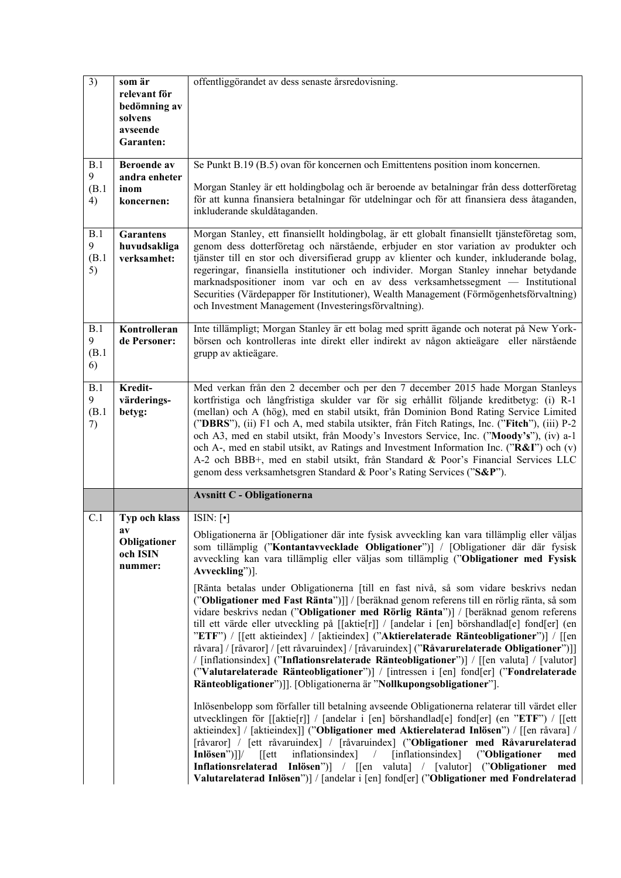| $\overline{3)}$                    | som är<br>relevant för<br>bedömning av<br>solvens<br>avseende<br>Garanten: | offentliggörandet av dess senaste årsredovisning.                                                                                                                                                                                                                                                                                                                                                                                                                                                                                                                                                                                                                                                                                                                                                                                  |
|------------------------------------|----------------------------------------------------------------------------|------------------------------------------------------------------------------------------------------------------------------------------------------------------------------------------------------------------------------------------------------------------------------------------------------------------------------------------------------------------------------------------------------------------------------------------------------------------------------------------------------------------------------------------------------------------------------------------------------------------------------------------------------------------------------------------------------------------------------------------------------------------------------------------------------------------------------------|
| B.1                                | <b>Beroende</b> av                                                         | Se Punkt B.19 (B.5) ovan för koncernen och Emittentens position inom koncernen.                                                                                                                                                                                                                                                                                                                                                                                                                                                                                                                                                                                                                                                                                                                                                    |
| 9<br>(B.1)<br>4)                   | andra enheter<br>inom<br>koncernen:                                        | Morgan Stanley är ett holdingbolag och är beroende av betalningar från dess dotterföretag<br>för att kunna finansiera betalningar för utdelningar och för att finansiera dess åtaganden,<br>inkluderande skuldåtaganden.                                                                                                                                                                                                                                                                                                                                                                                                                                                                                                                                                                                                           |
| B.1<br>$\mathbf{9}$<br>(B.1)<br>5) | <b>Garantens</b><br>huvudsakliga<br>verksamhet:                            | Morgan Stanley, ett finansiellt holdingbolag, är ett globalt finansiellt tjänsteföretag som,<br>genom dess dotterföretag och närstående, erbjuder en stor variation av produkter och<br>tjänster till en stor och diversifierad grupp av klienter och kunder, inkluderande bolag,<br>regeringar, finansiella institutioner och individer. Morgan Stanley innehar betydande<br>marknadspositioner inom var och en av dess verksamhetssegment — Institutional<br>Securities (Värdepapper för Institutioner), Wealth Management (Förmögenhetsförvaltning)<br>och Investment Management (Investeringsförvaltning).                                                                                                                                                                                                                     |
| B.1<br>9<br>(B.1)<br>6)            | Kontrolleran<br>de Personer:                                               | Inte tillämpligt; Morgan Stanley är ett bolag med spritt ägande och noterat på New York-<br>börsen och kontrolleras inte direkt eller indirekt av någon aktieägare eller närstående<br>grupp av aktieägare.                                                                                                                                                                                                                                                                                                                                                                                                                                                                                                                                                                                                                        |
| B.1<br>9<br>(B.1)<br>7)            | Kredit-<br>värderings-<br>betyg:                                           | Med verkan från den 2 december och per den 7 december 2015 hade Morgan Stanleys<br>kortfristiga och långfristiga skulder var för sig erhållit följande kreditbetyg: (i) R-1<br>(mellan) och A (hög), med en stabil utsikt, från Dominion Bond Rating Service Limited<br>("DBRS"), (ii) F1 och A, med stabila utsikter, från Fitch Ratings, Inc. ("Fitch"), (iii) P-2<br>och A3, med en stabil utsikt, från Moody's Investors Service, Inc. ("Moody's"), (iv) a-1<br>och A-, med en stabil utsikt, av Ratings and Investment Information Inc. (" $R\&I$ ") och (v)<br>A-2 och BBB+, med en stabil utsikt, från Standard & Poor's Financial Services LLC<br>genom dess verksamhetsgren Standard & Poor's Rating Services ("S&P").                                                                                                    |
|                                    |                                                                            | <b>Avsnitt C - Obligationerna</b>                                                                                                                                                                                                                                                                                                                                                                                                                                                                                                                                                                                                                                                                                                                                                                                                  |
| C.1                                | Typ och klass                                                              | $ISIN: [\cdot]$                                                                                                                                                                                                                                                                                                                                                                                                                                                                                                                                                                                                                                                                                                                                                                                                                    |
|                                    | av<br>Obligationer<br>och ISIN<br>nummer:                                  | Obligationerna är [Obligationer där inte fysisk avveckling kan vara tillämplig eller väljas<br>som tillämplig ("Kontantavvecklade Obligationer")] / [Obligationer där där fysisk<br>avveckling kan vara tillämplig eller väljas som tillämplig ("Obligationer med Fysisk<br>Avveckling")].                                                                                                                                                                                                                                                                                                                                                                                                                                                                                                                                         |
|                                    |                                                                            | [Ränta betalas under Obligationerna [till en fast nivå, så som vidare beskrivs nedan<br>("Obligationer med Fast Ränta")]] / [beräknad genom referens till en rörlig ränta, så som<br>vidare beskrivs nedan ("Obligationer med Rörlig Ränta")] / [beräknad genom referens<br>till ett värde eller utveckling på [[aktie[r]] / [andelar i [en] börshandlad[e] fond[er] (en<br>"ETF") / [[ett aktieindex] / [aktieindex] ("Aktierelaterade Ränteobligationer")] / [[en<br>råvara] / [råvaror] / [ett råvaruindex] / [råvaruindex] ("Råvarurelaterade Obligationer")]]<br>/ [inflationsindex] ("Inflationsrelaterade Ränteobligationer")] / [[en valuta] / [valutor]<br>("Valutarelaterade Ränteobligationer")] / [intressen i [en] fond[er] ("Fondrelaterade<br>Ränteobligationer")]]. [Obligationerna är "Nollkupongsobligationer"]. |
|                                    |                                                                            | Inlösenbelopp som förfaller till betalning avseende Obligationerna relaterar till värdet eller<br>utvecklingen för [[aktie[r]] / [andelar i [en] börshandlad[e] fond[er] (en "ETF") / [[ett<br>aktieindex] / [aktieindex]] ("Obligationer med Aktierelaterad Inlösen") / [[en råvara] /<br>[råvaror] / [ett råvaruindex] / [råvaruindex] ("Obligationer med Råvarurelaterad<br>Inlösen")]]/<br>inflationsindex]<br>$\sqrt{2}$<br>[inflationsindex]<br>("Obligationer<br>$\sqrt{\det}$<br>med<br>Inflationsrelaterad<br>Inlösen")] / [[en valuta] / [valutor] ("Obligationer<br>med<br>Valutarelaterad Inlösen")] / [andelar i [en] fond[er] ("Obligationer med Fondrelaterad                                                                                                                                                       |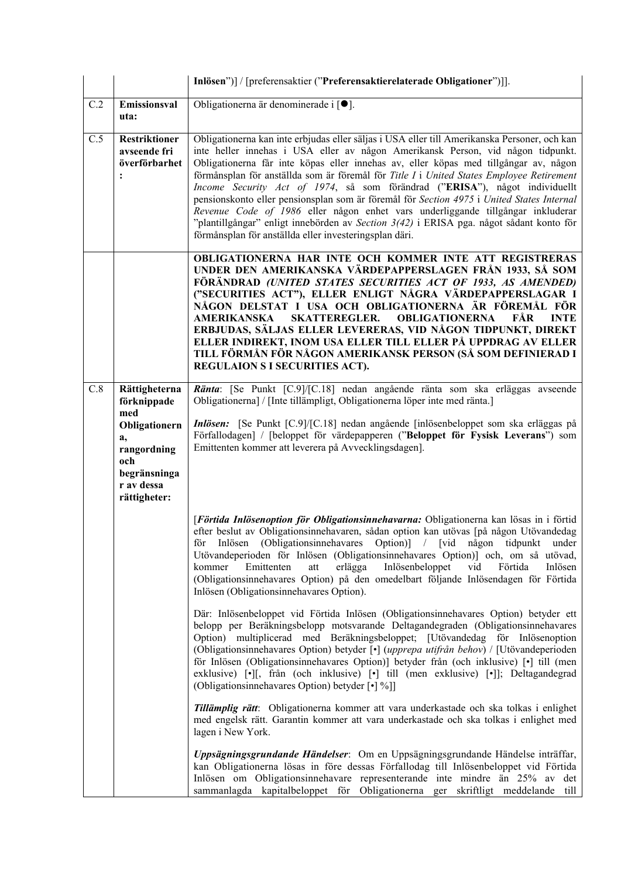|     |                                                            | Inlösen")] / [preferensaktier ("Preferensaktierelaterade Obligationer")]].                                                                                                                                                                                                                                                                                                                                                                                                                                                                                                                                                                                                                                                                                                              |
|-----|------------------------------------------------------------|-----------------------------------------------------------------------------------------------------------------------------------------------------------------------------------------------------------------------------------------------------------------------------------------------------------------------------------------------------------------------------------------------------------------------------------------------------------------------------------------------------------------------------------------------------------------------------------------------------------------------------------------------------------------------------------------------------------------------------------------------------------------------------------------|
| C.2 | Emissionsval<br>uta:                                       | Obligationerna är denominerade i [●].                                                                                                                                                                                                                                                                                                                                                                                                                                                                                                                                                                                                                                                                                                                                                   |
| C.5 | <b>Restriktioner</b><br>avseende fri<br>överförbarhet<br>: | Obligationerna kan inte erbjudas eller säljas i USA eller till Amerikanska Personer, och kan<br>inte heller innehas i USA eller av någon Amerikansk Person, vid någon tidpunkt.<br>Obligationerna får inte köpas eller innehas av, eller köpas med tillgångar av, någon<br>förmånsplan för anställda som är föremål för Title I i United States Employee Retirement<br>Income Security Act of 1974, så som förändrad ("ERISA"), något individuellt<br>pensionskonto eller pensionsplan som är föremål för Section 4975 i United States Internal<br>Revenue Code of 1986 eller någon enhet vars underliggande tillgångar inkluderar<br>"plantillgångar" enligt innebörden av Section 3(42) i ERISA pga. något sådant konto för<br>förmånsplan för anställda eller investeringsplan däri. |
|     |                                                            | OBLIGATIONERNA HAR INTE OCH KOMMER INTE ATT REGISTRERAS<br>UNDER DEN AMERIKANSKA VÄRDEPAPPERSLAGEN FRÅN 1933, SÅ SOM<br>FÖRÄNDRAD (UNITED STATES SECURITIES ACT OF 1933, AS AMENDED)<br>("SECURITIES ACT"), ELLER ENLIGT NÅGRA VÄRDEPAPPERSLAGAR I<br>NÅGON DELSTAT I USA OCH OBLIGATIONERNA ÄR FÖREMÅL FÖR<br><b>SKATTEREGLER.</b><br><b>AMERIKANSKA</b><br><b>OBLIGATIONERNA</b><br>FÅR<br><b>INTE</b><br>ERBJUDAS, SÄLJAS ELLER LEVERERAS, VID NÅGON TIDPUNKT, DIREKT<br>ELLER INDIREKT, INOM USA ELLER TILL ELLER PÅ UPPDRAG AV ELLER<br>TILL FÖRMÅN FÖR NÅGON AMERIKANSK PERSON (SÅ SOM DEFINIERAD I<br>REGULAION S I SECURITIES ACT).                                                                                                                                             |
| C.8 | Rättigheterna<br>förknippade                               | Ränta: [Se Punkt [C.9]/[C.18] nedan angående ränta som ska erläggas avseende<br>Obligationerna] / [Inte tillämpligt, Obligationerna löper inte med ränta.]                                                                                                                                                                                                                                                                                                                                                                                                                                                                                                                                                                                                                              |
|     | med<br>Obligationern<br>a,<br>rangordning<br>och           | <i>Inlösen</i> : [Se Punkt [C.9]/[C.18] nedan angående [inlösenbeloppet som ska erläggas på<br>Förfallodagen] / [beloppet för värdepapperen ("Beloppet för Fysisk Leverans") som<br>Emittenten kommer att leverera på Avvecklingsdagen].                                                                                                                                                                                                                                                                                                                                                                                                                                                                                                                                                |
|     | begränsninga<br>r av dessa<br>rättigheter:                 |                                                                                                                                                                                                                                                                                                                                                                                                                                                                                                                                                                                                                                                                                                                                                                                         |
|     |                                                            | [Förtida Inlösenoption för Obligationsinnehavarna: Obligationerna kan lösas in i förtid<br>efter beslut av Obligationsinnehavaren, sådan option kan utövas [på någon Utövandedag<br>för Inlösen (Obligationsinnehavares Option)] / [vid någon tidpunkt<br>under<br>Utövandeperioden för Inlösen (Obligationsinnehavares Option)] och, om så utövad,<br>Emittenten<br>erlägga<br>Inlösenbeloppet<br>Förtida<br>Inlösen<br>kommer<br>vid<br>att<br>(Obligationsinnehavares Option) på den omedelbart följande Inlösendagen för Förtida<br>Inlösen (Obligationsinnehavares Option).                                                                                                                                                                                                        |
|     |                                                            | Där: Inlösenbeloppet vid Förtida Inlösen (Obligationsinnehavares Option) betyder ett<br>belopp per Beräkningsbelopp motsvarande Deltagandegraden (Obligationsinnehavares<br>Option) multiplicerad med Beräkningsbeloppet; [Utövandedag för Inlösenoption<br>(Obligationsinnehavares Option) betyder [•] (upprepa utifrån behov) / [Utövandeperioden<br>för Inlösen (Obligationsinnehavares Option)] betyder från (och inklusive) [·] till (men<br>exklusive) [•][, från (och inklusive) [•] till (men exklusive) [•]]; Deltagandegrad<br>(Obligationsinnehavares Option) betyder [•] %]]                                                                                                                                                                                                |
|     |                                                            | Tillämplig rätt: Obligationerna kommer att vara underkastade och ska tolkas i enlighet<br>med engelsk rätt. Garantin kommer att vara underkastade och ska tolkas i enlighet med<br>lagen i New York.                                                                                                                                                                                                                                                                                                                                                                                                                                                                                                                                                                                    |
|     |                                                            | Uppsägningsgrundande Händelser: Om en Uppsägningsgrundande Händelse inträffar,<br>kan Obligationerna lösas in före dessas Förfallodag till Inlösenbeloppet vid Förtida<br>Inlösen om Obligationsinnehavare representerande inte mindre än 25% av det<br>sammanlagda kapitalbeloppet för Obligationerna ger skriftligt meddelande<br>till                                                                                                                                                                                                                                                                                                                                                                                                                                                |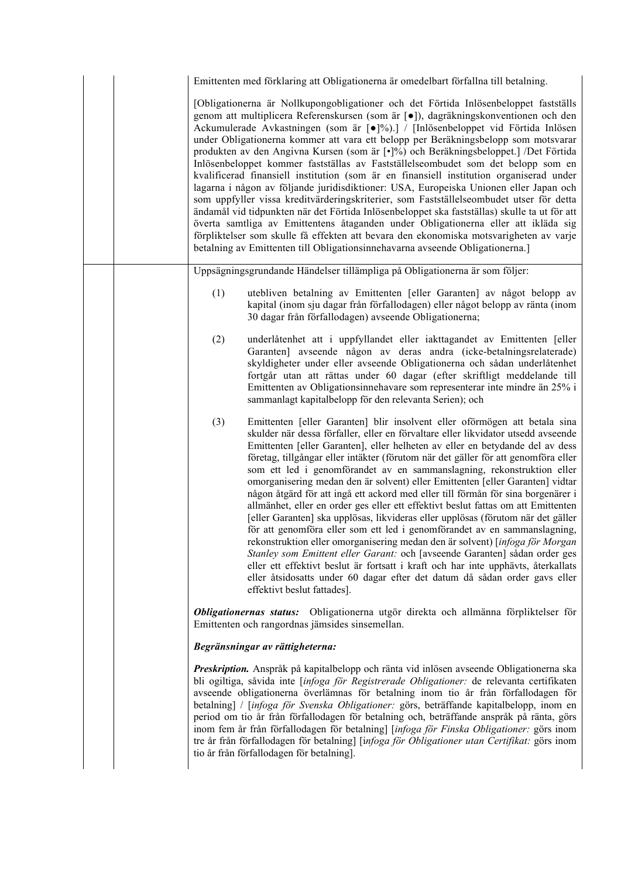|  | Emittenten med förklaring att Obligationerna är omedelbart förfallna till betalning.                                                                                                                                                                                                                                                                                                                                                                                                                                                                                                                                                                                                                                                                                                                                                                                                                                                                                                                                                                                                                                                                                                                               |  |
|--|--------------------------------------------------------------------------------------------------------------------------------------------------------------------------------------------------------------------------------------------------------------------------------------------------------------------------------------------------------------------------------------------------------------------------------------------------------------------------------------------------------------------------------------------------------------------------------------------------------------------------------------------------------------------------------------------------------------------------------------------------------------------------------------------------------------------------------------------------------------------------------------------------------------------------------------------------------------------------------------------------------------------------------------------------------------------------------------------------------------------------------------------------------------------------------------------------------------------|--|
|  | [Obligationerna är Nollkupongobligationer och det Förtida Inlösenbeloppet fastställs<br>genom att multiplicera Referenskursen (som är [•]), dagräkningskonventionen och den<br>Ackumulerade Avkastningen (som är [•]%).] / [Inlösenbeloppet vid Förtida Inlösen<br>under Obligationerna kommer att vara ett belopp per Beräkningsbelopp som motsvarar<br>produkten av den Angivna Kursen (som är [·]%) och Beräkningsbeloppet.] /Det Förtida<br>Inlösenbeloppet kommer fastställas av Fastställelseombudet som det belopp som en<br>kvalificerad finansiell institution (som är en finansiell institution organiserad under<br>lagarna i någon av följande juridisdiktioner: USA, Europeiska Unionen eller Japan och<br>som uppfyller vissa kreditvärderingskriterier, som Fastställelseombudet utser för detta<br>ändamål vid tidpunkten när det Förtida Inlösenbeloppet ska fastställas) skulle ta ut för att<br>överta samtliga av Emittentens åtaganden under Obligationerna eller att ikläda sig<br>förpliktelser som skulle få effekten att bevara den ekonomiska motsvarigheten av varje<br>betalning av Emittenten till Obligationsinnehavarna avseende Obligationerna.]                                   |  |
|  | Uppsägningsgrundande Händelser tillämpliga på Obligationerna är som följer:                                                                                                                                                                                                                                                                                                                                                                                                                                                                                                                                                                                                                                                                                                                                                                                                                                                                                                                                                                                                                                                                                                                                        |  |
|  | (1)<br>utebliven betalning av Emittenten [eller Garanten] av något belopp av<br>kapital (inom sju dagar från förfallodagen) eller något belopp av ränta (inom<br>30 dagar från förfallodagen) avseende Obligationerna;                                                                                                                                                                                                                                                                                                                                                                                                                                                                                                                                                                                                                                                                                                                                                                                                                                                                                                                                                                                             |  |
|  | (2)<br>underlåtenhet att i uppfyllandet eller iakttagandet av Emittenten [eller<br>Garanten] avseende någon av deras andra (icke-betalningsrelaterade)<br>skyldigheter under eller avseende Obligationerna och sådan underlåtenhet<br>fortgår utan att rättas under 60 dagar (efter skriftligt meddelande till<br>Emittenten av Obligationsinnehavare som representerar inte mindre än 25% i<br>sammanlagt kapitalbelopp för den relevanta Serien); och                                                                                                                                                                                                                                                                                                                                                                                                                                                                                                                                                                                                                                                                                                                                                            |  |
|  | (3)<br>Emittenten [eller Garanten] blir insolvent eller oförmögen att betala sina<br>skulder när dessa förfaller, eller en förvaltare eller likvidator utsedd avseende<br>Emittenten [eller Garanten], eller helheten av eller en betydande del av dess<br>företag, tillgångar eller intäkter (förutom när det gäller för att genomföra eller<br>som ett led i genomförandet av en sammanslagning, rekonstruktion eller<br>omorganisering medan den är solvent) eller Emittenten [eller Garanten] vidtar<br>någon åtgärd för att ingå ett ackord med eller till förmån för sina borgenärer i<br>allmänhet, eller en order ges eller ett effektivt beslut fattas om att Emittenten<br>[eller Garanten] ska upplösas, likvideras eller upplösas (förutom när det gäller<br>för att genomföra eller som ett led i genomförandet av en sammanslagning,<br>rekonstruktion eller omorganisering medan den är solvent) [infoga för Morgan<br>Stanley som Emittent eller Garant: och [avseende Garanten] sådan order ges<br>eller ett effektivt beslut är fortsatt i kraft och har inte upphävts, återkallats<br>eller åtsidosatts under 60 dagar efter det datum då sådan order gavs eller<br>effektivt beslut fattades]. |  |
|  | Obligationernas status: Obligationerna utgör direkta och allmänna förpliktelser för<br>Emittenten och rangordnas jämsides sinsemellan.                                                                                                                                                                                                                                                                                                                                                                                                                                                                                                                                                                                                                                                                                                                                                                                                                                                                                                                                                                                                                                                                             |  |
|  | Begränsningar av rättigheterna:                                                                                                                                                                                                                                                                                                                                                                                                                                                                                                                                                                                                                                                                                                                                                                                                                                                                                                                                                                                                                                                                                                                                                                                    |  |
|  | <b>Preskription.</b> Anspråk på kapitalbelopp och ränta vid inlösen avseende Obligationerna ska<br>bli ogiltiga, såvida inte [infoga för Registrerade Obligationer: de relevanta certifikaten<br>avseende obligationerna överlämnas för betalning inom tio år från förfallodagen för<br>betalning] / [infoga för Svenska Obligationer: görs, beträffande kapitalbelopp, inom en<br>period om tio år från förfallodagen för betalning och, beträffande anspråk på ränta, görs<br>inom fem år från förfallodagen för betalning] [infoga för Finska Obligationer: görs inom<br>tre år från förfallodagen för betalning] [infoga för Obligationer utan Certifikat: görs inom<br>tio år från förfallodagen för betalning].                                                                                                                                                                                                                                                                                                                                                                                                                                                                                              |  |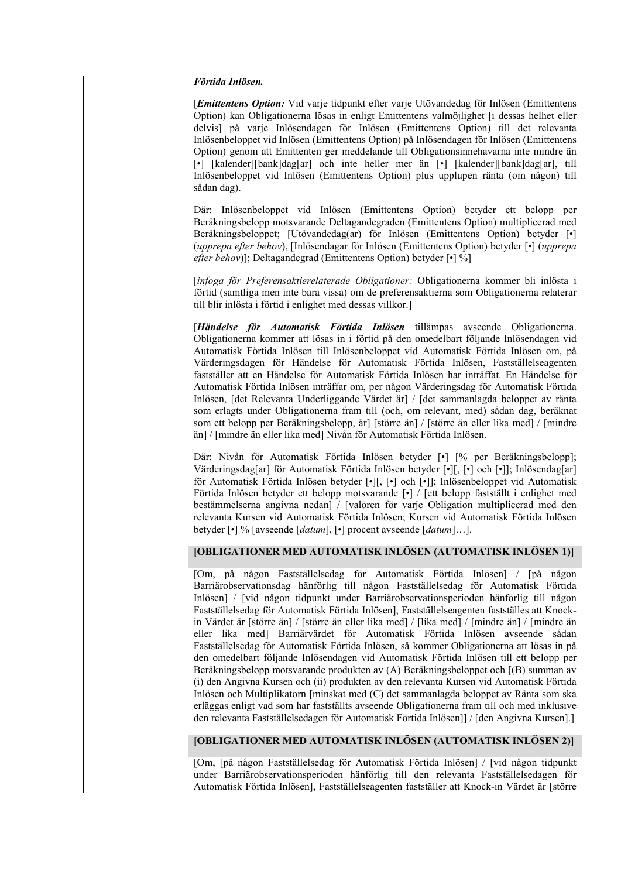#### *Förtida Inlösen.*

[*Emittentens Option:* Vid varje tidpunkt efter varje Utövandedag för Inlösen (Emittentens Option) kan Obligationerna lösas in enligt Emittentens valmöjlighet [i dessas helhet eller delvis] på varje Inlösendagen för Inlösen (Emittentens Option) till det relevanta Inlösenbeloppet vid Inlösen (Emittentens Option) på Inlösendagen för Inlösen (Emittentens Option) genom att Emittenten ger meddelande till Obligationsinnehavarna inte mindre än [•] [kalender][bank]dag[ar] och inte heller mer än [•] [kalender][bank]dag[ar], till Inlösenbeloppet vid Inlösen (Emittentens Option) plus upplupen ränta (om någon) till sådan dag).

Där: Inlösenbeloppet vid Inlösen (Emittentens Option) betyder ett belopp per Beräkningsbelopp motsvarande Deltagandegraden (Emittentens Option) multiplicerad med Beräkningsbeloppet; [Utövandedag(ar) för Inlösen (Emittentens Option) betyder [•] (*upprepa efter behov*), [Inlösendagar för Inlösen (Emittentens Option) betyder [•] (*upprepa efter behov*)]; Deltagandegrad (Emittentens Option) betyder [•] %]

[*infoga för Preferensaktierelaterade Obligationer:* Obligationerna kommer bli inlösta i förtid (samtliga men inte bara vissa) om de preferensaktierna som Obligationerna relaterar till blir inlösta i förtid i enlighet med dessas villkor.]

[*Händelse för Automatisk Förtida Inlösen* tillämpas avseende Obligationerna. Obligationerna kommer att lösas in i förtid på den omedelbart följande Inlösendagen vid Automatisk Förtida Inlösen till Inlösenbeloppet vid Automatisk Förtida Inlösen om, på Värderingsdagen för Händelse för Automatisk Förtida Inlösen, Fastställelseagenten fastställer att en Händelse för Automatisk Förtida Inlösen har inträffat. En Händelse för Automatisk Förtida Inlösen inträffar om, per någon Värderingsdag för Automatisk Förtida Inlösen, [det Relevanta Underliggande Värdet är] / [det sammanlagda beloppet av ränta som erlagts under Obligationerna fram till (och, om relevant, med) sådan dag, beräknat som ett belopp per Beräkningsbelopp, är] [större än] / [större än eller lika med] / [mindre än] / [mindre än eller lika med] Nivån för Automatisk Förtida Inlösen.

Där: Nivån för Automatisk Förtida Inlösen betyder [•] [% per Beräkningsbelopp]; Värderingsdag[ar] för Automatisk Förtida Inlösen betyder [•][, [•] och [•]]; Inlösendag[ar] för Automatisk Förtida Inlösen betyder [•][, [•] och [•]]; Inlösenbeloppet vid Automatisk Förtida Inlösen betyder ett belopp motsvarande [•] / [ett belopp fastställt i enlighet med bestämmelserna angivna nedan] / [valören för varje Obligation multiplicerad med den relevanta Kursen vid Automatisk Förtida Inlösen; Kursen vid Automatisk Förtida Inlösen betyder [•] % [avseende [*datum*], [•] procent avseende [*datum*]…].

#### **[OBLIGATIONER MED AUTOMATISK INLÖSEN (AUTOMATISK INLÖSEN 1)]**

[Om, på någon Fastställelsedag för Automatisk Förtida Inlösen] / [på någon Barriärobservationsdag hänförlig till någon Fastställelsedag för Automatisk Förtida Inlösen] / [vid någon tidpunkt under Barriärobservationsperioden hänförlig till någon Fastställelsedag för Automatisk Förtida Inlösen], Fastställelseagenten fastställes att Knockin Värdet är [större än] / [större än eller lika med] / [lika med] / [mindre än] / [mindre än eller lika med] Barriärvärdet för Automatisk Förtida Inlösen avseende sådan Fastställelsedag för Automatisk Förtida Inlösen, så kommer Obligationerna att lösas in på den omedelbart följande Inlösendagen vid Automatisk Förtida Inlösen till ett belopp per Beräkningsbelopp motsvarande produkten av (A) Beräkningsbeloppet och [(B) summan av (i) den Angivna Kursen och (ii) produkten av den relevanta Kursen vid Automatisk Förtida Inlösen och Multiplikatorn [minskat med (C) det sammanlagda beloppet av Ränta som ska erläggas enligt vad som har fastställts avseende Obligationerna fram till och med inklusive den relevanta Fastställelsedagen för Automatisk Förtida Inlösen]] / [den Angivna Kursen].]

#### **[OBLIGATIONER MED AUTOMATISK INLÖSEN (AUTOMATISK INLÖSEN 2)]**

[Om, [på någon Fastställelsedag för Automatisk Förtida Inlösen] / [vid någon tidpunkt under Barriärobservationsperioden hänförlig till den relevanta Fastställelsedagen för Automatisk Förtida Inlösen], Fastställelseagenten fastställer att Knock-in Värdet är [större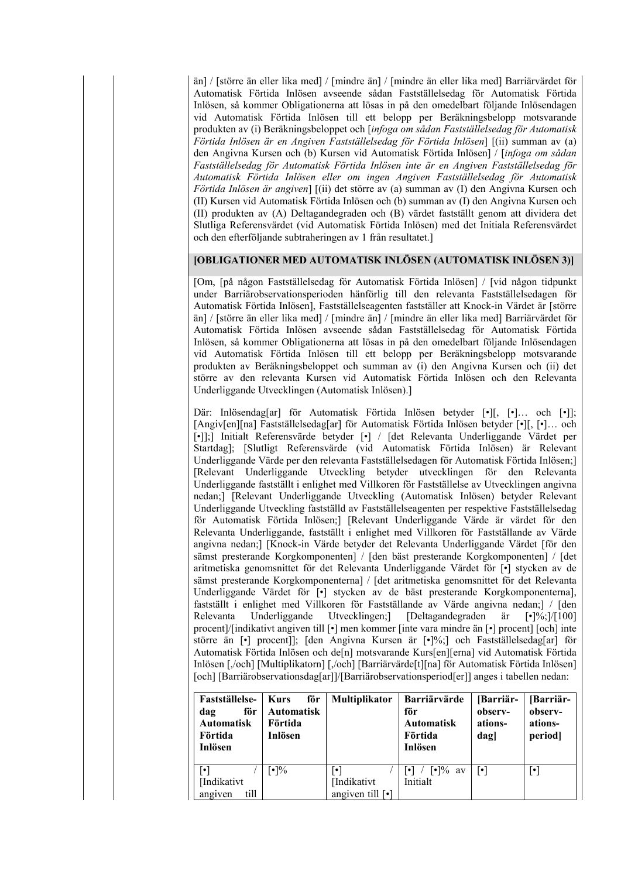än] / [större än eller lika med] / [mindre än] / [mindre än eller lika med] Barriärvärdet för Automatisk Förtida Inlösen avseende sådan Fastställelsedag för Automatisk Förtida Inlösen, så kommer Obligationerna att lösas in på den omedelbart följande Inlösendagen vid Automatisk Förtida Inlösen till ett belopp per Beräkningsbelopp motsvarande produkten av (i) Beräkningsbeloppet och [*infoga om sådan Fastställelsedag för Automatisk Förtida Inlösen är en Angiven Fastställelsedag för Förtida Inlösen*] [(ii) summan av (a) den Angivna Kursen och (b) Kursen vid Automatisk Förtida Inlösen] / [*infoga om sådan Fastställelsedag för Automatisk Förtida Inlösen inte är en Angiven Fastställelsedag för Automatisk Förtida Inlösen eller om ingen Angiven Fastställelsedag för Automatisk Förtida Inlösen är angiven*] [(ii) det större av (a) summan av (I) den Angivna Kursen och (II) Kursen vid Automatisk Förtida Inlösen och (b) summan av (I) den Angivna Kursen och (II) produkten av (A) Deltagandegraden och (B) värdet fastställt genom att dividera det Slutliga Referensvärdet (vid Automatisk Förtida Inlösen) med det Initiala Referensvärdet och den efterföljande subtraheringen av 1 från resultatet.]

#### **[OBLIGATIONER MED AUTOMATISK INLÖSEN (AUTOMATISK INLÖSEN 3)]**

[Om, [på någon Fastställelsedag för Automatisk Förtida Inlösen] / [vid någon tidpunkt under Barriärobservationsperioden hänförlig till den relevanta Fastställelsedagen för Automatisk Förtida Inlösen], Fastställelseagenten fastställer att Knock-in Värdet är [större än] / [större än eller lika med] / [mindre än] / [mindre än eller lika med] Barriärvärdet för Automatisk Förtida Inlösen avseende sådan Fastställelsedag för Automatisk Förtida Inlösen, så kommer Obligationerna att lösas in på den omedelbart följande Inlösendagen vid Automatisk Förtida Inlösen till ett belopp per Beräkningsbelopp motsvarande produkten av Beräkningsbeloppet och summan av (i) den Angivna Kursen och (ii) det större av den relevanta Kursen vid Automatisk Förtida Inlösen och den Relevanta Underliggande Utvecklingen (Automatisk Inlösen).]

Där: Inlösendag[ar] för Automatisk Förtida Inlösen betyder [•][, [•]... och [•]]; [Angiv[en][na] Fastställelsedag[ar] för Automatisk Förtida Inlösen betyder [•][, [•]… och [•]];] Initialt Referensvärde betyder [•] / [det Relevanta Underliggande Värdet per Startdag]; [Slutligt Referensvärde (vid Automatisk Förtida Inlösen) är Relevant Underliggande Värde per den relevanta Fastställelsedagen för Automatisk Förtida Inlösen;] [Relevant Underliggande Utveckling betyder utvecklingen för den Relevanta Underliggande fastställt i enlighet med Villkoren för Fastställelse av Utvecklingen angivna nedan;] [Relevant Underliggande Utveckling (Automatisk Inlösen) betyder Relevant Underliggande Utveckling fastställd av Fastställelseagenten per respektive Fastställelsedag för Automatisk Förtida Inlösen;] [Relevant Underliggande Värde är värdet för den Relevanta Underliggande, fastställt i enlighet med Villkoren för Fastställande av Värde angivna nedan;] [Knock-in Värde betyder det Relevanta Underliggande Värdet [för den sämst presterande Korgkomponenten] / [den bäst presterande Korgkomponenten] / [det aritmetiska genomsnittet för det Relevanta Underliggande Värdet för [•] stycken av de sämst presterande Korgkomponenterna] / [det aritmetiska genomsnittet för det Relevanta Underliggande Värdet för [•] stycken av de bäst presterande Korgkomponenterna], fastställt i enlighet med Villkoren för Fastställande av Värde angivna nedan;] / [den Relevanta Underliggande Utvecklingen;] [Deltagandegraden är [•]%;]/[100] procent]/[indikativt angiven till [•] men kommer [inte vara mindre än [•] procent] [och] inte större än [•] procent]]; [den Angivna Kursen är [•]%;] och Fastställelsedag[ar] för Automatisk Förtida Inlösen och de[n] motsvarande Kurs[en][erna] vid Automatisk Förtida Inlösen [,/och] [Multiplikatorn] [,/och] [Barriärvärde[t][na] för Automatisk Förtida Inlösen] [och] [Barriärobservationsdag[ar]]/[Barriärobservationsperiod[er]] anges i tabellen nedan:

| <b>Fastställelse-</b><br>för<br>dag<br><b>Automatisk</b><br>Förtida<br>Inlösen | för<br><b>Kurs</b><br><b>Automatisk</b><br>Förtida<br>Inlösen | <b>Multiplikator</b>                                                       | Barriärvärde<br>för<br><b>Automatisk</b><br>Förtida<br><b>Inlösen</b>  | [Barriär-<br>observ-<br>ations-<br>dag | [Barriär-<br>observ-<br>ations-<br>period] |
|--------------------------------------------------------------------------------|---------------------------------------------------------------|----------------------------------------------------------------------------|------------------------------------------------------------------------|----------------------------------------|--------------------------------------------|
| [Indikativt]<br>till<br>angiven                                                | $\lceil \bullet \rceil\%$                                     | $\lceil \cdot \rceil$<br>[Indikativt<br>angiven till $\lceil \cdot \rceil$ | $\lbrack \bullet \rbrack$ / $\lbrack \bullet \rbrack\%$ av<br>Initialt | $\lceil \cdot \rceil$                  | $\lceil \cdot \rceil$                      |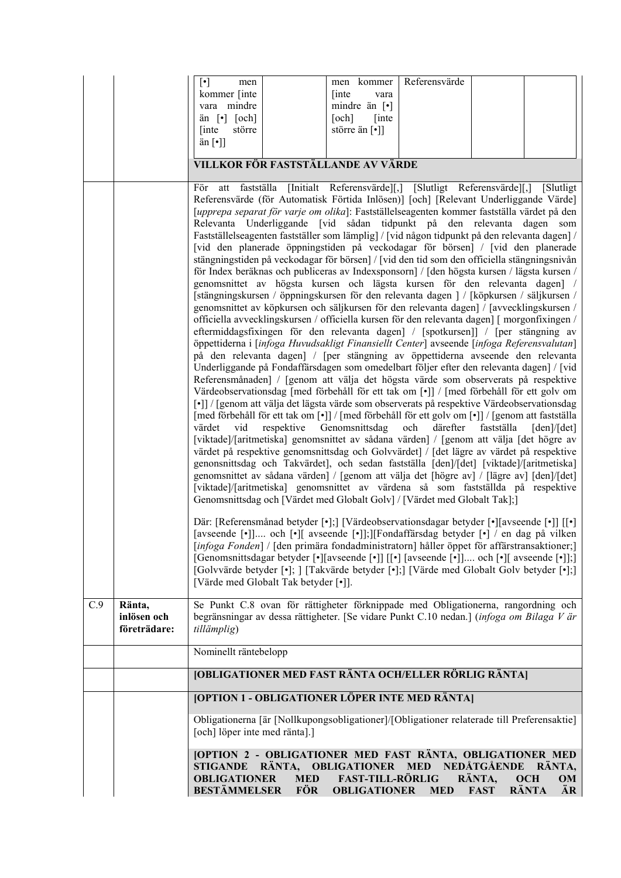|     |                                       | $[\cdot]$<br>men<br>kommer [inte<br>vara mindre<br>$\sin$ [•] $[och]$                                                                                                                                                                                                                                                                                |                                                                                                                                                                                                                                                                                                                                                                                                                                                                                                                                                                                                                                                                                                                                                                                                                                                                                                                                                                                                                                                                                                                                                                                                                                                                                                                                                                                                                                                                                                                                                                                                                                                                                                                                                                                                                                                                                                                                                                                                                                                                                                                                                                                                                                                                                                                                                                                                                                                                                                                                                                                                                                                                                                                                                                                                                                                                                                                        | men kommer<br>$[$ inte<br>vara<br>mindre än $\lceil \cdot \rceil$<br>[och]<br>[inte] | Referensvärde |  |  |
|-----|---------------------------------------|------------------------------------------------------------------------------------------------------------------------------------------------------------------------------------------------------------------------------------------------------------------------------------------------------------------------------------------------------|------------------------------------------------------------------------------------------------------------------------------------------------------------------------------------------------------------------------------------------------------------------------------------------------------------------------------------------------------------------------------------------------------------------------------------------------------------------------------------------------------------------------------------------------------------------------------------------------------------------------------------------------------------------------------------------------------------------------------------------------------------------------------------------------------------------------------------------------------------------------------------------------------------------------------------------------------------------------------------------------------------------------------------------------------------------------------------------------------------------------------------------------------------------------------------------------------------------------------------------------------------------------------------------------------------------------------------------------------------------------------------------------------------------------------------------------------------------------------------------------------------------------------------------------------------------------------------------------------------------------------------------------------------------------------------------------------------------------------------------------------------------------------------------------------------------------------------------------------------------------------------------------------------------------------------------------------------------------------------------------------------------------------------------------------------------------------------------------------------------------------------------------------------------------------------------------------------------------------------------------------------------------------------------------------------------------------------------------------------------------------------------------------------------------------------------------------------------------------------------------------------------------------------------------------------------------------------------------------------------------------------------------------------------------------------------------------------------------------------------------------------------------------------------------------------------------------------------------------------------------------------------------------------------------|--------------------------------------------------------------------------------------|---------------|--|--|
|     |                                       | [inte<br>större<br>än $[\bullet]]$                                                                                                                                                                                                                                                                                                                   |                                                                                                                                                                                                                                                                                                                                                                                                                                                                                                                                                                                                                                                                                                                                                                                                                                                                                                                                                                                                                                                                                                                                                                                                                                                                                                                                                                                                                                                                                                                                                                                                                                                                                                                                                                                                                                                                                                                                                                                                                                                                                                                                                                                                                                                                                                                                                                                                                                                                                                                                                                                                                                                                                                                                                                                                                                                                                                                        | större än [•]]                                                                       |               |  |  |
|     |                                       | VILLKOR FÖR FASTSTÄLLANDE AV VÄRDE                                                                                                                                                                                                                                                                                                                   |                                                                                                                                                                                                                                                                                                                                                                                                                                                                                                                                                                                                                                                                                                                                                                                                                                                                                                                                                                                                                                                                                                                                                                                                                                                                                                                                                                                                                                                                                                                                                                                                                                                                                                                                                                                                                                                                                                                                                                                                                                                                                                                                                                                                                                                                                                                                                                                                                                                                                                                                                                                                                                                                                                                                                                                                                                                                                                                        |                                                                                      |               |  |  |
|     |                                       | vid<br>värdet<br>[Värde med Globalt Tak betyder [•]].                                                                                                                                                                                                                                                                                                | För att fastställa [Initialt Referensvärde][,] [Slutligt Referensvärde][,]<br>[Slutligt]<br>Referensvärde (för Automatisk Förtida Inlösen)] [och] [Relevant Underliggande Värde]<br>[upprepa separat för varje om olika]: Fastställelseagenten kommer fastställa värdet på den<br>Relevanta Underliggande [vid sådan tidpunkt på den relevanta dagen som<br>Fastställelseagenten fastställer som lämplig] / [vid någon tidpunkt på den relevanta dagen] /<br>[vid den planerade öppningstiden på veckodagar för börsen] / [vid den planerade<br>stängningstiden på veckodagar för börsen] / [vid den tid som den officiella stängningsnivån<br>för Index beräknas och publiceras av Indexsponsorn] / [den högsta kursen / lägsta kursen /<br>genomsnittet av högsta kursen och lägsta kursen för den relevanta dagen] /<br>[stängningskursen / öppningskursen för den relevanta dagen ] / [köpkursen / säljkursen /<br>genomsnittet av köpkursen och säljkursen för den relevanta dagen] / [avvecklingskursen /<br>officiella avvecklingskursen / officiella kursen för den relevanta dagen] [ morgonfixingen /<br>eftermiddagsfixingen för den relevanta dagen] / [spotkursen]] / [per stängning av<br>öppettiderna i [infoga Huvudsakligt Finansiellt Center] avseende [infoga Referensvalutan]<br>på den relevanta dagen] / [per stängning av öppettiderna avseende den relevanta<br>Underliggande på Fondaffärsdagen som omedelbart följer efter den relevanta dagen] / [vid<br>Referensmånaden] / [genom att välja det högsta värde som observerats på respektive<br>Värdeobservationsdag [med förbehåll för ett tak om [•]] / [med förbehåll för ett golv om<br>[•]] / [genom att välja det lägsta värde som observerats på respektive Värdeobservationsdag<br>[med förbehåll för ett tak om [•]] / [med förbehåll för ett golv om [•]] / [genom att fastställa<br>respektive<br>Genomsnittsdag<br>och<br>därefter<br>fastställa<br>$\lceil den \rceil / \lceil det \rceil$<br>[viktade]/[aritmetiska] genomsnittet av sådana värden] / [genom att välja [det högre av<br>värdet på respektive genomsnittsdag och Golvvärdet] / [det lägre av värdet på respektive<br>genonsnittsdag och Takvärdet], och sedan fastställa [den]/[det] [viktade]/[aritmetiska]<br>genomsnittet av sådana värden] / [genom att välja det [högre av] / [lägre av] [den]/[det]<br>[viktade]/[aritmetiska] genomsnittet av värdena så som fastställda på respektive<br>Genomsnittsdag och [Värdet med Globalt Golv] / [Värdet med Globalt Tak];]<br>Där: [Referensmånad betyder [•];] [Värdeobservationsdagar betyder [•][avseende [•]] [[•]<br>[avseende [•]] och [•]<br>[ avseende [•]];][Fondaffärsdag betyder [•] / en dag på vilken<br>[infoga Fonden] / [den primära fondadministratorn] håller öppet för affärstransaktioner;]<br>[Genomsnittsdagar betyder [•][avseende [•]] [[•] [avseende [•]] och [•][ avseende [•]];]<br> |                                                                                      |               |  |  |
| C.9 | Ränta,<br>inlösen och<br>företrädare: | Se Punkt C.8 ovan för rättigheter förknippade med Obligationerna, rangordning och<br>begränsningar av dessa rättigheter. [Se vidare Punkt C.10 nedan.] (infoga om Bilaga V är<br>tillämplig)                                                                                                                                                         |                                                                                                                                                                                                                                                                                                                                                                                                                                                                                                                                                                                                                                                                                                                                                                                                                                                                                                                                                                                                                                                                                                                                                                                                                                                                                                                                                                                                                                                                                                                                                                                                                                                                                                                                                                                                                                                                                                                                                                                                                                                                                                                                                                                                                                                                                                                                                                                                                                                                                                                                                                                                                                                                                                                                                                                                                                                                                                                        |                                                                                      |               |  |  |
|     |                                       | Nominellt räntebelopp                                                                                                                                                                                                                                                                                                                                |                                                                                                                                                                                                                                                                                                                                                                                                                                                                                                                                                                                                                                                                                                                                                                                                                                                                                                                                                                                                                                                                                                                                                                                                                                                                                                                                                                                                                                                                                                                                                                                                                                                                                                                                                                                                                                                                                                                                                                                                                                                                                                                                                                                                                                                                                                                                                                                                                                                                                                                                                                                                                                                                                                                                                                                                                                                                                                                        |                                                                                      |               |  |  |
|     |                                       | [OBLIGATIONER MED FAST RÄNTA OCH/ELLER RÖRLIG RÄNTA]                                                                                                                                                                                                                                                                                                 |                                                                                                                                                                                                                                                                                                                                                                                                                                                                                                                                                                                                                                                                                                                                                                                                                                                                                                                                                                                                                                                                                                                                                                                                                                                                                                                                                                                                                                                                                                                                                                                                                                                                                                                                                                                                                                                                                                                                                                                                                                                                                                                                                                                                                                                                                                                                                                                                                                                                                                                                                                                                                                                                                                                                                                                                                                                                                                                        |                                                                                      |               |  |  |
|     |                                       | [OPTION 1 - OBLIGATIONER LÖPER INTE MED RÄNTA]                                                                                                                                                                                                                                                                                                       |                                                                                                                                                                                                                                                                                                                                                                                                                                                                                                                                                                                                                                                                                                                                                                                                                                                                                                                                                                                                                                                                                                                                                                                                                                                                                                                                                                                                                                                                                                                                                                                                                                                                                                                                                                                                                                                                                                                                                                                                                                                                                                                                                                                                                                                                                                                                                                                                                                                                                                                                                                                                                                                                                                                                                                                                                                                                                                                        |                                                                                      |               |  |  |
|     |                                       | Obligationerna [är [Nollkupongsobligationer]/[Obligationer relaterade till Preferensaktie]<br>[och] löper inte med ränta].]                                                                                                                                                                                                                          |                                                                                                                                                                                                                                                                                                                                                                                                                                                                                                                                                                                                                                                                                                                                                                                                                                                                                                                                                                                                                                                                                                                                                                                                                                                                                                                                                                                                                                                                                                                                                                                                                                                                                                                                                                                                                                                                                                                                                                                                                                                                                                                                                                                                                                                                                                                                                                                                                                                                                                                                                                                                                                                                                                                                                                                                                                                                                                                        |                                                                                      |               |  |  |
|     |                                       | <b>[OPTION 2 - OBLIGATIONER MED FAST RÄNTA, OBLIGATIONER MED</b><br><b>OBLIGATIONER MED NEDÅTGÅENDE</b><br>RÄNTA,<br>RÄNTA,<br><b>STIGANDE</b><br>RÄNTA,<br><b>OBLIGATIONER</b><br><b>FAST-TILL-RÖRLIG</b><br><b>MED</b><br><b>OCH</b><br>OM<br><b>BESTÄMMELSER</b><br>FÖR<br><b>RÄNTA</b><br>ÄR<br><b>OBLIGATIONER</b><br><b>MED</b><br><b>FAST</b> |                                                                                                                                                                                                                                                                                                                                                                                                                                                                                                                                                                                                                                                                                                                                                                                                                                                                                                                                                                                                                                                                                                                                                                                                                                                                                                                                                                                                                                                                                                                                                                                                                                                                                                                                                                                                                                                                                                                                                                                                                                                                                                                                                                                                                                                                                                                                                                                                                                                                                                                                                                                                                                                                                                                                                                                                                                                                                                                        |                                                                                      |               |  |  |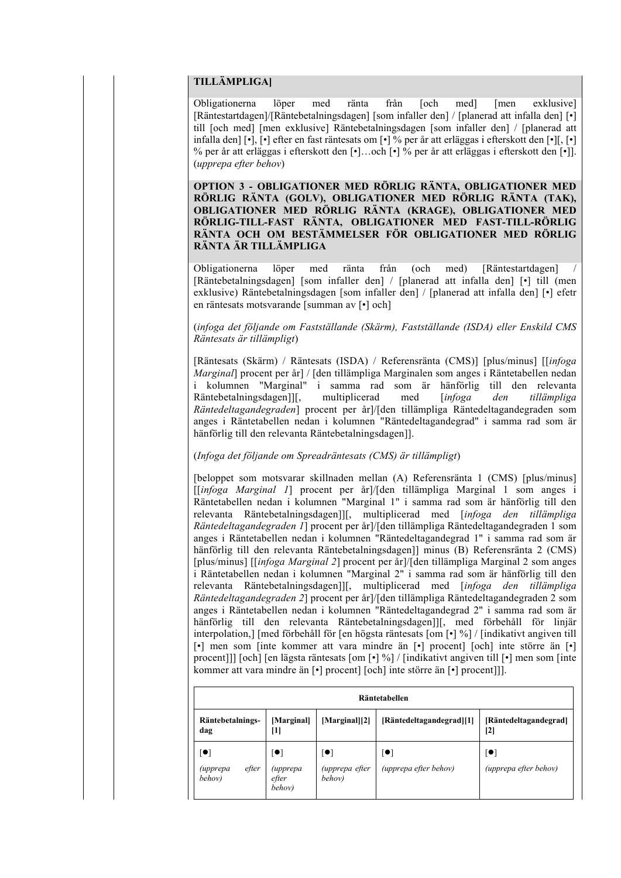## **TILLÄMPLIGA]**

Obligationerna löper med ränta från [och med] [men exklusive] [Räntestartdagen]/[Räntebetalningsdagen] [som infaller den] / [planerad att infalla den] [•] till [och med] [men exklusive] Räntebetalningsdagen [som infaller den] / [planerad att infalla den] [•], [•] efter en fast räntesats om [•] % per år att erläggas i efterskott den [•][, [•] % per år att erläggas i efterskott den [•]…och [•] % per år att erläggas i efterskott den [•]]. (*upprepa efter behov*)

**OPTION 3 - OBLIGATIONER MED RÖRLIG RÄNTA, OBLIGATIONER MED RÖRLIG RÄNTA (GOLV), OBLIGATIONER MED RÖRLIG RÄNTA (TAK), OBLIGATIONER MED RÖRLIG RÄNTA (KRAGE), OBLIGATIONER MED RÖRLIG-TILL-FAST RÄNTA, OBLIGATIONER MED FAST-TILL-RÖRLIG RÄNTA OCH OM BESTÄMMELSER FÖR OBLIGATIONER MED RÖRLIG RÄNTA ÄR TILLÄMPLIGA**

Obligationerna löper med ränta från (och med) [Räntestartdagen] / [Räntebetalningsdagen] [som infaller den] / [planerad att infalla den] [•] till (men exklusive) Räntebetalningsdagen [som infaller den] / [planerad att infalla den] [•] efetr en räntesats motsvarande [summan av [•] och]

(*infoga det följande om Fastställande (Skärm), Fastställande (ISDA) eller Enskild CMS Räntesats är tillämpligt*)

[Räntesats (Skärm) / Räntesats (ISDA) / Referensränta (CMS)] [plus/minus] [[*infoga Marginal*] procent per år] / [den tillämpliga Marginalen som anges i Räntetabellen nedan i kolumnen "Marginal" i samma rad som är hänförlig till den relevanta Räntebetalningsdagen]][, multiplicerad med [*infoga den tillämpliga Räntedeltagandegraden*] procent per år]/[den tillämpliga Räntedeltagandegraden som anges i Räntetabellen nedan i kolumnen "Räntedeltagandegrad" i samma rad som är hänförlig till den relevanta Räntebetalningsdagen]].

#### (*Infoga det följande om Spreadräntesats (CMS) är tillämpligt*)

[beloppet som motsvarar skillnaden mellan (A) Referensränta 1 (CMS) [plus/minus] [[*infoga Marginal 1*] procent per år]/[den tillämpliga Marginal 1 som anges i Räntetabellen nedan i kolumnen "Marginal 1" i samma rad som är hänförlig till den relevanta Räntebetalningsdagen]][, multiplicerad med [*infoga den tillämpliga Räntedeltagandegraden 1*] procent per år]/[den tillämpliga Räntedeltagandegraden 1 som anges i Räntetabellen nedan i kolumnen "Räntedeltagandegrad 1" i samma rad som är hänförlig till den relevanta Räntebetalningsdagen]] minus (B) Referensränta 2 (CMS) [plus/minus] [[*infoga Marginal 2*] procent per år]/[den tillämpliga Marginal 2 som anges i Räntetabellen nedan i kolumnen "Marginal 2" i samma rad som är hänförlig till den relevanta Räntebetalningsdagen]][, multiplicerad med [*infoga den tillämpliga Räntedeltagandegraden 2*] procent per år]/[den tillämpliga Räntedeltagandegraden 2 som anges i Räntetabellen nedan i kolumnen "Räntedeltagandegrad 2" i samma rad som är hänförlig till den relevanta Räntebetalningsdagen]][, med förbehåll för linjär interpolation,] [med förbehåll för [en högsta räntesats [om [•] %] / [indikativt angiven till [•] men som [inte kommer att vara mindre än [•] procent] [och] inte större än [•] procent]]] [och] [en lägsta räntesats [om [•] %] / [indikativt angiven till [•] men som [inte kommer att vara mindre än [•] procent] [och] inte större än [•] procent]]].

| Räntetabellen                              |                                                                                                                                                                                                                                                                                                          |                                                     |                                                   |                                         |  |  |
|--------------------------------------------|----------------------------------------------------------------------------------------------------------------------------------------------------------------------------------------------------------------------------------------------------------------------------------------------------------|-----------------------------------------------------|---------------------------------------------------|-----------------------------------------|--|--|
| Räntebetalnings-<br>dag                    | [Marginal]<br>$[1] % \centering \includegraphics[width=0.9\columnwidth]{figures/fig_10.pdf} \caption{The figure shows the number of times on the right, and the number of times on the right, respectively. The left and right is the number of times on the right, respectively.} \label{fig:fig:time}$ | [Marginal][2]                                       | [Räntedeltagandegrad][1]                          | [Räntedeltagandegrad]<br>$\mathbf{[2]}$ |  |  |
| $[\bullet]$<br>efter<br>(upprepa<br>behov) | $\left[ \bullet \right]$<br>upprepa)<br>efter<br>behov)                                                                                                                                                                                                                                                  | $\lceil \bullet \rceil$<br>(upprepa efter<br>behov) | $\left[ \bullet \right]$<br>(upprepa efter behov) | $[\bullet]$<br>(upprepa efter behov)    |  |  |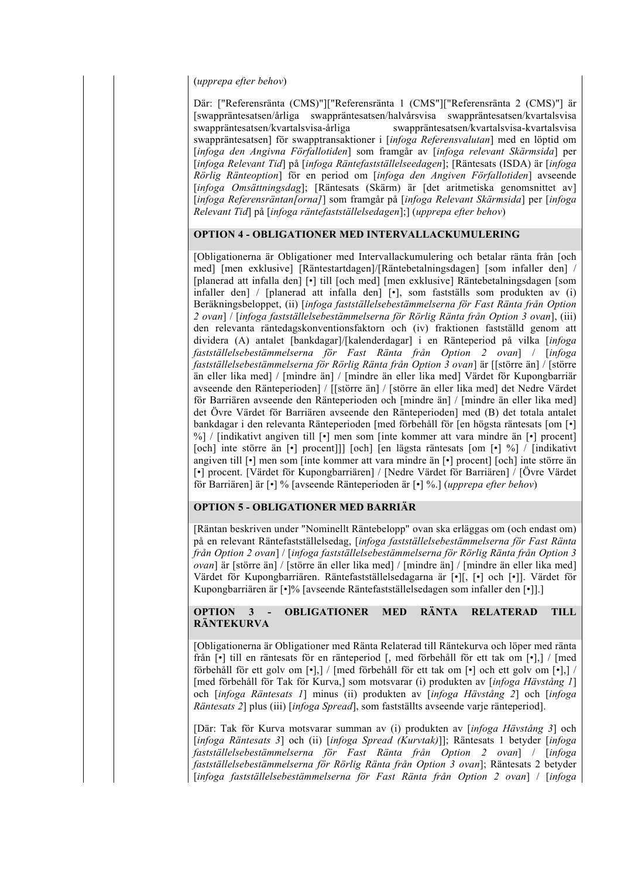#### (*upprepa efter behov*)

Där: ["Referensränta (CMS)"]["Referensränta 1 (CMS"]["Referensränta 2 (CMS)"] är [swappräntesatsen/årliga swappräntesatsen/halvårsvisa swappräntesatsen/kvartalsvisa swappräntesatsen/kvartalsvisa-årliga swappräntesatsen/kvartalsvisa-kvartalsvisa swappräntesatsen] för swapptransaktioner i [*infoga Referensvalutan*] med en löptid om [*infoga den Angivna Förfallotiden*] som framgår av [*infoga relevant Skärmsida*] per [*infoga Relevant Tid*] på [*infoga Räntefastställelseedagen*]; [Räntesats (ISDA) är [*infoga Rörlig Ränteoption*] för en period om [*infoga den Angiven Förfallotiden*] avseende [*infoga Omsättningsdag*]; [Räntesats (Skärm) är [det aritmetiska genomsnittet av] [*infoga Referensräntan[orna]*] som framgår på [*infoga Relevant Skärmsida*] per [*infoga Relevant Tid*] på [*infoga räntefastställelsedagen*];] (*upprepa efter behov*)

## **OPTION 4 - OBLIGATIONER MED INTERVALLACKUMULERING**

[Obligationerna är Obligationer med Intervallackumulering och betalar ränta från [och med] [men exklusive] [Räntestartdagen]/[Räntebetalningsdagen] [som infaller den] / [planerad att infalla den] [•] till [och med] [men exklusive] Räntebetalningsdagen [som infaller den] / [planerad att infalla den] [•], som fastställs som produkten av (i) Beräkningsbeloppet, (ii) [*infoga fastställelsebestämmelserna för Fast Ränta från Option 2 ovan*] / [*infoga fastställelsebestämmelserna för Rörlig Ränta från Option 3 ovan*], (iii) den relevanta räntedagskonventionsfaktorn och (iv) fraktionen fastställd genom att dividera (A) antalet [bankdagar]/[kalenderdagar] i en Ränteperiod på vilka [*infoga fastställelsebestämmelserna för Fast Ränta från Option 2 ovan*] / [*infoga fastställelsebestämmelserna för Rörlig Ränta från Option 3 ovan*] är [[större än] / [större än eller lika med] / [mindre än] / [mindre än eller lika med] Värdet för Kupongbarriär avseende den Ränteperioden] / [[större än] / [större än eller lika med] det Nedre Värdet för Barriären avseende den Ränteperioden och [mindre än] / [mindre än eller lika med] det Övre Värdet för Barriären avseende den Ränteperioden] med (B) det totala antalet bankdagar i den relevanta Ränteperioden [med förbehåll för [en högsta räntesats [om [•] %] / [indikativt angiven till [•] men som [inte kommer att vara mindre än [•] procent] [och] inte större än [•] procent]]] [och] [en lägsta räntesats [om [•] %] / [indikativt angiven till [•] men som [inte kommer att vara mindre än [•] procent] [och] inte större än [•] procent. [Värdet för Kupongbarriären] / [Nedre Värdet för Barriären] / [Övre Värdet för Barriären] är [•] % [avseende Ränteperioden är [•] %.] (*upprepa efter behov*)

# **OPTION 5 - OBLIGATIONER MED BARRIÄR**

[Räntan beskriven under "Nominellt Räntebelopp" ovan ska erläggas om (och endast om) på en relevant Räntefastställelsedag, [*infoga fastställelsebestämmelserna för Fast Ränta från Option 2 ovan*] / [*infoga fastställelsebestämmelserna för Rörlig Ränta från Option 3 ovan*] är [större än] / [större än eller lika med] / [mindre än] / [mindre än eller lika med] Värdet för Kupongbarriären. Räntefastställelsedagarna är [•][, [•] och [•]]. Värdet för Kupongbarriären är [•]% [avseende Räntefastställelsedagen som infaller den [•]].]

## **OPTION 3 - OBLIGATIONER MED RÄNTA RELATERAD TILL RÄNTEKURVA**

[Obligationerna är Obligationer med Ränta Relaterad till Räntekurva och löper med ränta från [•] till en räntesats för en ränteperiod [, med förbehåll för ett tak om [•],] / [med förbehåll för ett golv om [•],] / [med förbehåll för ett tak om [•] och ett golv om [•],] / [med förbehåll för Tak för Kurva,] som motsvarar (i) produkten av [*infoga Hävstång 1*] och [*infoga Räntesats 1*] minus (ii) produkten av [*infoga Hävstång 2*] och [*infoga Räntesats 2*] plus (iii) [*infoga Spread*], som fastställts avseende varje ränteperiod].

[Där: Tak för Kurva motsvarar summan av (i) produkten av [*infoga Hävstång 3*] och [*infoga Räntesats 3*] och (ii) [*infoga Spread (Kurvtak)*]]; Räntesats 1 betyder [*infoga fastställelsebestämmelserna för Fast Ränta från Option 2 ovan*] / [*infoga fastställelsebestämmelserna för Rörlig Ränta från Option 3 ovan*]; Räntesats 2 betyder [*infoga fastställelsebestämmelserna för Fast Ränta från Option 2 ovan*] / [*infoga*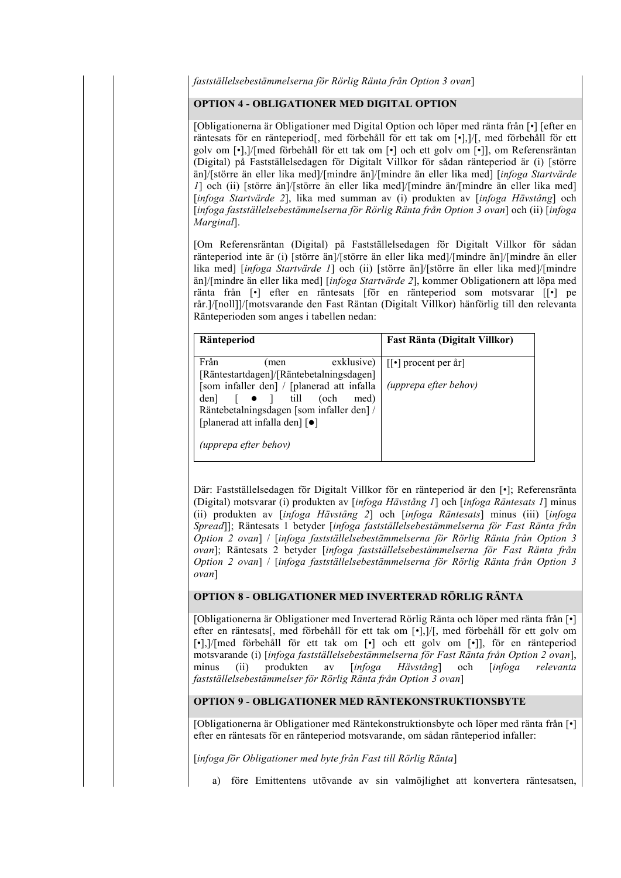*fastställelsebestämmelserna för Rörlig Ränta från Option 3 ovan*]

# **OPTION 4 - OBLIGATIONER MED DIGITAL OPTION**

[Obligationerna är Obligationer med Digital Option och löper med ränta från [•] [efter en räntesats för en ränteperiod[, med förbehåll för ett tak om [•],]/[, med förbehåll för ett golv om [•],]/[med förbehåll för ett tak om [•] och ett golv om [•]], om Referensräntan (Digital) på Fastställelsedagen för Digitalt Villkor för sådan ränteperiod är (i) [större än]/[större än eller lika med]/[mindre än]/[mindre än eller lika med] [*infoga Startvärde 1*] och (ii) [större än]/[större än eller lika med]/[mindre än/[mindre än eller lika med] [*infoga Startvärde 2*], lika med summan av (i) produkten av [*infoga Hävstång*] och [*infoga fastställelsebestämmelserna för Rörlig Ränta från Option 3 ovan*] och (ii) [*infoga Marginal*].

[Om Referensräntan (Digital) på Fastställelsedagen för Digitalt Villkor för sådan ränteperiod inte är (i) [större än]/[större än eller lika med]/[mindre än]/[mindre än eller lika med] [*infoga Startvärde 1*] och (ii) [större än]/[större än eller lika med]/[mindre än]/[mindre än eller lika med] [*infoga Startvärde 2*], kommer Obligationern att löpa med ränta från [•] efter en räntesats [för en ränteperiod som motsvarar [[•] pe rår.]/[noll]]/[motsvarande den Fast Räntan (Digitalt Villkor) hänförlig till den relevanta Ränteperioden som anges i tabellen nedan:

| Ränteperiod           |                                          |                                                           | Fast Ränta (Digitalt Villkor)        |
|-----------------------|------------------------------------------|-----------------------------------------------------------|--------------------------------------|
| Från                  | men                                      | exklusive)<br>[Räntestartdagen]/[Räntebetalningsdagen]    | $\lceil \cdot \rceil$ procent per år |
|                       |                                          | [som infaller den] / [planerad att infalla                | (upprepa efter behov)                |
| den <sub>1</sub>      | till<br>$\bullet$ 1                      | med)<br>(och<br>Räntebetalningsdagen [som infaller den] / |                                      |
|                       | [planerad att infalla den] [ $\bullet$ ] |                                                           |                                      |
| (upprepa efter behov) |                                          |                                                           |                                      |

Där: Fastställelsedagen för Digitalt Villkor för en ränteperiod är den [•]; Referensränta (Digital) motsvarar (i) produkten av [*infoga Hävstång 1*] och [*infoga Räntesats 1*] minus (ii) produkten av [*infoga Hävstång 2*] och [*infoga Räntesats*] minus (iii) [*infoga Spread*]]; Räntesats 1 betyder [*infoga fastställelsebestämmelserna för Fast Ränta från Option 2 ovan*] / [*infoga fastställelsebestämmelserna för Rörlig Ränta från Option 3 ovan*]; Räntesats 2 betyder [*infoga fastställelsebestämmelserna för Fast Ränta från Option 2 ovan*] / [*infoga fastställelsebestämmelserna för Rörlig Ränta från Option 3 ovan*]

# **OPTION 8 - OBLIGATIONER MED INVERTERAD RÖRLIG RÄNTA**

[Obligationerna är Obligationer med Inverterad Rörlig Ränta och löper med ränta från [•] efter en räntesats[, med förbehåll för ett tak om [•],]/[, med förbehåll för ett golv om [•],]/[med förbehåll för ett tak om [•] och ett golv om [•]], för en ränteperiod motsvarande (i) [*infoga fastställelsebestämmelserna för Fast Ränta från Option 2 ovan*], minus (ii) produkten av [*infoga Hävstång*] och [*infoga relevanta fastställelsebestämmelser för Rörlig Ränta från Option 3 ovan*]

#### **OPTION 9 - OBLIGATIONER MED RÄNTEKONSTRUKTIONSBYTE**

[Obligationerna är Obligationer med Räntekonstruktionsbyte och löper med ränta från [•] efter en räntesats för en ränteperiod motsvarande, om sådan ränteperiod infaller:

[*infoga för Obligationer med byte från Fast till Rörlig Ränta*]

a) före Emittentens utövande av sin valmöjlighet att konvertera räntesatsen,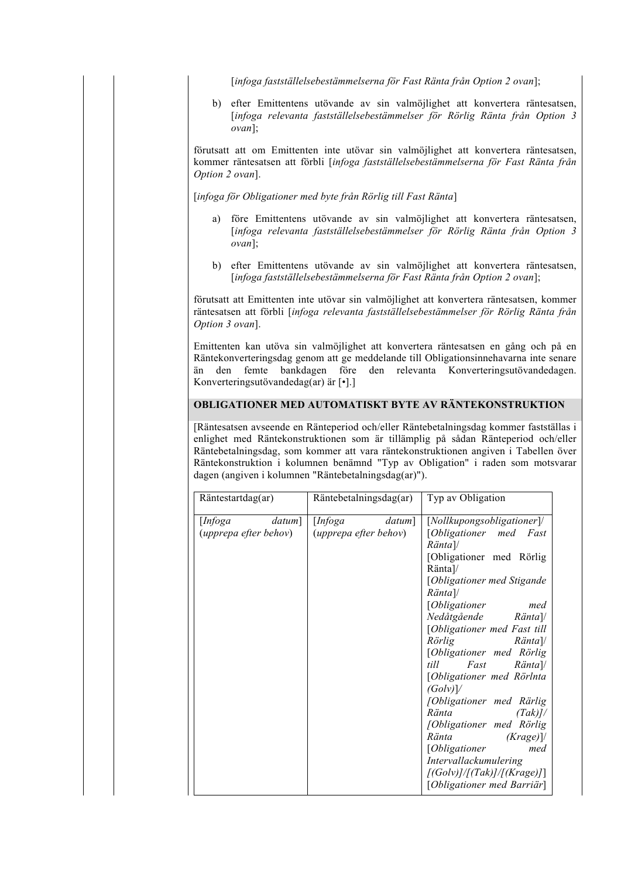[*infoga fastställelsebestämmelserna för Fast Ränta från Option 2 ovan*];

b) efter Emittentens utövande av sin valmöjlighet att konvertera räntesatsen, [*infoga relevanta fastställelsebestämmelser för Rörlig Ränta från Option 3 ovan*];

förutsatt att om Emittenten inte utövar sin valmöjlighet att konvertera räntesatsen, kommer räntesatsen att förbli [*infoga fastställelsebestämmelserna för Fast Ränta från Option 2 ovan*].

[*infoga för Obligationer med byte från Rörlig till Fast Ränta*]

- a) före Emittentens utövande av sin valmöjlighet att konvertera räntesatsen, [*infoga relevanta fastställelsebestämmelser för Rörlig Ränta från Option 3 ovan*];
- b) efter Emittentens utövande av sin valmöjlighet att konvertera räntesatsen, [*infoga fastställelsebestämmelserna för Fast Ränta från Option 2 ovan*];

förutsatt att Emittenten inte utövar sin valmöjlighet att konvertera räntesatsen, kommer räntesatsen att förbli [*infoga relevanta fastställelsebestämmelser för Rörlig Ränta från Option 3 ovan*].

Emittenten kan utöva sin valmöjlighet att konvertera räntesatsen en gång och på en Räntekonverteringsdag genom att ge meddelande till Obligationsinnehavarna inte senare än den femte bankdagen före den relevanta Konverteringsutövandedagen. Konverteringsutövandedag(ar) är [•].]

## **OBLIGATIONER MED AUTOMATISKT BYTE AV RÄNTEKONSTRUKTION**

[Räntesatsen avseende en Ränteperiod och/eller Räntebetalningsdag kommer fastställas i enlighet med Räntekonstruktionen som är tillämplig på sådan Ränteperiod och/eller Räntebetalningsdag, som kommer att vara räntekonstruktionen angiven i Tabellen över Räntekonstruktion i kolumnen benämnd "Typ av Obligation" i raden som motsvarar dagen (angiven i kolumnen "Räntebetalningsdag(ar)").

| Räntestartdag(ar)                          | Räntebetalningsdag(ar)                     | Typ av Obligation                                                                                                                                                                                                                                                                                                                                                                                                                                                                                                                                                                            |
|--------------------------------------------|--------------------------------------------|----------------------------------------------------------------------------------------------------------------------------------------------------------------------------------------------------------------------------------------------------------------------------------------------------------------------------------------------------------------------------------------------------------------------------------------------------------------------------------------------------------------------------------------------------------------------------------------------|
| datum]<br>[Infoga<br>(upprepa efter behov) | [Infoga<br>datum]<br>(upprepa efter behov) | [Nollkupongsobligationer]/<br>[Obligationer med Fast<br>$R\ddot{a}nta$ ]/<br>[Obligationer med Rörlig<br>Ränta]/<br>[Obligationer med Stigande<br>$Ränta$ ]/<br>[Obligationer<br>med<br>Nedåtgående<br>$Ränta$ ]/<br>[Obligationer med Fast till<br>Rörlig<br>$Ränta$ ]/<br>[Obligationer med Rörlig<br>till<br>Fast<br>Ränta<br>[Obligationer med Rörlnta<br>(Golv)<br>[Obligationer med Rärlig<br>Ränta<br>$(Tak)$ /<br>[Obligationer med Rörlig<br>Ränta<br>(Krage)]<br>[ <i>Obligationer</i><br>med<br>Intervallackumulering<br>[(Golv)]/[(Tak)]/[(Krage)]<br>[Obligationer med Barriär] |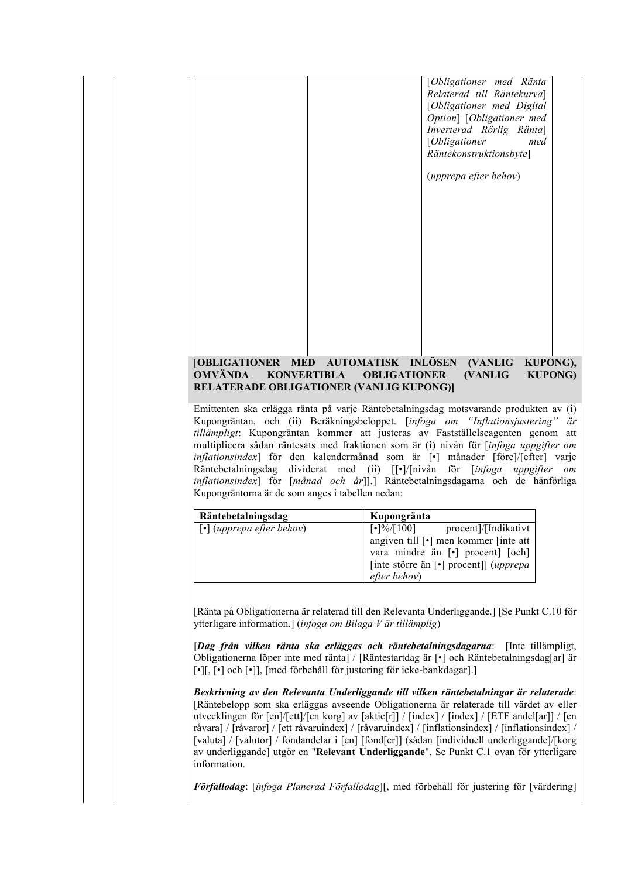| Räntebetalningsdag                               | Kupongränta                                                                           |
|--------------------------------------------------|---------------------------------------------------------------------------------------|
|                                                  |                                                                                       |
|                                                  |                                                                                       |
|                                                  |                                                                                       |
| Kupongräntorna är de som anges i tabellen nedan: |                                                                                       |
|                                                  | inflationsindex] för [månad och år]].] Räntebetalningsdagarna och de hänförliga       |
| Räntebetalningsdag                               | dividerat med (ii) [[.]/[nivån för [infoga<br>uppgifter om                            |
|                                                  | inflationsindex] för den kalendermånad som är [•] månader [före]/[efter] varje        |
|                                                  | multiplicera sådan räntesats med fraktionen som är (i) nivån för [infoga uppgifter om |
|                                                  | tillämpligt: Kupongräntan kommer att justeras av Fastställelseagenten genom att       |
|                                                  | Kupongräntan, och (ii) Beräkningsbeloppet. [infoga om "Inflationsjustering" är        |
|                                                  | Emittenten ska erlägga ränta på varje Räntebetalningsdag motsvarande produkten av (i) |
| <b>RELATERADE OBLIGATIONER (VANLIG KUPONG)]</b>  |                                                                                       |
| <b>OMVÄNDA</b><br><b>KONVERTIBLA</b>             | (VANLIG<br><b>KUPONG)</b><br><b>OBLIGATIONER</b>                                      |
| <b>[OBLIGATIONER MED AUTOMATISK INLÖSEN</b>      | (VANLIG<br>KUPONG),                                                                   |
|                                                  |                                                                                       |
|                                                  |                                                                                       |
|                                                  |                                                                                       |
|                                                  |                                                                                       |
|                                                  |                                                                                       |
|                                                  |                                                                                       |
|                                                  |                                                                                       |
|                                                  |                                                                                       |
|                                                  |                                                                                       |
|                                                  |                                                                                       |
|                                                  |                                                                                       |
|                                                  |                                                                                       |
|                                                  | (upprepa efter behov)                                                                 |
|                                                  |                                                                                       |
|                                                  | Räntekonstruktionsbyte]                                                               |
|                                                  | [Obligationer<br>med                                                                  |
|                                                  | Option] [Obligationer med<br>Inverterad Rörlig Ränta]                                 |
|                                                  | [Obligationer med Digital                                                             |
|                                                  |                                                                                       |
|                                                  | Relaterad till Räntekurva]                                                            |

| Räntebetalningsdag                          | Kupongränta                                                         |
|---------------------------------------------|---------------------------------------------------------------------|
| $\lceil \cdot \rceil$ (upprepa efter behov) | $\lceil \cdot \rceil\% / \lceil 100 \rceil$<br>procent]/[Indikativt |
|                                             | angiven till [•] men kommer [inte att                               |
|                                             | vara mindre än [•] procent] [och]                                   |
|                                             | [inte större än [•] procent]] (upprepa                              |
|                                             | efter behov)                                                        |

[Ränta på Obligationerna är relaterad till den Relevanta Underliggande.] [Se Punkt C.10 för ytterligare information.] (*infoga om Bilaga V är tillämplig*)

**[***Dag från vilken ränta ska erläggas och räntebetalningsdagarna*: [Inte tillämpligt, Obligationerna löper inte med ränta] / [Räntestartdag är [•] och Räntebetalningsdag[ar] är [•][, [•] och [•]], [med förbehåll för justering för icke-bankdagar].]

*Beskrivning av den Relevanta Underliggande till vilken räntebetalningar är relaterade*: [Räntebelopp som ska erläggas avseende Obligationerna är relaterade till värdet av eller utvecklingen för [en]/[ett]/[en korg] av [aktie[r]] / [index] / [index] / [ETF andel[ar]] / [en råvara] / [råvaror] / [ett råvaruindex] / [råvaruindex] / [inflationsindex] / [inflationsindex] / [valuta] / [valutor] / fondandelar i [en] [fond[er]] (sådan [individuell underliggande]/[korg av underliggande] utgör en "**Relevant Underliggande**". Se Punkt C.1 ovan för ytterligare information.

*Förfallodag*: [*infoga Planerad Förfallodag*][, med förbehåll för justering för [värdering]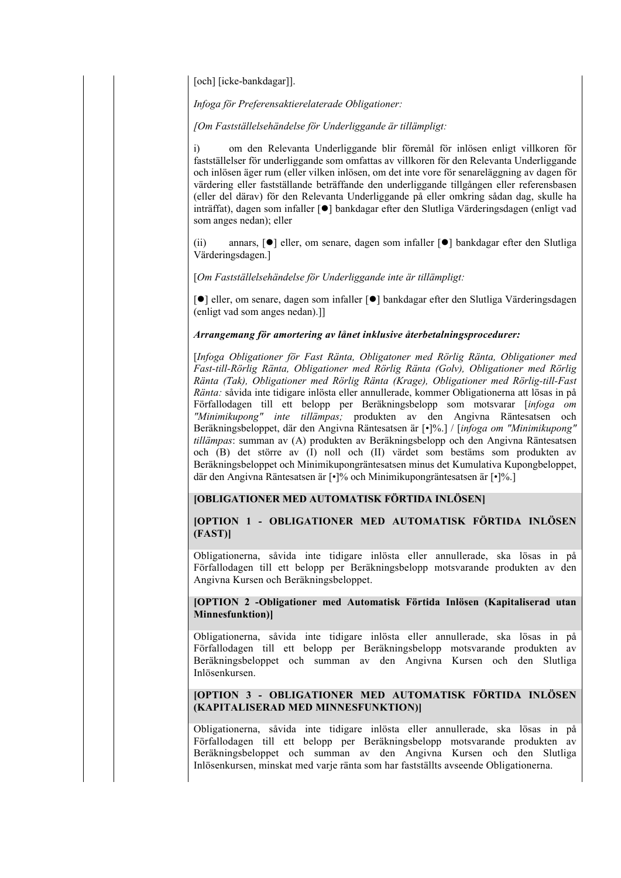[och] [icke-bankdagar]].

*Infoga för Preferensaktierelaterade Obligationer:*

*[Om Fastställelsehändelse för Underliggande är tillämpligt:*

i) om den Relevanta Underliggande blir föremål för inlösen enligt villkoren för fastställelser för underliggande som omfattas av villkoren för den Relevanta Underliggande och inlösen äger rum (eller vilken inlösen, om det inte vore för senareläggning av dagen för värdering eller fastställande beträffande den underliggande tillgången eller referensbasen (eller del därav) för den Relevanta Underliggande på eller omkring sådan dag, skulle ha inträffat), dagen som infaller [ $\bullet$ ] bankdagar efter den Slutliga Värderingsdagen (enligt vad som anges nedan); eller

(ii) annars,  $\lceil \bullet \rceil$  eller, om senare, dagen som infaller  $\lceil \bullet \rceil$  bankdagar efter den Slutliga Värderingsdagen.]

[*Om Fastställelsehändelse för Underliggande inte är tillämpligt:*

[ $\bullet$ ] eller, om senare, dagen som infaller  $\bullet$ ] bankdagar efter den Slutliga Värderingsdagen (enligt vad som anges nedan).]]

#### *Arrangemang för amortering av lånet inklusive återbetalningsprocedurer:*

[*Infoga Obligationer för Fast Ränta, Obligatoner med Rörlig Ränta, Obligationer med Fast-till-Rörlig Ränta, Obligationer med Rörlig Ränta (Golv), Obligationer med Rörlig Ränta (Tak), Obligationer med Rörlig Ränta (Krage), Obligationer med Rörlig-till-Fast Ränta:* såvida inte tidigare inlösta eller annullerade, kommer Obligationerna att lösas in på Förfallodagen till ett belopp per Beräkningsbelopp som motsvarar [*infoga om "Minimikupong" inte tillämpas;* produkten av den Angivna Räntesatsen och Beräkningsbeloppet, där den Angivna Räntesatsen är [•]%.] / [*infoga om "Minimikupong" tillämpas*: summan av (A) produkten av Beräkningsbelopp och den Angivna Räntesatsen och (B) det större av (I) noll och (II) värdet som bestäms som produkten av Beräkningsbeloppet och Minimikupongräntesatsen minus det Kumulativa Kupongbeloppet, där den Angivna Räntesatsen är [•]% och Minimikupongräntesatsen är [•]%.]

## **[OBLIGATIONER MED AUTOMATISK FÖRTIDA INLÖSEN]**

# **[OPTION 1 - OBLIGATIONER MED AUTOMATISK FÖRTIDA INLÖSEN (FAST)]**

Obligationerna, såvida inte tidigare inlösta eller annullerade, ska lösas in på Förfallodagen till ett belopp per Beräkningsbelopp motsvarande produkten av den Angivna Kursen och Beräkningsbeloppet.

**[OPTION 2 -Obligationer med Automatisk Förtida Inlösen (Kapitaliserad utan Minnesfunktion)]**

Obligationerna, såvida inte tidigare inlösta eller annullerade, ska lösas in på Förfallodagen till ett belopp per Beräkningsbelopp motsvarande produkten av Beräkningsbeloppet och summan av den Angivna Kursen och den Slutliga Inlösenkursen.

## **[OPTION 3 - OBLIGATIONER MED AUTOMATISK FÖRTIDA INLÖSEN (KAPITALISERAD MED MINNESFUNKTION)]**

Obligationerna, såvida inte tidigare inlösta eller annullerade, ska lösas in på Förfallodagen till ett belopp per Beräkningsbelopp motsvarande produkten av Beräkningsbeloppet och summan av den Angivna Kursen och den Slutliga Inlösenkursen, minskat med varje ränta som har fastställts avseende Obligationerna.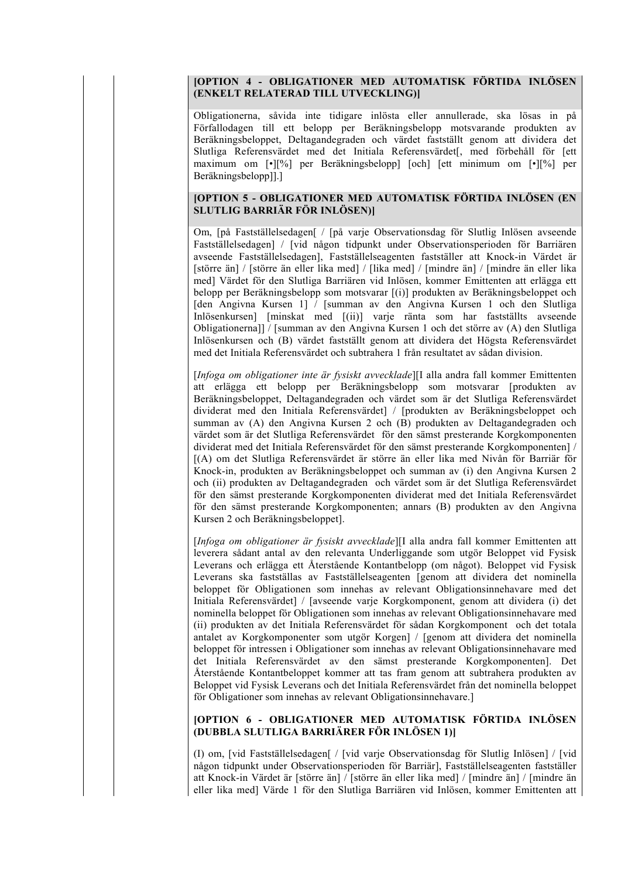#### **[OPTION 4 - OBLIGATIONER MED AUTOMATISK FÖRTIDA INLÖSEN (ENKELT RELATERAD TILL UTVECKLING)]**

Obligationerna, såvida inte tidigare inlösta eller annullerade, ska lösas in på Förfallodagen till ett belopp per Beräkningsbelopp motsvarande produkten av Beräkningsbeloppet, Deltagandegraden och värdet fastställt genom att dividera det Slutliga Referensvärdet med det Initiala Referensvärdet[, med förbehåll för [ett maximum om [•][%] per Beräkningsbelopp] [och] [ett minimum om [•][%] per Beräkningsbelopp]].]

## **[OPTION 5 - OBLIGATIONER MED AUTOMATISK FÖRTIDA INLÖSEN (EN SLUTLIG BARRIÄR FÖR INLÖSEN)]**

Om, [på Fastställelsedagen[ / [på varje Observationsdag för Slutlig Inlösen avseende Fastställelsedagen] / [vid någon tidpunkt under Observationsperioden för Barriären avseende Fastställelsedagen], Fastställelseagenten fastställer att Knock-in Värdet är [större än] / [större än eller lika med] / [lika med] / [mindre än] / [mindre än eller lika med] Värdet för den Slutliga Barriären vid Inlösen, kommer Emittenten att erlägga ett belopp per Beräkningsbelopp som motsvarar [(i)] produkten av Beräkningsbeloppet och [den Angivna Kursen 1] / [summan av den Angivna Kursen 1 och den Slutliga Inlösenkursen] [minskat med [(ii)] varje ränta som har fastställts avseende Obligationerna]] / [summan av den Angivna Kursen 1 och det större av (A) den Slutliga Inlösenkursen och (B) värdet fastställt genom att dividera det Högsta Referensvärdet med det Initiala Referensvärdet och subtrahera 1 från resultatet av sådan division.

[*Infoga om obligationer inte är fysiskt avvecklade*][I alla andra fall kommer Emittenten att erlägga ett belopp per Beräkningsbelopp som motsvarar [produkten av Beräkningsbeloppet, Deltagandegraden och värdet som är det Slutliga Referensvärdet dividerat med den Initiala Referensvärdet] / [produkten av Beräkningsbeloppet och summan av (A) den Angivna Kursen 2 och (B) produkten av Deltagandegraden och värdet som är det Slutliga Referensvärdet för den sämst presterande Korgkomponenten dividerat med det Initiala Referensvärdet för den sämst presterande Korgkomponenten] / [(A) om det Slutliga Referensvärdet är större än eller lika med Nivån för Barriär för Knock-in, produkten av Beräkningsbeloppet och summan av (i) den Angivna Kursen 2 och (ii) produkten av Deltagandegraden och värdet som är det Slutliga Referensvärdet för den sämst presterande Korgkomponenten dividerat med det Initiala Referensvärdet för den sämst presterande Korgkomponenten; annars (B) produkten av den Angivna Kursen 2 och Beräkningsbeloppet].

[*Infoga om obligationer är fysiskt avvecklade*][I alla andra fall kommer Emittenten att leverera sådant antal av den relevanta Underliggande som utgör Beloppet vid Fysisk Leverans och erlägga ett Återstående Kontantbelopp (om något). Beloppet vid Fysisk Leverans ska fastställas av Fastställelseagenten [genom att dividera det nominella beloppet för Obligationen som innehas av relevant Obligationsinnehavare med det Initiala Referensvärdet] / [avseende varje Korgkomponent, genom att dividera (i) det nominella beloppet för Obligationen som innehas av relevant Obligationsinnehavare med (ii) produkten av det Initiala Referensvärdet för sådan Korgkomponent och det totala antalet av Korgkomponenter som utgör Korgen] / [genom att dividera det nominella beloppet för intressen i Obligationer som innehas av relevant Obligationsinnehavare med det Initiala Referensvärdet av den sämst presterande Korgkomponenten]. Det Återstående Kontantbeloppet kommer att tas fram genom att subtrahera produkten av Beloppet vid Fysisk Leverans och det Initiala Referensvärdet från det nominella beloppet för Obligationer som innehas av relevant Obligationsinnehavare.]

# **[OPTION 6 - OBLIGATIONER MED AUTOMATISK FÖRTIDA INLÖSEN (DUBBLA SLUTLIGA BARRIÄRER FÖR INLÖSEN 1)]**

(I) om, [vid Fastställelsedagen[ / [vid varje Observationsdag för Slutlig Inlösen] / [vid någon tidpunkt under Observationsperioden för Barriär], Fastställelseagenten fastställer att Knock-in Värdet är [större än] / [större än eller lika med] / [mindre än] / [mindre än eller lika med] Värde 1 för den Slutliga Barriären vid Inlösen, kommer Emittenten att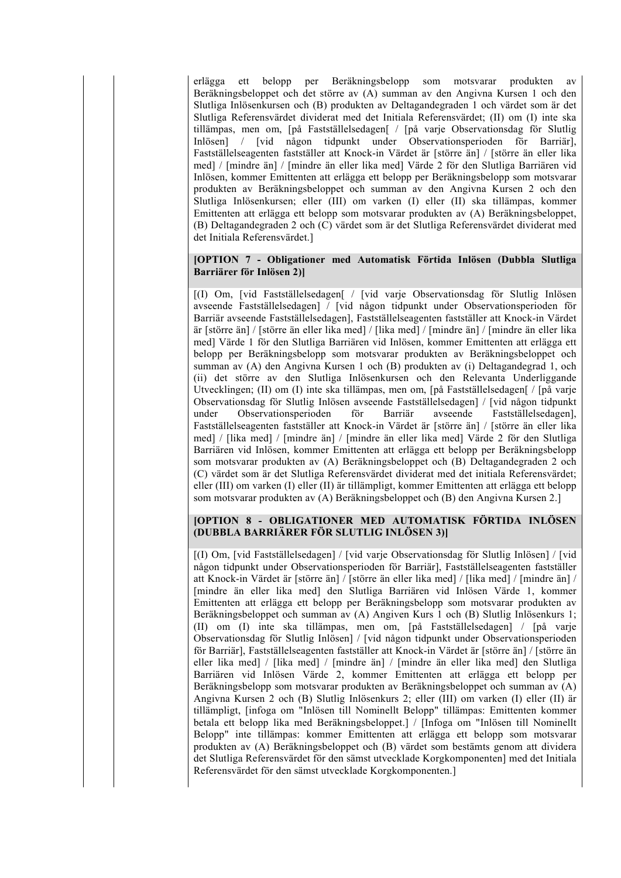erlägga ett belopp per Beräkningsbelopp som motsvarar produkten av Beräkningsbeloppet och det större av (A) summan av den Angivna Kursen 1 och den Slutliga Inlösenkursen och (B) produkten av Deltagandegraden 1 och värdet som är det Slutliga Referensvärdet dividerat med det Initiala Referensvärdet; (II) om (I) inte ska tillämpas, men om, [på Fastställelsedagen[ / [på varje Observationsdag för Slutlig Inlösen] / [vid någon tidpunkt under Observationsperioden för Barriär], Fastställelseagenten fastställer att Knock-in Värdet är [större än] / [större än eller lika med] / [mindre än] / [mindre än eller lika med] Värde 2 för den Slutliga Barriären vid Inlösen, kommer Emittenten att erlägga ett belopp per Beräkningsbelopp som motsvarar produkten av Beräkningsbeloppet och summan av den Angivna Kursen 2 och den Slutliga Inlösenkursen; eller (III) om varken (I) eller (II) ska tillämpas, kommer Emittenten att erlägga ett belopp som motsvarar produkten av (A) Beräkningsbeloppet, (B) Deltagandegraden 2 och (C) värdet som är det Slutliga Referensvärdet dividerat med det Initiala Referensvärdet.]

#### **[OPTION 7 - Obligationer med Automatisk Förtida Inlösen (Dubbla Slutliga Barriärer för Inlösen 2)]**

[(I) Om, [vid Fastställelsedagen[ / [vid varje Observationsdag för Slutlig Inlösen avseende Fastställelsedagen] / [vid någon tidpunkt under Observationsperioden för Barriär avseende Fastställelsedagen], Fastställelseagenten fastställer att Knock-in Värdet är [större än] / [större än eller lika med] / [lika med] / [mindre än] / [mindre än eller lika med] Värde 1 för den Slutliga Barriären vid Inlösen, kommer Emittenten att erlägga ett belopp per Beräkningsbelopp som motsvarar produkten av Beräkningsbeloppet och summan av (A) den Angivna Kursen 1 och (B) produkten av (i) Deltagandegrad 1, och (ii) det större av den Slutliga Inlösenkursen och den Relevanta Underliggande Utvecklingen; (II) om (I) inte ska tillämpas, men om, [på Fastställelsedagen[ / [på varje Observationsdag för Slutlig Inlösen avseende Fastställelsedagen] / [vid någon tidpunkt under Observationsperioden för Barriär avseende Fastställelsedagen], Fastställelseagenten fastställer att Knock-in Värdet är [större än] / [större än eller lika med] / [lika med] / [mindre än] / [mindre än eller lika med] Värde 2 för den Slutliga Barriären vid Inlösen, kommer Emittenten att erlägga ett belopp per Beräkningsbelopp som motsvarar produkten av (A) Beräkningsbeloppet och (B) Deltagandegraden 2 och (C) värdet som är det Slutliga Referensvärdet dividerat med det initiala Referensvärdet; eller (III) om varken (I) eller (II) är tillämpligt, kommer Emittenten att erlägga ett belopp som motsvarar produkten av (A) Beräkningsbeloppet och (B) den Angivna Kursen 2.]

## **[OPTION 8 - OBLIGATIONER MED AUTOMATISK FÖRTIDA INLÖSEN (DUBBLA BARRIÄRER FÖR SLUTLIG INLÖSEN 3)]**

[(I) Om, [vid Fastställelsedagen] / [vid varje Observationsdag för Slutlig Inlösen] / [vid någon tidpunkt under Observationsperioden för Barriär], Fastställelseagenten fastställer att Knock-in Värdet är [större än] / [större än eller lika med] / [lika med] / [mindre än] / [mindre än eller lika med] den Slutliga Barriären vid Inlösen Värde 1, kommer Emittenten att erlägga ett belopp per Beräkningsbelopp som motsvarar produkten av Beräkningsbeloppet och summan av (A) Angiven Kurs 1 och (B) Slutlig Inlösenkurs 1; (II) om (I) inte ska tillämpas, men om, [på Fastställelsedagen] / [på varje Observationsdag för Slutlig Inlösen] / [vid någon tidpunkt under Observationsperioden för Barriär], Fastställelseagenten fastställer att Knock-in Värdet är [större än] / [större än eller lika med] / [lika med] / [mindre än] / [mindre än eller lika med] den Slutliga Barriären vid Inlösen Värde 2, kommer Emittenten att erlägga ett belopp per Beräkningsbelopp som motsvarar produkten av Beräkningsbeloppet och summan av (A) Angivna Kursen 2 och (B) Slutlig Inlösenkurs 2; eller (III) om varken (I) eller (II) är tillämpligt, [infoga om "Inlösen till Nominellt Belopp" tillämpas: Emittenten kommer betala ett belopp lika med Beräkningsbeloppet.] / [Infoga om "Inlösen till Nominellt Belopp" inte tillämpas: kommer Emittenten att erlägga ett belopp som motsvarar produkten av (A) Beräkningsbeloppet och (B) värdet som bestämts genom att dividera det Slutliga Referensvärdet för den sämst utvecklade Korgkomponenten] med det Initiala Referensvärdet för den sämst utvecklade Korgkomponenten.]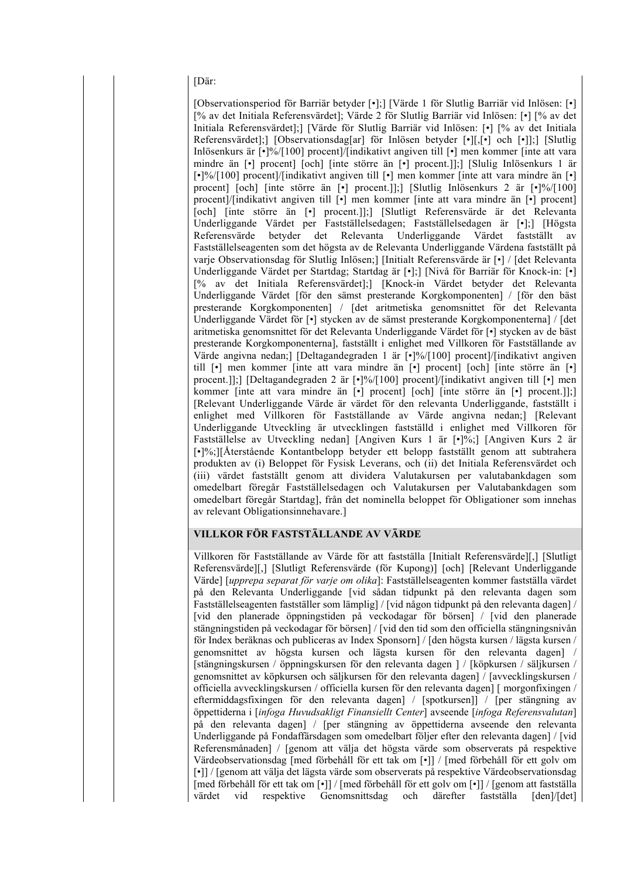[Där:

[Observationsperiod för Barriär betyder [•];] [Värde 1 för Slutlig Barriär vid Inlösen: [•] [% av det Initiala Referensvärdet]; Värde 2 för Slutlig Barriär vid Inlösen: [•] [% av det Initiala Referensvärdet];] [Värde för Slutlig Barriär vid Inlösen: [•] [% av det Initiala Referensvärdet];] [Observationsdag[ar] för Inlösen betyder [•][,[•] och [•]];] [Slutlig Inlösenkurs är [•]%/[100] procent]/[indikativt angiven till [•] men kommer [inte att vara mindre än [•] procent] [och] [inte större än [•] procent.]];] [Slulig Inlösenkurs 1 är [•]%/[100] procent]/[indikativt angiven till [•] men kommer [inte att vara mindre än [•] procent] [och] [inte större än [•] procent.]];] [Slutlig Inlösenkurs 2 är [•]%/[100] procent]/[indikativt angiven till [•] men kommer [inte att vara mindre än [•] procent] [och] [inte större än [•] procent.]];] [Slutligt Referensvärde är det Relevanta Underliggande Värdet per Fastställelsedagen; Fastställelsedagen är [•];] [Högsta Referensvärde betyder det Relevanta Underliggande Värdet fastställt av Fastställelseagenten som det högsta av de Relevanta Underliggande Värdena fastställt på varje Observationsdag för Slutlig Inlösen;] [Initialt Referensvärde är [•] / [det Relevanta Underliggande Värdet per Startdag; Startdag är [•];] [Nivå för Barriär för Knock-in: [•] [% av det Initiala Referensvärdet];] [Knock-in Värdet betyder det Relevanta Underliggande Värdet [för den sämst presterande Korgkomponenten] / [för den bäst presterande Korgkomponenten] / [det aritmetiska genomsnittet för det Relevanta Underliggande Värdet för [•] stycken av de sämst presterande Korgkomponenterna] / [det aritmetiska genomsnittet för det Relevanta Underliggande Värdet för [•] stycken av de bäst presterande Korgkomponenterna], fastställt i enlighet med Villkoren för Fastställande av Värde angivna nedan;] [Deltagandegraden 1 är [•]%/[100] procent]/[indikativt angiven till [•] men kommer [inte att vara mindre än [•] procent] [och] [inte större än [•] procent.]];] [Deltagandegraden 2 är [•]%/[100] procent]/[indikativt angiven till [•] men kommer [inte att vara mindre än  $\begin{bmatrix} \cdot \\ \cdot \end{bmatrix}$  procent] [och] [inte större än  $\begin{bmatrix} \cdot \\ \cdot \end{bmatrix}$  procent.]];] [Relevant Underliggande Värde är värdet för den relevanta Underliggande, fastställt i enlighet med Villkoren för Fastställande av Värde angivna nedan;] [Relevant Underliggande Utveckling är utvecklingen fastställd i enlighet med Villkoren för Fastställelse av Utveckling nedan] [Angiven Kurs 1 är [•]%;] [Angiven Kurs 2 är [•]%;][Återstående Kontantbelopp betyder ett belopp fastställt genom att subtrahera produkten av (i) Beloppet för Fysisk Leverans, och (ii) det Initiala Referensvärdet och (iii) värdet fastställt genom att dividera Valutakursen per valutabankdagen som omedelbart föregår Fastställelsedagen och Valutakursen per Valutabankdagen som omedelbart föregår Startdag], från det nominella beloppet för Obligationer som innehas av relevant Obligationsinnehavare.]

## **VILLKOR FÖR FASTSTÄLLANDE AV VÄRDE**

Villkoren för Fastställande av Värde för att fastställa [Initialt Referensvärde][,] [Slutligt Referensvärde][,] [Slutligt Referensvärde (för Kupong)] [och] [Relevant Underliggande Värde] [*upprepa separat för varje om olika*]: Fastställelseagenten kommer fastställa värdet på den Relevanta Underliggande [vid sådan tidpunkt på den relevanta dagen som Fastställelseagenten fastställer som lämplig] / [vid någon tidpunkt på den relevanta dagen] / [vid den planerade öppningstiden på veckodagar för börsen] / [vid den planerade stängningstiden på veckodagar för börsen] / [vid den tid som den officiella stängningsnivån för Index beräknas och publiceras av Index Sponsorn] / [den högsta kursen / lägsta kursen / genomsnittet av högsta kursen och lägsta kursen för den relevanta dagen] / [stängningskursen / öppningskursen för den relevanta dagen ] / [köpkursen / säljkursen / genomsnittet av köpkursen och säljkursen för den relevanta dagen] / [avvecklingskursen / officiella avvecklingskursen / officiella kursen för den relevanta dagen] [ morgonfixingen / eftermiddagsfixingen för den relevanta dagen] / [spotkursen]] / [per stängning av öppettiderna i [*infoga Huvudsakligt Finansiellt Center*] avseende [*infoga Referensvalutan*] på den relevanta dagen] / [per stängning av öppettiderna avseende den relevanta Underliggande på Fondaffärsdagen som omedelbart följer efter den relevanta dagen] / [vid Referensmånaden] / [genom att välja det högsta värde som observerats på respektive Värdeobservationsdag [med förbehåll för ett tak om [•]] / [med förbehåll för ett golv om [•]] / [genom att välja det lägsta värde som observerats på respektive Värdeobservationsdag [med förbehåll för ett tak om [•]] / [med förbehåll för ett golv om [•]] / [genom att fastställa värdet vid respektive Genomsnittsdag och därefter fastställa [den]/[det]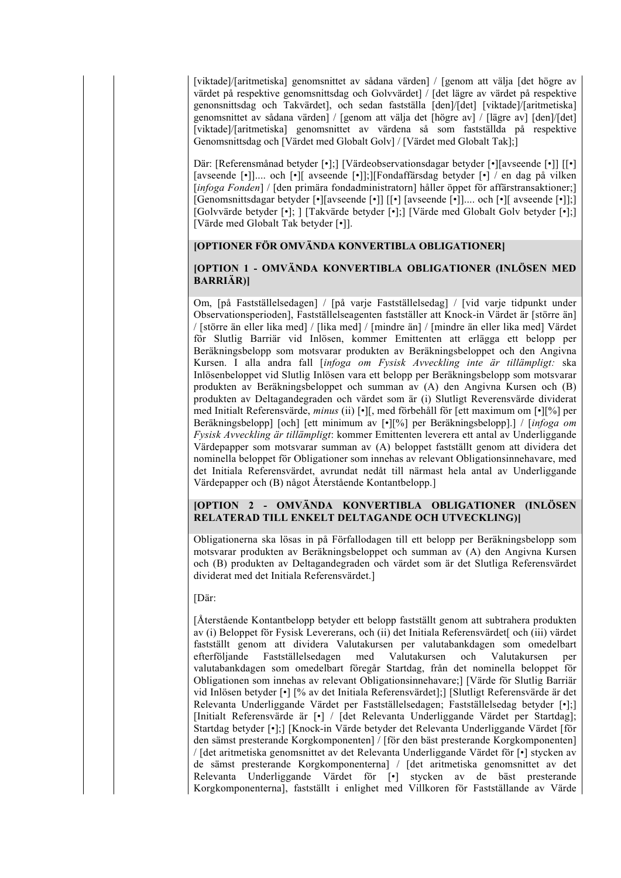[viktade]/[aritmetiska] genomsnittet av sådana värden] / [genom att välja [det högre av värdet på respektive genomsnittsdag och Golvvärdet] / [det lägre av värdet på respektive genonsnittsdag och Takvärdet], och sedan fastställa [den]/[det] [viktade]/[aritmetiska] genomsnittet av sådana värden] / [genom att välja det [högre av] / [lägre av] [den]/[det] [viktade]/[aritmetiska] genomsnittet av värdena så som fastställda på respektive Genomsnittsdag och [Värdet med Globalt Golv] / [Värdet med Globalt Tak];]

Där: [Referensmånad betyder [•];] [Värdeobservationsdagar betyder [•][avseende [•]] [[•] [avseende [•]].... och [•][ avseende [•]];][Fondaffärsdag betyder [•] / en dag på vilken [*infoga Fonden*] / [den primära fondadministratorn] håller öppet för affärstransaktioner;] [Genomsnittsdagar betyder [•][avseende [•]] [[•] [avseende [•]].... och [•][ avseende [•]];] [Golvvärde betyder [•]; ] [Takvärde betyder [•];] [Värde med Globalt Golv betyder [•];] [Värde med Globalt Tak betyder [•]].

#### **[OPTIONER FÖR OMVÄNDA KONVERTIBLA OBLIGATIONER]**

## **[OPTION 1 - OMVÄNDA KONVERTIBLA OBLIGATIONER (INLÖSEN MED BARRIÄR)]**

Om, [på Fastställelsedagen] / [på varje Fastställelsedag] / [vid varje tidpunkt under Observationsperioden], Fastställelseagenten fastställer att Knock-in Värdet är [större än] / [större än eller lika med] / [lika med] / [mindre än] / [mindre än eller lika med] Värdet för Slutlig Barriär vid Inlösen, kommer Emittenten att erlägga ett belopp per Beräkningsbelopp som motsvarar produkten av Beräkningsbeloppet och den Angivna Kursen. I alla andra fall [*infoga om Fysisk Avveckling inte är tillämpligt:* ska Inlösenbeloppet vid Slutlig Inlösen vara ett belopp per Beräkningsbelopp som motsvarar produkten av Beräkningsbeloppet och summan av (A) den Angivna Kursen och (B) produkten av Deltagandegraden och värdet som är (i) Slutligt Reverensvärde dividerat med Initialt Referensvärde, *minus* (ii) [•][, med förbehåll för [ett maximum om [•][%] per Beräkningsbelopp] [och] [ett minimum av [•][%] per Beräkningsbelopp].] / [*infoga om Fysisk Avveckling är tillämpligt*: kommer Emittenten leverera ett antal av Underliggande Värdepapper som motsvarar summan av (A) beloppet fastställt genom att dividera det nominella beloppet för Obligationer som innehas av relevant Obligationsinnehavare, med det Initiala Referensvärdet, avrundat nedåt till närmast hela antal av Underliggande Värdepapper och (B) något Återstående Kontantbelopp.]

## **[OPTION 2 - OMVÄNDA KONVERTIBLA OBLIGATIONER (INLÖSEN RELATERAD TILL ENKELT DELTAGANDE OCH UTVECKLING)]**

Obligationerna ska lösas in på Förfallodagen till ett belopp per Beräkningsbelopp som motsvarar produkten av Beräkningsbeloppet och summan av (A) den Angivna Kursen och (B) produkten av Deltagandegraden och värdet som är det Slutliga Referensvärdet dividerat med det Initiala Referensvärdet.]

#### [Där:

[Återstående Kontantbelopp betyder ett belopp fastställt genom att subtrahera produkten av (i) Beloppet för Fysisk Levererans, och (ii) det Initiala Referensvärdet[ och (iii) värdet fastställt genom att dividera Valutakursen per valutabankdagen som omedelbart efterföljande Fastställelsedagen med Valutakursen och Valutakursen per valutabankdagen som omedelbart föregår Startdag, från det nominella beloppet för Obligationen som innehas av relevant Obligationsinnehavare;] [Värde för Slutlig Barriär vid Inlösen betyder [•] [% av det Initiala Referensvärdet];] [Slutligt Referensvärde är det Relevanta Underliggande Värdet per Fastställelsedagen; Fastställelsedag betyder [•];] [Initialt Referensvärde är [•] / [det Relevanta Underliggande Värdet per Startdag]; Startdag betyder [•];] [Knock-in Värde betyder det Relevanta Underliggande Värdet [för den sämst presterande Korgkomponenten] / [för den bäst presterande Korgkomponenten] / [det aritmetiska genomsnittet av det Relevanta Underliggande Värdet för [•] stycken av de sämst presterande Korgkomponenterna] / [det aritmetiska genomsnittet av det Relevanta Underliggande Värdet för [•] stycken av de bäst presterande Korgkomponenterna], fastställt i enlighet med Villkoren för Fastställande av Värde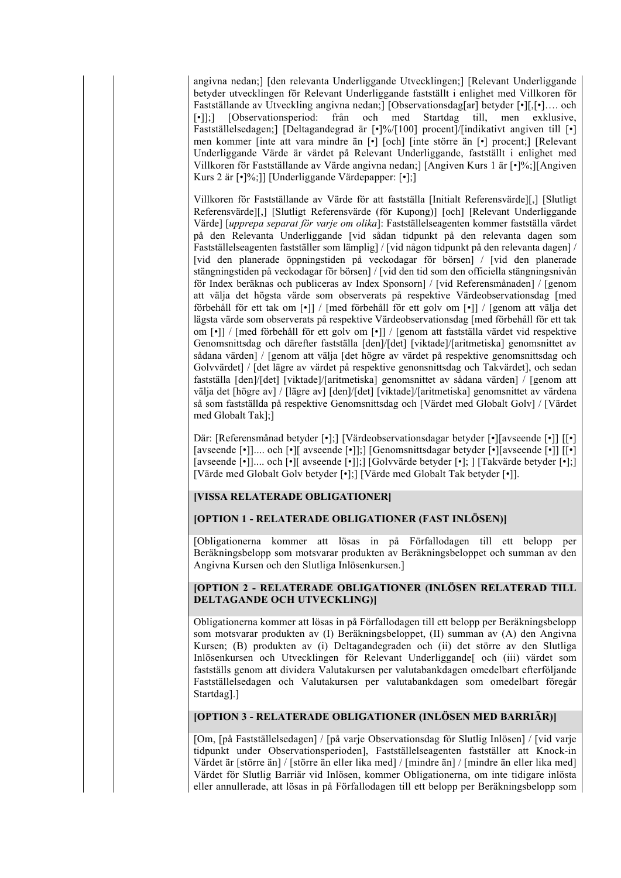angivna nedan;] [den relevanta Underliggande Utvecklingen;] [Relevant Underliggande betyder utvecklingen för Relevant Underliggande fastställt i enlighet med Villkoren för Fastställande av Utveckling angivna nedan;] [Observationsdag[ar] betyder [•][,[•]…. och [•]];] [Observationsperiod: från och med Startdag till, men exklusive, Fastställelsedagen;] [Deltagandegrad är [•]%/[100] procent]/[indikativt angiven till [•] men kommer [inte att vara mindre än [•] [och] [inte större än [•] procent;] [Relevant Underliggande Värde är värdet på Relevant Underliggande, fastställt i enlighet med Villkoren för Fastställande av Värde angivna nedan;] [Angiven Kurs 1 är [•]%;][Angiven Kurs 2 är [•]%;]] [Underliggande Värdepapper: [•];]

Villkoren för Fastställande av Värde för att fastställa [Initialt Referensvärde][,] [Slutligt Referensvärde][,] [Slutligt Referensvärde (för Kupong)] [och] [Relevant Underliggande Värde] [*upprepa separat för varje om olika*]: Fastställelseagenten kommer fastställa värdet på den Relevanta Underliggande [vid sådan tidpunkt på den relevanta dagen som Fastställelseagenten fastställer som lämplig] / [vid någon tidpunkt på den relevanta dagen] / [vid den planerade öppningstiden på veckodagar för börsen] / [vid den planerade stängningstiden på veckodagar för börsen] / [vid den tid som den officiella stängningsnivån för Index beräknas och publiceras av Index Sponsorn] / [vid Referensmånaden] / [genom att välja det högsta värde som observerats på respektive Värdeobservationsdag [med förbehåll för ett tak om [•]] / [med förbehåll för ett golv om [•]] / [genom att välja det lägsta värde som observerats på respektive Värdeobservationsdag [med förbehåll för ett tak om [•]] / [med förbehåll för ett golv om [•]] / [genom att fastställa värdet vid respektive Genomsnittsdag och därefter fastställa [den]/[det] [viktade]/[aritmetiska] genomsnittet av sådana värden] / [genom att välja [det högre av värdet på respektive genomsnittsdag och Golvvärdet] / [det lägre av värdet på respektive genonsnittsdag och Takvärdet], och sedan fastställa [den]/[det] [viktade]/[aritmetiska] genomsnittet av sådana värden] / [genom att välja det [högre av] / [lägre av] [den]/[det] [viktade]/[aritmetiska] genomsnittet av värdena så som fastställda på respektive Genomsnittsdag och [Värdet med Globalt Golv] / [Värdet med Globalt Tak];]

Där: [Referensmånad betyder [•];] [Värdeobservationsdagar betyder [•][avseende [•]] [[•] [avseende [•]].... och [•][ avseende [•]];] [Genomsnittsdagar betyder [•][avseende [•]] [[•] [avseende [•]].... och [•][ avseende [•]];] [Golvvärde betyder [•]; ] [Takvärde betyder [•];] [Värde med Globalt Golv betyder [•];] [Värde med Globalt Tak betyder [•]].

#### **[VISSA RELATERADE OBLIGATIONER]**

#### **[OPTION 1 - RELATERADE OBLIGATIONER (FAST INLÖSEN)]**

[Obligationerna kommer att lösas in på Förfallodagen till ett belopp per Beräkningsbelopp som motsvarar produkten av Beräkningsbeloppet och summan av den Angivna Kursen och den Slutliga Inlösenkursen.]

## **[OPTION 2 - RELATERADE OBLIGATIONER (INLÖSEN RELATERAD TILL DELTAGANDE OCH UTVECKLING)]**

Obligationerna kommer att lösas in på Förfallodagen till ett belopp per Beräkningsbelopp som motsvarar produkten av (I) Beräkningsbeloppet, (II) summan av (A) den Angivna Kursen; (B) produkten av (i) Deltagandegraden och (ii) det större av den Slutliga Inlösenkursen och Utvecklingen för Relevant Underliggande[ och (iii) värdet som fastställs genom att dividera Valutakursen per valutabankdagen omedelbart efterföljande Fastställelsedagen och Valutakursen per valutabankdagen som omedelbart föregår Startdag].]

#### **[OPTION 3 - RELATERADE OBLIGATIONER (INLÖSEN MED BARRIÄR)]**

[Om, [på Fastställelsedagen] / [på varje Observationsdag för Slutlig Inlösen] / [vid varje tidpunkt under Observationsperioden], Fastställelseagenten fastställer att Knock-in Värdet är [större än] / [större än eller lika med] / [mindre än] / [mindre än eller lika med] Värdet för Slutlig Barriär vid Inlösen, kommer Obligationerna, om inte tidigare inlösta eller annullerade, att lösas in på Förfallodagen till ett belopp per Beräkningsbelopp som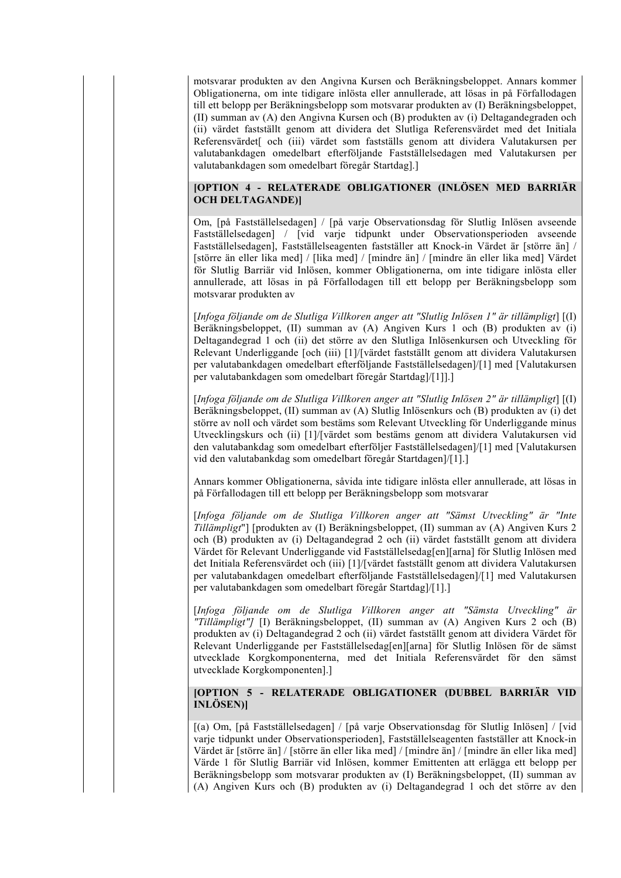motsvarar produkten av den Angivna Kursen och Beräkningsbeloppet. Annars kommer Obligationerna, om inte tidigare inlösta eller annullerade, att lösas in på Förfallodagen till ett belopp per Beräkningsbelopp som motsvarar produkten av (I) Beräkningsbeloppet, (II) summan av (A) den Angivna Kursen och (B) produkten av (i) Deltagandegraden och (ii) värdet fastställt genom att dividera det Slutliga Referensvärdet med det Initiala Referensvärdet[ och (iii) värdet som fastställs genom att dividera Valutakursen per valutabankdagen omedelbart efterföljande Fastställelsedagen med Valutakursen per valutabankdagen som omedelbart föregår Startdag].]

## **[OPTION 4 - RELATERADE OBLIGATIONER (INLÖSEN MED BARRIÄR OCH DELTAGANDE)]**

Om, [på Fastställelsedagen] / [på varje Observationsdag för Slutlig Inlösen avseende Fastställelsedagen] / [vid varje tidpunkt under Observationsperioden avseende Fastställelsedagen], Fastställelseagenten fastställer att Knock-in Värdet är [större än] / [större än eller lika med] / [lika med] / [mindre än] / [mindre än eller lika med] Värdet för Slutlig Barriär vid Inlösen, kommer Obligationerna, om inte tidigare inlösta eller annullerade, att lösas in på Förfallodagen till ett belopp per Beräkningsbelopp som motsvarar produkten av

[*Infoga följande om de Slutliga Villkoren anger att "Slutlig Inlösen 1" är tillämpligt*] [(I) Beräkningsbeloppet, (II) summan av (A) Angiven Kurs 1 och (B) produkten av (i) Deltagandegrad 1 och (ii) det större av den Slutliga Inlösenkursen och Utveckling för Relevant Underliggande [och (iii) [1]/[värdet fastställt genom att dividera Valutakursen per valutabankdagen omedelbart efterföljande Fastställelsedagen]/[1] med [Valutakursen per valutabankdagen som omedelbart föregår Startdag]/[1]].]

[*Infoga följande om de Slutliga Villkoren anger att "Slutlig Inlösen 2" är tillämpligt*] [(I) Beräkningsbeloppet, (II) summan av (A) Slutlig Inlösenkurs och (B) produkten av (i) det större av noll och värdet som bestäms som Relevant Utveckling för Underliggande minus Utvecklingskurs och (ii) [1]/[värdet som bestäms genom att dividera Valutakursen vid den valutabankdag som omedelbart efterföljer Fastställelsedagen]/[1] med [Valutakursen vid den valutabankdag som omedelbart föregår Startdagen]/[1].]

Annars kommer Obligationerna, såvida inte tidigare inlösta eller annullerade, att lösas in på Förfallodagen till ett belopp per Beräkningsbelopp som motsvarar

[*Infoga följande om de Slutliga Villkoren anger att "Sämst Utveckling" är "Inte Tillämpligt*"] [produkten av (I) Beräkningsbeloppet, (II) summan av (A) Angiven Kurs 2 och (B) produkten av (i) Deltagandegrad 2 och (ii) värdet fastställt genom att dividera Värdet för Relevant Underliggande vid Fastställelsedag[en][arna] för Slutlig Inlösen med det Initiala Referensvärdet och (iii) [1]/[värdet fastställt genom att dividera Valutakursen per valutabankdagen omedelbart efterföljande Fastställelsedagen]/[1] med Valutakursen per valutabankdagen som omedelbart föregår Startdag]/[1].]

[*Infoga följande om de Slutliga Villkoren anger att "Sämsta Utveckling" är "Tillämpligt"]* [I) Beräkningsbeloppet, (II) summan av (A) Angiven Kurs 2 och (B) produkten av (i) Deltagandegrad 2 och (ii) värdet fastställt genom att dividera Värdet för Relevant Underliggande per Fastställelsedag[en][arna] för Slutlig Inlösen för de sämst utvecklade Korgkomponenterna, med det Initiala Referensvärdet för den sämst utvecklade Korgkomponenten].]

## **[OPTION 5 - RELATERADE OBLIGATIONER (DUBBEL BARRIÄR VID INLÖSEN)]**

[(a) Om, [på Fastställelsedagen] / [på varje Observationsdag för Slutlig Inlösen] / [vid varje tidpunkt under Observationsperioden], Fastställelseagenten fastställer att Knock-in Värdet är [större än] / [större än eller lika med] / [mindre än] / [mindre än eller lika med] Värde 1 för Slutlig Barriär vid Inlösen, kommer Emittenten att erlägga ett belopp per Beräkningsbelopp som motsvarar produkten av (I) Beräkningsbeloppet, (II) summan av (A) Angiven Kurs och (B) produkten av (i) Deltagandegrad 1 och det större av den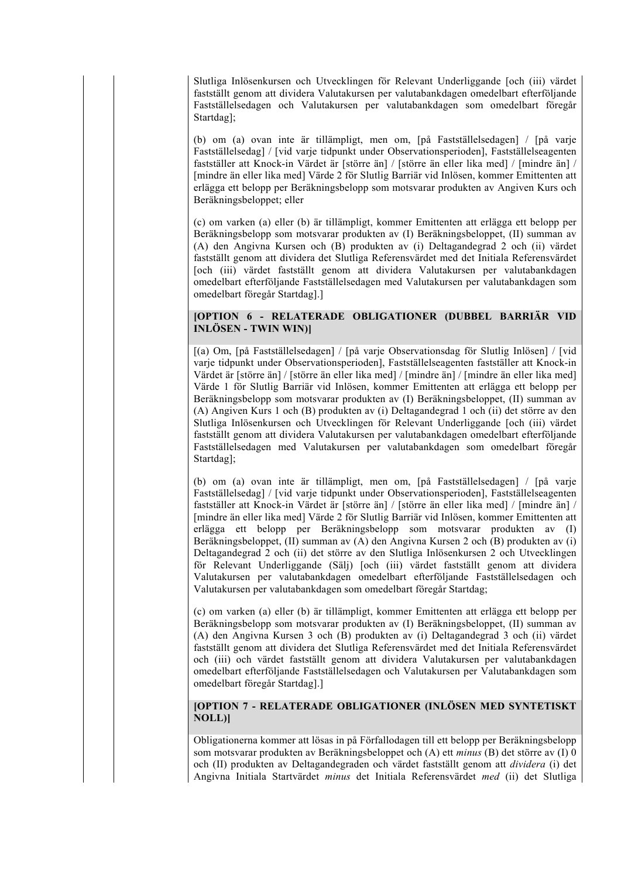Slutliga Inlösenkursen och Utvecklingen för Relevant Underliggande [och (iii) värdet fastställt genom att dividera Valutakursen per valutabankdagen omedelbart efterföljande Fastställelsedagen och Valutakursen per valutabankdagen som omedelbart föregår Startdag];

(b) om (a) ovan inte är tillämpligt, men om, [på Fastställelsedagen] / [på varje Fastställelsedag] / [vid varje tidpunkt under Observationsperioden], Fastställelseagenten fastställer att Knock-in Värdet är [större än] / [större än eller lika med] / [mindre än] / [mindre än eller lika med] Värde 2 för Slutlig Barriär vid Inlösen, kommer Emittenten att erlägga ett belopp per Beräkningsbelopp som motsvarar produkten av Angiven Kurs och Beräkningsbeloppet; eller

(c) om varken (a) eller (b) är tillämpligt, kommer Emittenten att erlägga ett belopp per Beräkningsbelopp som motsvarar produkten av (I) Beräkningsbeloppet, (II) summan av (A) den Angivna Kursen och (B) produkten av (i) Deltagandegrad 2 och (ii) värdet fastställt genom att dividera det Slutliga Referensvärdet med det Initiala Referensvärdet [och (iii) värdet fastställt genom att dividera Valutakursen per valutabankdagen omedelbart efterföljande Fastställelsedagen med Valutakursen per valutabankdagen som omedelbart föregår Startdag].]

## **[OPTION 6 - RELATERADE OBLIGATIONER (DUBBEL BARRIÄR VID INLÖSEN - TWIN WIN)]**

[(a) Om, [på Fastställelsedagen] / [på varje Observationsdag för Slutlig Inlösen] / [vid varje tidpunkt under Observationsperioden], Fastställelseagenten fastställer att Knock-in Värdet är [större än] / [större än eller lika med] / [mindre än] / [mindre än eller lika med] Värde 1 för Slutlig Barriär vid Inlösen, kommer Emittenten att erlägga ett belopp per Beräkningsbelopp som motsvarar produkten av (I) Beräkningsbeloppet, (II) summan av (A) Angiven Kurs 1 och (B) produkten av (i) Deltagandegrad 1 och (ii) det större av den Slutliga Inlösenkursen och Utvecklingen för Relevant Underliggande [och (iii) värdet fastställt genom att dividera Valutakursen per valutabankdagen omedelbart efterföljande Fastställelsedagen med Valutakursen per valutabankdagen som omedelbart föregår Startdag];

(b) om (a) ovan inte är tillämpligt, men om, [på Fastställelsedagen] / [på varje Fastställelsedag] / [vid varje tidpunkt under Observationsperioden], Fastställelseagenten fastställer att Knock-in Värdet är [större än] / [större än eller lika med] / [mindre än] / [mindre än eller lika med] Värde 2 för Slutlig Barriär vid Inlösen, kommer Emittenten att erlägga ett belopp per Beräkningsbelopp som motsvarar produkten av (I) Beräkningsbeloppet, (II) summan av (A) den Angivna Kursen 2 och (B) produkten av (i) Deltagandegrad 2 och (ii) det större av den Slutliga Inlösenkursen 2 och Utvecklingen för Relevant Underliggande (Sälj) [och (iii) värdet fastställt genom att dividera Valutakursen per valutabankdagen omedelbart efterföljande Fastställelsedagen och Valutakursen per valutabankdagen som omedelbart föregår Startdag;

(c) om varken (a) eller (b) är tillämpligt, kommer Emittenten att erlägga ett belopp per Beräkningsbelopp som motsvarar produkten av (I) Beräkningsbeloppet, (II) summan av (A) den Angivna Kursen 3 och (B) produkten av (i) Deltagandegrad 3 och (ii) värdet fastställt genom att dividera det Slutliga Referensvärdet med det Initiala Referensvärdet och (iii) och värdet fastställt genom att dividera Valutakursen per valutabankdagen omedelbart efterföljande Fastställelsedagen och Valutakursen per Valutabankdagen som omedelbart föregår Startdag].]

## **[OPTION 7 - RELATERADE OBLIGATIONER (INLÖSEN MED SYNTETISKT NOLL)]**

Obligationerna kommer att lösas in på Förfallodagen till ett belopp per Beräkningsbelopp som motsvarar produkten av Beräkningsbeloppet och (A) ett *minus* (B) det större av (I) 0 och (II) produkten av Deltagandegraden och värdet fastställt genom att *dividera* (i) det Angivna Initiala Startvärdet *minus* det Initiala Referensvärdet *med* (ii) det Slutliga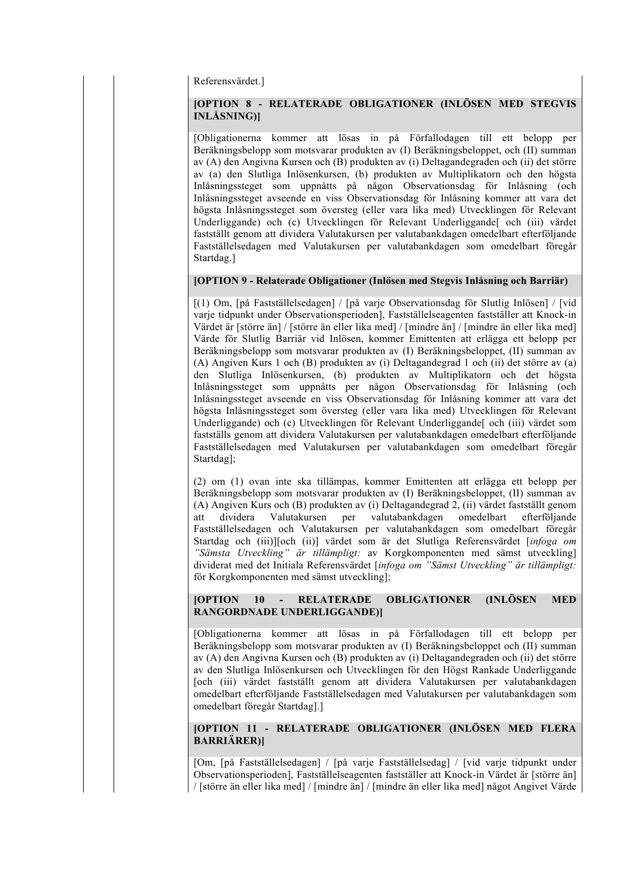Referensvärdet.]

# **[OPTION 8 - RELATERADE OBLIGATIONER (INLÖSEN MED STEGVIS INLÅSNING)]**

[Obligationerna kommer att lösas in på Förfallodagen till ett belopp per Beräkningsbelopp som motsvarar produkten av (I) Beräkningsbeloppet, och (II) summan av (A) den Angivna Kursen och (B) produkten av (i) Deltagandegraden och (ii) det större av (a) den Slutliga Inlösenkursen, (b) produkten av Multiplikatorn och den högsta Inlåsningssteget som uppnåtts på någon Observationsdag för Inlåsning (och Inlåsningssteget avseende en viss Observationsdag för Inlåsning kommer att vara det högsta Inlåsningssteget som översteg (eller vara lika med) Utvecklingen för Relevant Underliggande) och (c) Utvecklingen för Relevant Underliggande<sup>[</sup> och (iii) värdet fastställt genom att dividera Valutakursen per valutabankdagen omedelbart efterföljande Fastställelsedagen med Valutakursen per valutabankdagen som omedelbart föregår Startdag.]

#### **[OPTION 9 - Relaterade Obligationer (Inlösen med Stegvis Inlåsning och Barriär)**

[(1) Om, [på Fastställelsedagen] / [på varje Observationsdag för Slutlig Inlösen] / [vid varje tidpunkt under Observationsperioden], Fastställelseagenten fastställer att Knock-in Värdet är [större än] / [större än eller lika med] / [mindre än] / [mindre än eller lika med] Värde för Slutlig Barriär vid Inlösen, kommer Emittenten att erlägga ett belopp per Beräkningsbelopp som motsvarar produkten av (I) Beräkningsbeloppet, (II) summan av (A) Angiven Kurs 1 och (B) produkten av (i) Deltagandegrad 1 och (ii) det större av (a) den Slutliga Inlösenkursen, (b) produkten av Multiplikatorn och det högsta Inlåsningssteget som uppnåtts per någon Observationsdag för Inlåsning (och Inlåsningssteget avseende en viss Observationsdag för Inlåsning kommer att vara det högsta Inlåsningssteget som översteg (eller vara lika med) Utvecklingen för Relevant Underliggande) och (c) Utvecklingen för Relevant Underliggande[ och (iii) värdet som fastställs genom att dividera Valutakursen per valutabankdagen omedelbart efterföljande Fastställelsedagen med Valutakursen per valutabankdagen som omedelbart föregår Startdag];

(2) om (1) ovan inte ska tillämpas, kommer Emittenten att erlägga ett belopp per Beräkningsbelopp som motsvarar produkten av (I) Beräkningsbeloppet, (II) summan av (A) Angiven Kurs och (B) produkten av (i) Deltagandegrad 2, (ii) värdet fastställt genom att dividera Valutakursen per valutabankdagen omedelbart efterföljande Fastställelsedagen och Valutakursen per valutabankdagen som omedelbart föregår Startdag och (iii)][och (ii)] värdet som är det Slutliga Referensvärdet [*infoga om "Sämsta Utveckling" är tillämpligt:* av Korgkomponenten med sämst utveckling] dividerat med det Initiala Referensvärdet [*infoga om "Sämst Utveckling" är tillämpligt:* för Korgkomponenten med sämst utveckling];

## **[OPTION 10 - RELATERADE OBLIGATIONER (INLÖSEN MED RANGORDNADE UNDERLIGGANDE)]**

[Obligationerna kommer att lösas in på Förfallodagen till ett belopp per Beräkningsbelopp som motsvarar produkten av (I) Beräkningsbeloppet och (II) summan av (A) den Angivna Kursen och (B) produkten av (i) Deltagandegraden och (ii) det större av den Slutliga Inlösenkursen och Utvecklingen för den Högst Rankade Underliggande [och (iii) värdet fastställt genom att dividera Valutakursen per valutabankdagen omedelbart efterföljande Fastställelsedagen med Valutakursen per valutabankdagen som omedelbart föregår Startdag].]

## **[OPTION 11 - RELATERADE OBLIGATIONER (INLÖSEN MED FLERA BARRIÄRER)]**

[Om, [på Fastställelsedagen] / [på varje Fastställelsedag] / [vid varje tidpunkt under Observationsperioden], Fastställelseagenten fastställer att Knock-in Värdet är [större än] / [större än eller lika med] / [mindre än] / [mindre än eller lika med] något Angivet Värde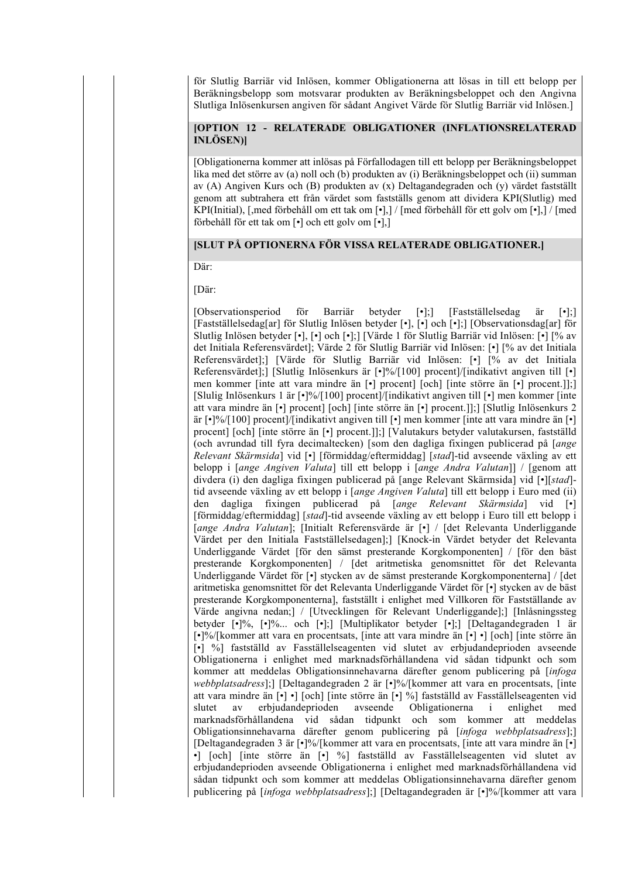för Slutlig Barriär vid Inlösen, kommer Obligationerna att lösas in till ett belopp per Beräkningsbelopp som motsvarar produkten av Beräkningsbeloppet och den Angivna Slutliga Inlösenkursen angiven för sådant Angivet Värde för Slutlig Barriär vid Inlösen.]

#### **[OPTION 12 - RELATERADE OBLIGATIONER (INFLATIONSRELATERAD INLÖSEN)]**

[Obligationerna kommer att inlösas på Förfallodagen till ett belopp per Beräkningsbeloppet lika med det större av (a) noll och (b) produkten av (i) Beräkningsbeloppet och (ii) summan av (A) Angiven Kurs och (B) produkten av (x) Deltagandegraden och (y) värdet fastställt genom att subtrahera ett från värdet som fastställs genom att dividera KPI(Slutlig) med KPI(Initial), [,med förbehåll om ett tak om [•],] / [med förbehåll för ett golv om [•],] / [med förbehåll för ett tak om [•] och ett golv om [•],]

#### **[SLUT PÅ OPTIONERNA FÖR VISSA RELATERADE OBLIGATIONER.]**

Där:

[Där:

[Observationsperiod för Barriär betyder [•];] [Fastställelsedag är [•];] [Fastställelsedag[ar] för Slutlig Inlösen betyder [•], [•] och [•];] [Observationsdag[ar] för Slutlig Inlösen betyder [•], [•] och [•];] [Värde 1 för Slutlig Barriär vid Inlösen: [•] [% av det Initiala Referensvärdet]; Värde 2 för Slutlig Barriär vid Inlösen: [•] [% av det Initiala Referensvärdet];] [Värde för Slutlig Barriär vid Inlösen: [•] [% av det Initiala Referensvärdet];] [Slutlig Inlösenkurs är [•]%/[100] procent]/[indikativt angiven till [•] men kommer [inte att vara mindre än [•] procent] [och] [inte större än [•] procent.]];] [Slulig Inlösenkurs 1 är [•]%/[100] procent]/[indikativt angiven till [•] men kommer [inte att vara mindre än [•] procent] [och] [inte större än [•] procent.]];] [Slutlig Inlösenkurs 2 är [•]%/[100] procent]/[indikativt angiven till [•] men kommer [inte att vara mindre än [•] procent] [och] [inte större än [•] procent.]];] [Valutakurs betyder valutakursen, fastställd (och avrundad till fyra decimaltecken) [som den dagliga fixingen publicerad på [*ange Relevant Skärmsida*] vid [•] [förmiddag/eftermiddag] [*stad*]-tid avseende växling av ett belopp i [*ange Angiven Valuta*] till ett belopp i [*ange Andra Valutan*]] / [genom att divdera (i) den dagliga fixingen publicerad på [ange Relevant Skärmsida] vid [•][*stad*] tid avseende växling av ett belopp i [*ange Angiven Valuta*] till ett belopp i Euro med (ii) den dagliga fixingen publicerad på [*ange Relevant Skärmsida*] vid [•] [förmiddag/eftermiddag] [*stad*]-tid avseende växling av ett belopp i Euro till ett belopp i [*ange Andra Valutan*]; [Initialt Referensvärde är [•] / [det Relevanta Underliggande Värdet per den Initiala Fastställelsedagen];] [Knock-in Värdet betyder det Relevanta Underliggande Värdet [för den sämst presterande Korgkomponenten] / [för den bäst presterande Korgkomponenten] / [det aritmetiska genomsnittet för det Relevanta Underliggande Värdet för [•] stycken av de sämst presterande Korgkomponenterna] / [det aritmetiska genomsnittet för det Relevanta Underliggande Värdet för [•] stycken av de bäst presterande Korgkomponenterna], fastställt i enlighet med Villkoren för Fastställande av Värde angivna nedan;] / [Utvecklingen för Relevant Underliggande];] [Inlåsningssteg betyder [•]%, [•]%... och [•];] [Multiplikator betyder [•];] [Deltagandegraden 1 är [•]%/[kommer att vara en procentsats, [inte att vara mindre än [•] •] [och] [inte större än [•] %] fastställd av Fasställelseagenten vid slutet av erbjudandeprioden avseende Obligationerna i enlighet med marknadsförhållandena vid sådan tidpunkt och som kommer att meddelas Obligationsinnehavarna därefter genom publicering på [*infoga webbplatsadress*];] [Deltagandegraden 2 är [•]%/[kommer att vara en procentsats, [inte att vara mindre än [•] •] [och] [inte större än [•] %] fastställd av Fasställelseagenten vid slutet av erbjudandeprioden avseende Obligationerna i enlighet med marknadsförhållandena vid sådan tidpunkt och som kommer att meddelas Obligationsinnehavarna därefter genom publicering på [*infoga webbplatsadress*];] [Deltagandegraden 3 är [•]%/[kommer att vara en procentsats, [inte att vara mindre än [•] •] [och] [inte större än [•] %] fastställd av Fasställelseagenten vid slutet av erbjudandeprioden avseende Obligationerna i enlighet med marknadsförhållandena vid sådan tidpunkt och som kommer att meddelas Obligationsinnehavarna därefter genom publicering på [*infoga webbplatsadress*];] [Deltagandegraden är [•]%/[kommer att vara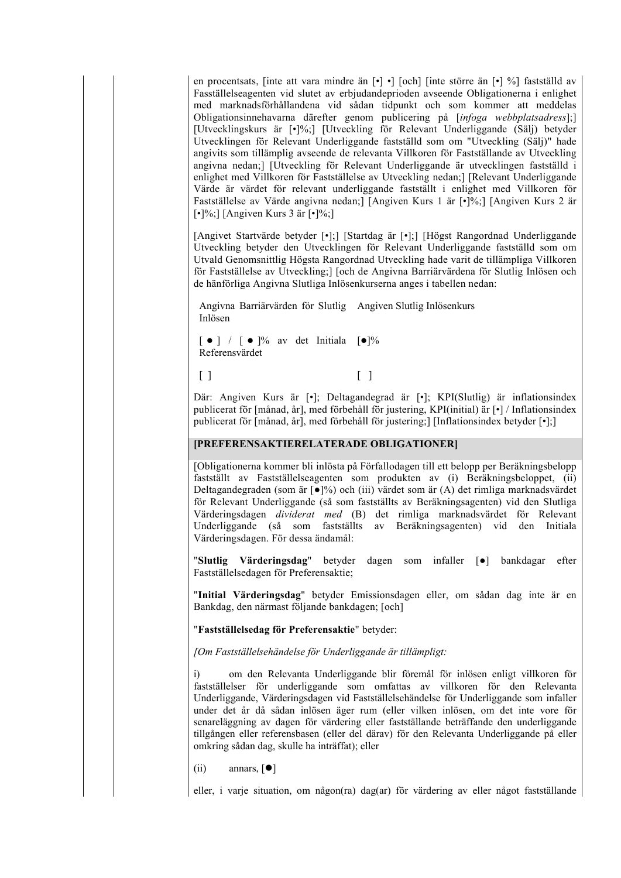en procentsats, [inte att vara mindre än [•] •] [och] [inte större än [•] %] fastställd av Fasställelseagenten vid slutet av erbjudandeprioden avseende Obligationerna i enlighet med marknadsförhållandena vid sådan tidpunkt och som kommer att meddelas Obligationsinnehavarna därefter genom publicering på [*infoga webbplatsadress*];] [Utvecklingskurs är [•]%;] [Utveckling för Relevant Underliggande (Sälj) betyder Utvecklingen för Relevant Underliggande fastställd som om "Utveckling (Sälj)" hade angivits som tillämplig avseende de relevanta Villkoren för Fastställande av Utveckling angivna nedan;] [Utveckling för Relevant Underliggande är utvecklingen fastställd i enlighet med Villkoren för Fastställelse av Utveckling nedan;] [Relevant Underliggande Värde är värdet för relevant underliggande fastställt i enlighet med Villkoren för Fastställelse av Värde angivna nedan;] [Angiven Kurs 1 är [•]%;] [Angiven Kurs 2 är [•]%;] [Angiven Kurs 3 är [•]%;]

[Angivet Startvärde betyder [•];] [Startdag är [•];] [Högst Rangordnad Underliggande Utveckling betyder den Utvecklingen för Relevant Underliggande fastställd som om Utvald Genomsnittlig Högsta Rangordnad Utveckling hade varit de tillämpliga Villkoren för Fastställelse av Utveckling;] [och de Angivna Barriärvärdena för Slutlig Inlösen och de hänförliga Angivna Slutliga Inlösenkurserna anges i tabellen nedan:

Angivna Barriärvärden för Slutlig Angiven Slutlig Inlösenkurs Inlösen

 $\begin{bmatrix} \bullet \end{bmatrix}$  /  $\begin{bmatrix} \bullet \end{bmatrix}$ % av det Initiala  $\begin{bmatrix} \bullet \end{bmatrix}$ % Referensvärdet

 $\begin{bmatrix} 1 & 1 & 1 \end{bmatrix}$ 

Där: Angiven Kurs är [•]; Deltagandegrad är [•]; KPI(Slutlig) är inflationsindex publicerat för [månad, år], med förbehåll för justering, KPI(initial) är [•] / Inflationsindex publicerat för [månad, år], med förbehåll för justering;] [Inflationsindex betyder [•];]

#### **[PREFERENSAKTIERELATERADE OBLIGATIONER]**

[Obligationerna kommer bli inlösta på Förfallodagen till ett belopp per Beräkningsbelopp fastställt av Fastställelseagenten som produkten av (i) Beräkningsbeloppet, (ii) Deltagandegraden (som är [●]%) och (iii) värdet som är (A) det rimliga marknadsvärdet för Relevant Underliggande (så som fastställts av Beräkningsagenten) vid den Slutliga Värderingsdagen *dividerat med* (B) det rimliga marknadsvärdet för Relevant Underliggande (så som fastställts av Beräkningsagenten) vid den Initiala Värderingsdagen. För dessa ändamål:

"**Slutlig Värderingsdag**" betyder dagen som infaller [●] bankdagar efter Fastställelsedagen för Preferensaktie;

"**Initial Värderingsdag**" betyder Emissionsdagen eller, om sådan dag inte är en Bankdag, den närmast följande bankdagen; [och]

"**Fastställelsedag för Preferensaktie**" betyder:

*[Om Fastställelsehändelse för Underliggande är tillämpligt:*

i) om den Relevanta Underliggande blir föremål för inlösen enligt villkoren för fastställelser för underliggande som omfattas av villkoren för den Relevanta Underliggande, Värderingsdagen vid Fastställelsehändelse för Underliggande som infaller under det år då sådan inlösen äger rum (eller vilken inlösen, om det inte vore för senareläggning av dagen för värdering eller fastställande beträffande den underliggande tillgången eller referensbasen (eller del därav) för den Relevanta Underliggande på eller omkring sådan dag, skulle ha inträffat); eller

(ii) annars,  $[\bullet]$ 

eller, i varje situation, om någon(ra) dag(ar) för värdering av eller något fastställande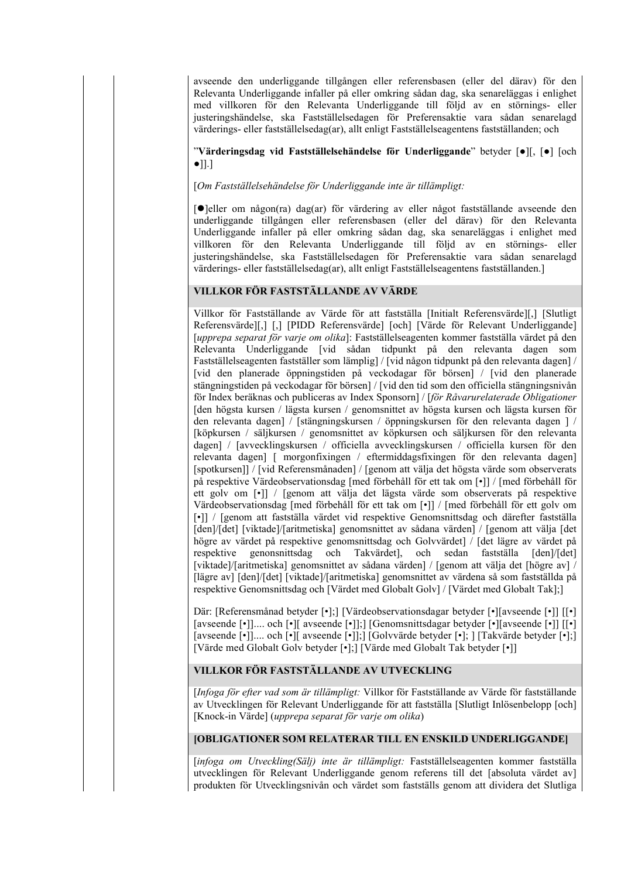avseende den underliggande tillgången eller referensbasen (eller del därav) för den Relevanta Underliggande infaller på eller omkring sådan dag, ska senareläggas i enlighet med villkoren för den Relevanta Underliggande till följd av en störnings- eller justeringshändelse, ska Fastställelsedagen för Preferensaktie vara sådan senarelagd värderings- eller fastställelsedag(ar), allt enligt Fastställelseagentens fastställanden; och

## "**Värderingsdag vid Fastställelsehändelse för Underliggande**" betyder [●][, [●] [och ●]].]

#### [*Om Fastställelsehändelse för Underliggande inte är tillämpligt:*

[]eller om någon(ra) dag(ar) för värdering av eller något fastställande avseende den underliggande tillgången eller referensbasen (eller del därav) för den Relevanta Underliggande infaller på eller omkring sådan dag, ska senareläggas i enlighet med villkoren för den Relevanta Underliggande till följd av en störnings- eller justeringshändelse, ska Fastställelsedagen för Preferensaktie vara sådan senarelagd värderings- eller fastställelsedag(ar), allt enligt Fastställelseagentens fastställanden.]

## **VILLKOR FÖR FASTSTÄLLANDE AV VÄRDE**

Villkor för Fastställande av Värde för att fastställa [Initialt Referensvärde][,] [Slutligt Referensvärde][,] [,] [PIDD Referensvärde] [och] [Värde för Relevant Underliggande] [*upprepa separat för varje om olika*]: Fastställelseagenten kommer fastställa värdet på den Relevanta Underliggande [vid sådan tidpunkt på den relevanta dagen som Fastställelseagenten fastställer som lämplig] / [vid någon tidpunkt på den relevanta dagen] / [vid den planerade öppningstiden på veckodagar för börsen] / [vid den planerade stängningstiden på veckodagar för börsen] / [vid den tid som den officiella stängningsnivån för Index beräknas och publiceras av Index Sponsorn] / [*för Råvarurelaterade Obligationer* [den högsta kursen / lägsta kursen / genomsnittet av högsta kursen och lägsta kursen för den relevanta dagen] / [stängningskursen / öppningskursen för den relevanta dagen ] / [köpkursen / säljkursen / genomsnittet av köpkursen och säljkursen för den relevanta dagen] / [avvecklingskursen / officiella avvecklingskursen / officiella kursen för den relevanta dagen] [ morgonfixingen / eftermiddagsfixingen för den relevanta dagen] [spotkursen]] / [vid Referensmånaden] / [genom att välja det högsta värde som observerats på respektive Värdeobservationsdag [med förbehåll för ett tak om [•]] / [med förbehåll för ett golv om [•]] / [genom att välja det lägsta värde som observerats på respektive Värdeobservationsdag [med förbehåll för ett tak om [•]] / [med förbehåll för ett golv om [•]] / [genom att fastställa värdet vid respektive Genomsnittsdag och därefter fastställa [den]/[det] [viktade]/[aritmetiska] genomsnittet av sådana värden] / [genom att välja [det högre av värdet på respektive genomsnittsdag och Golvvärdet] / [det lägre av värdet på respektive genonsnittsdag och Takvärdet], och sedan fastställa [den]/[det] [viktade]/[aritmetiska] genomsnittet av sådana värden] / [genom att välja det [högre av] / [lägre av] [den]/[det] [viktade]/[aritmetiska] genomsnittet av värdena så som fastställda på respektive Genomsnittsdag och [Värdet med Globalt Golv] / [Värdet med Globalt Tak];]

Där: [Referensmånad betyder [•];] [Värdeobservationsdagar betyder [•][avseende [•]] [[•] [avseende [•]].... och [•][ avseende [•]];] [Genomsnittsdagar betyder [•][avseende [•]] [[•] [avseende [•]].... och [•][ avseende [•]];] [Golvvärde betyder [•]; ] [Takvärde betyder [•];] [Värde med Globalt Golv betyder [•];] [Värde med Globalt Tak betyder [•]]

# **VILLKOR FÖR FASTSTÄLLANDE AV UTVECKLING**

[*Infoga för efter vad som är tillämpligt:* Villkor för Fastställande av Värde för fastställande av Utvecklingen för Relevant Underliggande för att fastställa [Slutligt Inlösenbelopp [och] [Knock-in Värde] (*upprepa separat för varje om olika*)

## **[OBLIGATIONER SOM RELATERAR TILL EN ENSKILD UNDERLIGGANDE]**

[*infoga om Utveckling(Sälj) inte är tillämpligt:* Fastställelseagenten kommer fastställa utvecklingen för Relevant Underliggande genom referens till det [absoluta värdet av] produkten för Utvecklingsnivån och värdet som fastställs genom att dividera det Slutliga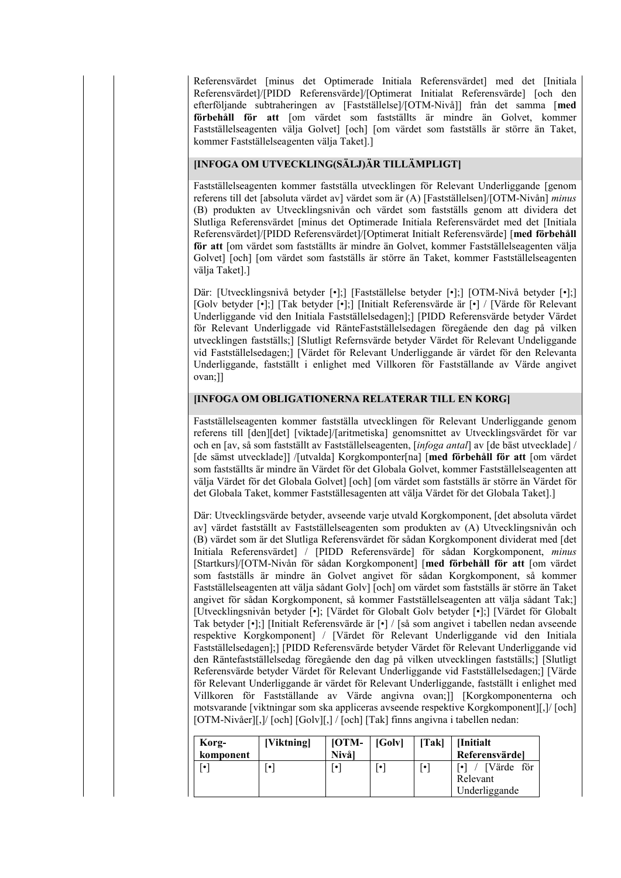Referensvärdet [minus det Optimerade Initiala Referensvärdet] med det [Initiala Referensvärdet]/[PIDD Referensvärde]/[Optimerat Initialat Referensvärde] [och den efterföljande subtraheringen av [Fastställelse]/[OTM-Nivå]] från det samma [**med förbehåll för att** [om värdet som fastställts är mindre än Golvet, kommer Fastställelseagenten välja Golvet] [och] [om värdet som fastställs är större än Taket, kommer Fastställelseagenten välja Taket].]

## **[INFOGA OM UTVECKLING(SÄLJ)ÄR TILLÄMPLIGT]**

Fastställelseagenten kommer fastställa utvecklingen för Relevant Underliggande [genom referens till det [absoluta värdet av] värdet som är (A) [Fastställelsen]/[OTM-Nivån] *minus* (B) produkten av Utvecklingsnivån och värdet som fastställs genom att dividera det Slutliga Referensvärdet [minus det Optimerade Initiala Referensvärdet med det [Initiala Referensvärdet]/[PIDD Referensvärdet]/[Optimerat Initialt Referensvärde] [**med förbehåll för att** [om värdet som fastställts är mindre än Golvet, kommer Fastställelseagenten välja Golvet] [och] [om värdet som fastställs är större än Taket, kommer Fastställelseagenten välja Taket].]

Där: [Utvecklingsnivå betyder [•];] [Fastställelse betyder [•];] [OTM-Nivå betyder [•];] [Golv betyder [•];] [Tak betyder [•];] [Initialt Referensvärde är [•] / [Värde för Relevant Underliggande vid den Initiala Fastställelsedagen];] [PIDD Referensvärde betyder Värdet för Relevant Underliggade vid RänteFastställelsedagen föregående den dag på vilken utvecklingen fastställs;] [Slutligt Refernsvärde betyder Värdet för Relevant Undeliggande vid Fastställelsedagen;] [Värdet för Relevant Underliggande är värdet för den Relevanta Underliggande, fastställt i enlighet med Villkoren för Fastställande av Värde angivet ovan;]]

#### **[INFOGA OM OBLIGATIONERNA RELATERAR TILL EN KORG]**

Fastställelseagenten kommer fastställa utvecklingen för Relevant Underliggande genom referens till [den][det] [viktade]/[aritmetiska] genomsnittet av Utvecklingsvärdet för var och en [av, så som fastställt av Fastställelseagenten, [*infoga antal*] av [de bäst utvecklade] / [de sämst utvecklade]] /[utvalda] Korgkomponter[na] [**med förbehåll för att** [om värdet som fastställts är mindre än Värdet för det Globala Golvet, kommer Fastställelseagenten att välja Värdet för det Globala Golvet] [och] [om värdet som fastställs är större än Värdet för det Globala Taket, kommer Fastställesagenten att välja Värdet för det Globala Taket].]

Där: Utvecklingsvärde betyder, avseende varje utvald Korgkomponent, [det absoluta värdet av] värdet fastställt av Fastställelseagenten som produkten av (A) Utvecklingsnivån och (B) värdet som är det Slutliga Referensvärdet för sådan Korgkomponent dividerat med [det Initiala Referensvärdet] / [PIDD Referensvärde] för sådan Korgkomponent, *minus* [Startkurs]/[OTM-Nivån för sådan Korgkomponent] [**med förbehåll för att** [om värdet som fastställs är mindre än Golvet angivet för sådan Korgkomponent, så kommer Fastställelseagenten att välja sådant Golv] [och] om värdet som fastställs är större än Taket angivet för sådan Korgkomponent, så kommer Fastställelseagenten att välja sådant Tak;] [Utvecklingsnivån betyder [•]; [Värdet för Globalt Golv betyder [•];] [Värdet för Globalt Tak betyder [•];] [Initialt Referensvärde är [•] / [så som angivet i tabellen nedan avseende respektive Korgkomponent] / [Värdet för Relevant Underliggande vid den Initiala Fastställelsedagen];] [PIDD Referensvärde betyder Värdet för Relevant Underliggande vid den Räntefastställelsedag föregående den dag på vilken utvecklingen fastställs;] [Slutligt Referensvärde betyder Värdet för Relevant Underliggande vid Fastställelsedagen;] [Värde för Relevant Underliggande är värdet för Relevant Underliggande, fastställt i enlighet med Villkoren för Fastställande av Värde angivna ovan;]] [Korgkomponenterna och motsvarande [viktningar som ska appliceras avseende respektive Korgkomponent][,]/ [och] [OTM-Nivåer][,]/ [och] [Golv][,] / [och] [Tak] finns angivna i tabellen nedan:

| Korg-<br>komponent | [Viktning] | $\overline{[OTM]}$<br>Nivål | [Golv]    | [Tak] | <i><b>Initialt</b></i><br>Referensvärdel |
|--------------------|------------|-----------------------------|-----------|-------|------------------------------------------|
|                    |            | $\bullet$                   | $\bullet$ | ۰٦.   | [Värde för<br>Relevant<br>Underliggande  |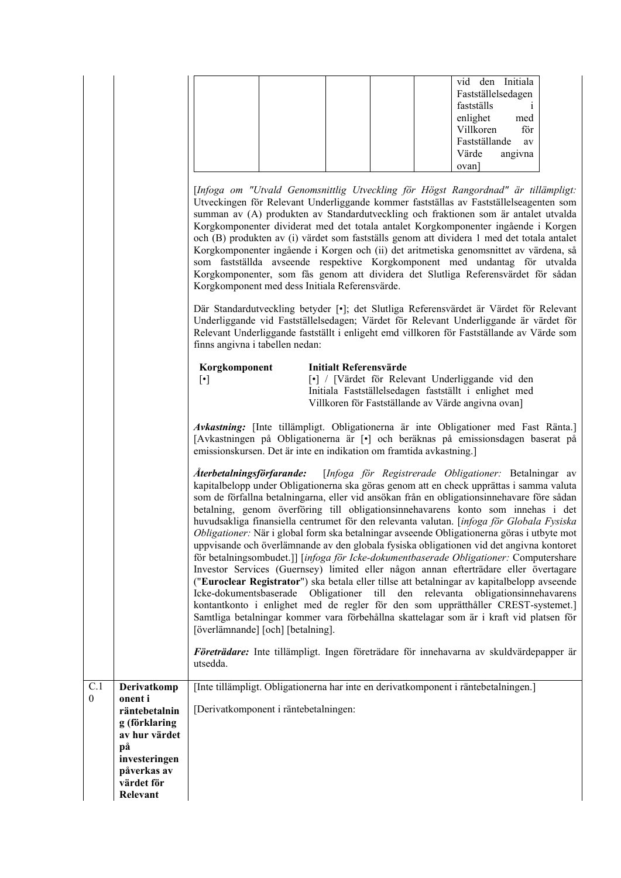|                         |                                                                                                                                           | vid den Initiala<br>Fastställelsedagen<br>fastställs<br>$\mathbf{1}$<br>enlighet<br>med<br>Villkoren<br>för<br>Fastställande<br>av<br>Värde<br>angivna<br>ovan]<br>[Infoga om "Utvald Genomsnittlig Utveckling för Högst Rangordnad" är tillämpligt:<br>Utveckingen för Relevant Underliggande kommer fastställas av Fastställelseagenten som<br>summan av (A) produkten av Standardutveckling och fraktionen som är antalet utvalda<br>Korgkomponenter dividerat med det totala antalet Korgkomponenter ingående i Korgen<br>och (B) produkten av (i) värdet som fastställs genom att dividera 1 med det totala antalet<br>Korgkomponenter ingående i Korgen och (ii) det aritmetiska genomsnittet av värdena, så<br>som fastställda avseende respektive Korgkomponent med undantag för utvalda<br>Korgkomponenter, som fås genom att dividera det Slutliga Referensvärdet för sådan<br>Korgkomponent med dess Initiala Referensvärde.<br>Där Standardutveckling betyder [•]; det Slutliga Referensvärdet är Värdet för Relevant<br>Underliggande vid Fastställelsedagen; Värdet för Relevant Underliggande är värdet för<br>Relevant Underliggande fastställt i enligeht emd villkoren för Fastställande av Värde som<br>finns angivna i tabellen nedan: |
|-------------------------|-------------------------------------------------------------------------------------------------------------------------------------------|------------------------------------------------------------------------------------------------------------------------------------------------------------------------------------------------------------------------------------------------------------------------------------------------------------------------------------------------------------------------------------------------------------------------------------------------------------------------------------------------------------------------------------------------------------------------------------------------------------------------------------------------------------------------------------------------------------------------------------------------------------------------------------------------------------------------------------------------------------------------------------------------------------------------------------------------------------------------------------------------------------------------------------------------------------------------------------------------------------------------------------------------------------------------------------------------------------------------------------------------------------|
|                         |                                                                                                                                           | Korgkomponent<br><b>Initialt Referensvärde</b><br>[•] / [Värdet för Relevant Underliggande vid den<br>$[\cdot]$<br>Initiala Fastställelsedagen fastställt i enlighet med<br>Villkoren för Fastställande av Värde angivna ovan]                                                                                                                                                                                                                                                                                                                                                                                                                                                                                                                                                                                                                                                                                                                                                                                                                                                                                                                                                                                                                             |
|                         |                                                                                                                                           | Avkastning: [Inte tillämpligt. Obligationerna är inte Obligationer med Fast Ränta.]<br>[Avkastningen på Obligationerna är [•] och beräknas på emissionsdagen baserat på<br>emissionskursen. Det är inte en indikation om framtida avkastning.]                                                                                                                                                                                                                                                                                                                                                                                                                                                                                                                                                                                                                                                                                                                                                                                                                                                                                                                                                                                                             |
|                         |                                                                                                                                           | Återbetalningsförfarande:<br>[Infoga för Registrerade Obligationer: Betalningar av<br>kapitalbelopp under Obligationerna ska göras genom att en check upprättas i samma valuta<br>som de förfallna betalningarna, eller vid ansökan från en obligationsinnehavare före sådan<br>betalning, genom överföring till obligationsinnehavarens konto som innehas i det<br>huvudsakliga finansiella centrumet för den relevanta valutan. [infoga för Globala Fysiska<br>Obligationer: När i global form ska betalningar avseende Obligationerna göras i utbyte mot<br>uppvisande och överlämnande av den globala fysiska obligationen vid det angivna kontoret<br>för betalningsombudet.]] [infoga för Icke-dokumentbaserade Obligationer: Computershare<br>Investor Services (Guernsey) limited eller någon annan efterträdare eller övertagare<br>("Euroclear Registrator") ska betala eller tillse att betalningar av kapitalbelopp avseende<br>Icke-dokumentsbaserade<br>Obligationer till den relevanta<br>obligationsinnehavarens<br>kontantkonto i enlighet med de regler för den som upprätthåller CREST-systemet.]<br>Samtliga betalningar kommer vara förbehållna skattelagar som är i kraft vid platsen för<br>[överlämnande] [och] [betalning].       |
|                         |                                                                                                                                           | Företrädare: Inte tillämpligt. Ingen företrädare för innehavarna av skuldvärdepapper är<br>utsedda.                                                                                                                                                                                                                                                                                                                                                                                                                                                                                                                                                                                                                                                                                                                                                                                                                                                                                                                                                                                                                                                                                                                                                        |
| C.1<br>$\boldsymbol{0}$ | Derivatkomp<br>onent i<br>räntebetalnin<br>g (förklaring<br>av hur värdet<br>på<br>investeringen<br>påverkas av<br>värdet för<br>Relevant | [Inte tillämpligt. Obligationerna har inte en derivatkomponent i räntebetalningen.]<br>[Derivatkomponent i räntebetalningen:                                                                                                                                                                                                                                                                                                                                                                                                                                                                                                                                                                                                                                                                                                                                                                                                                                                                                                                                                                                                                                                                                                                               |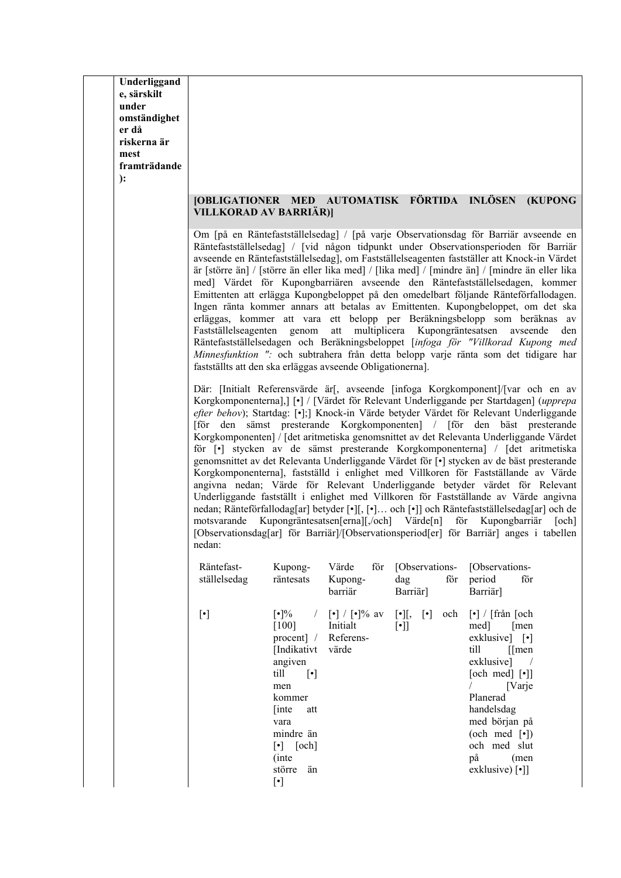**Underliggand e, särskilt under omständighet er då riskerna är mest framträdande ):**

#### **[OBLIGATIONER MED AUTOMATISK FÖRTIDA INLÖSEN (KUPONG VILLKORAD AV BARRIÄR)]**

Om [på en Räntefastställelsedag] / [på varje Observationsdag för Barriär avseende en Räntefastställelsedag] / [vid någon tidpunkt under Observationsperioden för Barriär avseende en Räntefastställelsedag], om Fastställelseagenten fastställer att Knock-in Värdet är [större än] / [större än eller lika med] / [lika med] / [mindre än] / [mindre än eller lika med] Värdet för Kupongbarriären avseende den Räntefastställelsedagen, kommer Emittenten att erlägga Kupongbeloppet på den omedelbart följande Ränteförfallodagen. Ingen ränta kommer annars att betalas av Emittenten. Kupongbeloppet, om det ska erläggas, kommer att vara ett belopp per Beräkningsbelopp som beräknas av Fastställelseagenten genom att multiplicera Kupongräntesatsen avseende den Räntefastställelsedagen och Beräkningsbeloppet [*infoga för "Villkorad Kupong med Minnesfunktion ":* och subtrahera från detta belopp varje ränta som det tidigare har fastställts att den ska erläggas avseende Obligationerna].

Där: [Initialt Referensvärde är[, avseende [infoga Korgkomponent]/[var och en av Korgkomponenterna],] [•] / [Värdet för Relevant Underliggande per Startdagen] (*upprepa efter behov*); Startdag: [•];] Knock-in Värde betyder Värdet för Relevant Underliggande [för den sämst presterande Korgkomponenten] / [för den bäst presterande Korgkomponenten] / [det aritmetiska genomsnittet av det Relevanta Underliggande Värdet för [•] stycken av de sämst presterande Korgkomponenterna] / [det aritmetiska genomsnittet av det Relevanta Underliggande Värdet för [•] stycken av de bäst presterande Korgkomponenterna], fastställd i enlighet med Villkoren för Fastställande av Värde angivna nedan; Värde för Relevant Underliggande betyder värdet för Relevant Underliggande fastställt i enlighet med Villkoren för Fastställande av Värde angivna nedan; Ränteförfallodag[ar] betyder [•][, [•]… och [•]] och Räntefastställelsedag[ar] och de motsvarande Kupongräntesatsen[erna][,/och] Värde[n] för Kupongbarriär [och] [Observationsdag[ar] för Barriär]/[Observationsperiod[er] för Barriär] anges i tabellen nedan:

| Räntefast-<br>ställelsedag | Kupong-<br>räntesats                                                                                                                                                                                                                                                               | för<br>Värde<br>Kupong-<br>barriär                                                   | [Observations- [Observations-<br>för<br>dag<br>Barriär] | period<br>för<br>Barriär]                                                                                                                                                                                                                                                                     |
|----------------------------|------------------------------------------------------------------------------------------------------------------------------------------------------------------------------------------------------------------------------------------------------------------------------------|--------------------------------------------------------------------------------------|---------------------------------------------------------|-----------------------------------------------------------------------------------------------------------------------------------------------------------------------------------------------------------------------------------------------------------------------------------------------|
| $[\cdot]$                  | $\lceil 100 \rceil$<br>procent   Referens-<br>[Indikativt värde<br>angiven<br>till<br>$\lceil \cdot \rceil$<br>men<br>kommer<br><i>l</i> inte<br>att<br>vara<br>mindre än<br>$\lceil \cdot \rceil$ $\lceil \cdot \cdot \rceil$<br>(inte<br>större<br>än<br>$\lceil \bullet \rceil$ | $[\bullet]$ % / $[\bullet]$ / $[\bullet]$ % av $[\bullet]$ , $[\bullet]$<br>Initialt | och<br>$\lceil \cdot \rceil$                            | $\lceil \cdot \rceil$ / [från [och<br>med [men]<br>exklusive $\lceil \cdot \rceil$<br>till [[men]<br>$exklusive$ ] /<br>[och med] $\lceil \cdot \rceil$ ]<br>[Varje]<br>Planerad<br>handelsdag<br>med början på<br>$(och \text{ med } [\cdot])$<br>och med slut<br>på (men<br>exklusive) [•]] |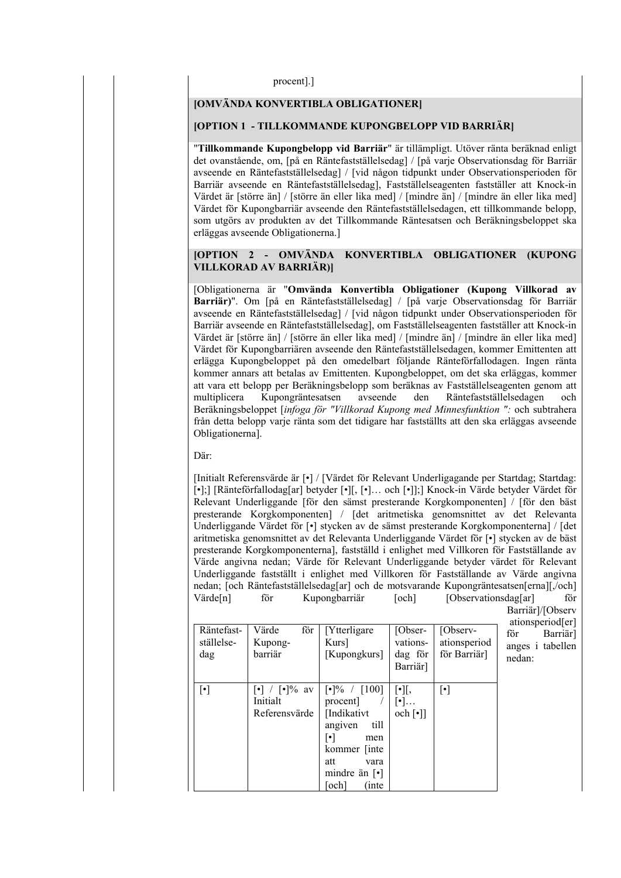# **[OMVÄNDA KONVERTIBLA OBLIGATIONER]**

#### **[OPTION 1 - TILLKOMMANDE KUPONGBELOPP VID BARRIÄR]**

"**Tillkommande Kupongbelopp vid Barriär**" är tillämpligt. Utöver ränta beräknad enligt det ovanstående, om, [på en Räntefastställelsedag] / [på varje Observationsdag för Barriär avseende en Räntefastställelsedag] / [vid någon tidpunkt under Observationsperioden för Barriär avseende en Räntefastställelsedag], Fastställelseagenten fastställer att Knock-in Värdet är [större än] / [större än eller lika med] / [mindre än] / [mindre än eller lika med] Värdet för Kupongbarriär avseende den Räntefastställelsedagen, ett tillkommande belopp, som utgörs av produkten av det Tillkommande Räntesatsen och Beräkningsbeloppet ska erläggas avseende Obligationerna.]

#### **[OPTION 2 - OMVÄNDA KONVERTIBLA OBLIGATIONER (KUPONG VILLKORAD AV BARRIÄR)]**

[Obligationerna är "**Omvända Konvertibla Obligationer (Kupong Villkorad av Barriär)**". Om [på en Räntefastställelsedag] / [på varje Observationsdag för Barriär avseende en Räntefastställelsedag] / [vid någon tidpunkt under Observationsperioden för Barriär avseende en Räntefastställelsedag], om Fastställelseagenten fastställer att Knock-in Värdet är [större än] / [större än eller lika med] / [mindre än] / [mindre än eller lika med] Värdet för Kupongbarriären avseende den Räntefastställelsedagen, kommer Emittenten att erlägga Kupongbeloppet på den omedelbart följande Ränteförfallodagen. Ingen ränta kommer annars att betalas av Emittenten. Kupongbeloppet, om det ska erläggas, kommer att vara ett belopp per Beräkningsbelopp som beräknas av Fastställelseagenten genom att multiplicera Kupongräntesatsen avseende den Räntefastställelsedagen och Beräkningsbeloppet [*infoga för "Villkorad Kupong med Minnesfunktion ":* och subtrahera från detta belopp varje ränta som det tidigare har fastställts att den ska erläggas avseende Obligationerna].

Där:

[Initialt Referensvärde är [•] / [Värdet för Relevant Underligagande per Startdag; Startdag: [•];] [Ränteförfallodag[ar] betyder [•][, [•]… och [•]];] Knock-in Värde betyder Värdet för Relevant Underliggande [för den sämst presterande Korgkomponenten] / [för den bäst presterande Korgkomponenten] / [det aritmetiska genomsnittet av det Relevanta Underliggande Värdet för [•] stycken av de sämst presterande Korgkomponenterna] / [det aritmetiska genomsnittet av det Relevanta Underliggande Värdet för [•] stycken av de bäst presterande Korgkomponenterna], fastställd i enlighet med Villkoren för Fastställande av Värde angivna nedan; Värde för Relevant Underliggande betyder värdet för Relevant Underliggande fastställt i enlighet med Villkoren för Fastställande av Värde angivna nedan; [och Räntefastställelsedag[ar] och de motsvarande Kupongräntesatsen[erna][,/och] Värde[n] för Kupongbarriär [och] [Observationsdag[ar] för

Barriär]/[Observ ationsperiod[er] för Barriär] anges i tabellen nedan:

| Räntefast-<br>ställelse-<br>dag | för<br>Värde<br>Kupong-<br>barriär                                                      | [Ytterligare]<br>Kurs]<br>[Kupongkurs]                                                                                                                                                     | [Obser-<br>vations-<br>dag för<br>Barriär]                                       | [Observ-<br>ationsperiod<br>för Barriär] |
|---------------------------------|-----------------------------------------------------------------------------------------|--------------------------------------------------------------------------------------------------------------------------------------------------------------------------------------------|----------------------------------------------------------------------------------|------------------------------------------|
| $\lceil \bullet \rceil$         | $\lbrack \bullet \rbrack$ / $\lbrack \bullet \rbrack\%$ av<br>Initialt<br>Referensvärde | $\lceil \cdot \rceil\%$ /<br>[100]<br>procent]<br>[Indikativt<br>angiven<br>till<br>$\lceil \bullet \rceil$<br>men<br>kommer [inte<br>att<br>vara<br>mindre än $[\cdot]$<br>[och]<br>(inte | $\lceil \cdot \rceil \rceil,$<br>$\lceil \bullet \rceil \ldots$<br>$och [\cdot]$ | $\lceil \cdot \rceil$                    |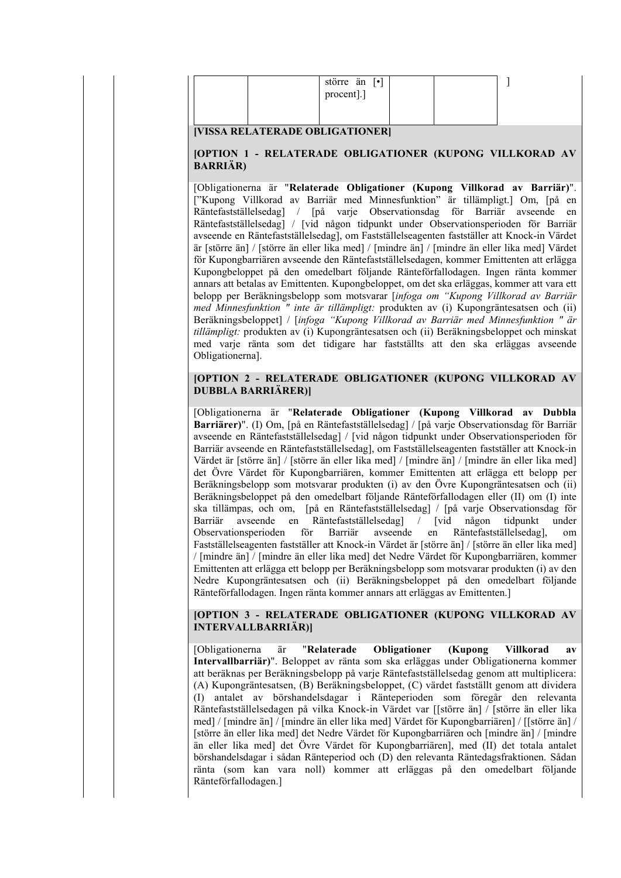|  | större än [•]<br>  procent].] |  |
|--|-------------------------------|--|
|  |                               |  |

#### **[VISSA RELATERADE OBLIGATIONER]**

## **[OPTION 1 - RELATERADE OBLIGATIONER (KUPONG VILLKORAD AV BARRIÄR)**

[Obligationerna är "**Relaterade Obligationer (Kupong Villkorad av Barriär)**". ["Kupong Villkorad av Barriär med Minnesfunktion" är tillämpligt.] Om, [på en Räntefastställelsedag] / [på varje Observationsdag för Barriär avseende en Räntefastställelsedag] / [vid någon tidpunkt under Observationsperioden för Barriär avseende en Räntefastställelsedag], om Fastställelseagenten fastställer att Knock-in Värdet är [större än] / [större än eller lika med] / [mindre än] / [mindre än eller lika med] Värdet för Kupongbarriären avseende den Räntefastställelsedagen, kommer Emittenten att erlägga Kupongbeloppet på den omedelbart följande Ränteförfallodagen. Ingen ränta kommer annars att betalas av Emittenten. Kupongbeloppet, om det ska erläggas, kommer att vara ett belopp per Beräkningsbelopp som motsvarar [*infoga om "Kupong Villkorad av Barriär med Minnesfunktion " inte är tillämpligt:* produkten av (i) Kupongräntesatsen och (ii) Beräkningsbeloppet] / [*infoga "Kupong Villkorad av Barriär med Minnesfunktion " är tillämpligt:* produkten av (i) Kupongräntesatsen och (ii) Beräkningsbeloppet och minskat med varje ränta som det tidigare har fastställts att den ska erläggas avseende Obligationerna].

#### **[OPTION 2 - RELATERADE OBLIGATIONER (KUPONG VILLKORAD AV DUBBLA BARRIÄRER)]**

[Obligationerna är "**Relaterade Obligationer (Kupong Villkorad av Dubbla Barriärer)**". (I) Om, [på en Räntefastställelsedag] / [på varje Observationsdag för Barriär avseende en Räntefastställelsedag] / [vid någon tidpunkt under Observationsperioden för Barriär avseende en Räntefastställelsedag], om Fastställelseagenten fastställer att Knock-in Värdet är [större än] / [större än eller lika med] / [mindre än] / [mindre än eller lika med] det Övre Värdet för Kupongbarriären, kommer Emittenten att erlägga ett belopp per Beräkningsbelopp som motsvarar produkten (i) av den Övre Kupongräntesatsen och (ii) Beräkningsbeloppet på den omedelbart följande Ränteförfallodagen eller (II) om (I) inte ska tillämpas, och om, [på en Räntefastställelsedag] / [på varje Observationsdag för Barriär avseende en Räntefastställelsedag] / [vid någon tidpunkt under Observationsperioden för Barriär avseende en Räntefastställelsedag], om Fastställelseagenten fastställer att Knock-in Värdet är [större än] / [större än eller lika med] / [mindre än] / [mindre än eller lika med] det Nedre Värdet för Kupongbarriären, kommer Emittenten att erlägga ett belopp per Beräkningsbelopp som motsvarar produkten (i) av den Nedre Kupongräntesatsen och (ii) Beräkningsbeloppet på den omedelbart följande Ränteförfallodagen. Ingen ränta kommer annars att erläggas av Emittenten.]

# **[OPTION 3 - RELATERADE OBLIGATIONER (KUPONG VILLKORAD AV INTERVALLBARRIÄR)]**

[Obligationerna är "**Relaterade Obligationer (Kupong Villkorad av Intervallbarriär)**". Beloppet av ränta som ska erläggas under Obligationerna kommer att beräknas per Beräkningsbelopp på varje Räntefastställelsedag genom att multiplicera: (A) Kupongräntesatsen, (B) Beräkningsbeloppet, (C) värdet fastställt genom att dividera (I) antalet av börshandelsdagar i Ränteperioden som föregår den relevanta Räntefastställelsedagen på vilka Knock-in Värdet var [[större än] / [större än eller lika med] / [mindre än] / [mindre än eller lika med] Värdet för Kupongbarriären] / [[större än] / [större än eller lika med] det Nedre Värdet för Kupongbarriären och [mindre än] / [mindre än eller lika med] det Övre Värdet för Kupongbarriären], med (II) det totala antalet börshandelsdagar i sådan Ränteperiod och (D) den relevanta Räntedagsfraktionen. Sådan ränta (som kan vara noll) kommer att erläggas på den omedelbart följande Ränteförfallodagen.]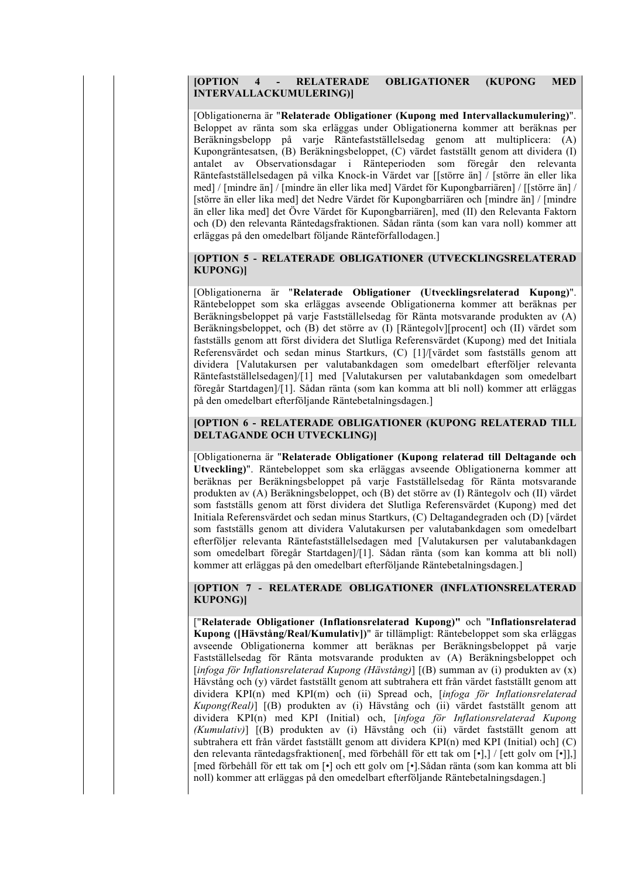#### **[OPTION 4 - RELATERADE OBLIGATIONER (KUPONG MED INTERVALLACKUMULERING)]**

[Obligationerna är "**Relaterade Obligationer (Kupong med Intervallackumulering)**". Beloppet av ränta som ska erläggas under Obligationerna kommer att beräknas per Beräkningsbelopp på varje Räntefastställelsedag genom att multiplicera: (A) Kupongräntesatsen, (B) Beräkningsbeloppet, (C) värdet fastställt genom att dividera (I) antalet av Observationsdagar i Ränteperioden som föregår den relevanta Räntefastställelsedagen på vilka Knock-in Värdet var [[större än] / [större än eller lika med] / [mindre än] / [mindre än eller lika med] Värdet för Kupongbarriären] / [[större än] / [större än eller lika med] det Nedre Värdet för Kupongbarriären och [mindre än] / [mindre än eller lika med] det Övre Värdet för Kupongbarriären], med (II) den Relevanta Faktorn och (D) den relevanta Räntedagsfraktionen. Sådan ränta (som kan vara noll) kommer att erläggas på den omedelbart följande Ränteförfallodagen.]

#### **[OPTION 5 - RELATERADE OBLIGATIONER (UTVECKLINGSRELATERAD KUPONG)]**

[Obligationerna är "**Relaterade Obligationer (Utvecklingsrelaterad Kupong)**". Räntebeloppet som ska erläggas avseende Obligationerna kommer att beräknas per Beräkningsbeloppet på varje Fastställelsedag för Ränta motsvarande produkten av (A) Beräkningsbeloppet, och (B) det större av (I) [Räntegolv][procent] och (II) värdet som fastställs genom att först dividera det Slutliga Referensvärdet (Kupong) med det Initiala Referensvärdet och sedan minus Startkurs, (C) [1]/[värdet som fastställs genom att dividera [Valutakursen per valutabankdagen som omedelbart efterföljer relevanta Räntefastställelsedagen]/[1] med [Valutakursen per valutabankdagen som omedelbart föregår Startdagen]/[1]. Sådan ränta (som kan komma att bli noll) kommer att erläggas på den omedelbart efterföljande Räntebetalningsdagen.]

## **[OPTION 6 - RELATERADE OBLIGATIONER (KUPONG RELATERAD TILL DELTAGANDE OCH UTVECKLING)]**

[Obligationerna är "**Relaterade Obligationer (Kupong relaterad till Deltagande och Utveckling)**". Räntebeloppet som ska erläggas avseende Obligationerna kommer att beräknas per Beräkningsbeloppet på varje Fastställelsedag för Ränta motsvarande produkten av (A) Beräkningsbeloppet, och (B) det större av (I) Räntegolv och (II) värdet som fastställs genom att först dividera det Slutliga Referensvärdet (Kupong) med det Initiala Referensvärdet och sedan minus Startkurs, (C) Deltagandegraden och (D) [värdet som fastställs genom att dividera Valutakursen per valutabankdagen som omedelbart efterföljer relevanta Räntefastställelsedagen med [Valutakursen per valutabankdagen som omedelbart föregår Startdagen]/[1]. Sådan ränta (som kan komma att bli noll) kommer att erläggas på den omedelbart efterföljande Räntebetalningsdagen.]

## **[OPTION 7 - RELATERADE OBLIGATIONER (INFLATIONSRELATERAD KUPONG)]**

["**Relaterade Obligationer (Inflationsrelaterad Kupong)"** och "**Inflationsrelaterad Kupong ([Hävstång/Real/Kumulativ])**" är tillämpligt: Räntebeloppet som ska erläggas avseende Obligationerna kommer att beräknas per Beräkningsbeloppet på varje Fastställelsedag för Ränta motsvarande produkten av (A) Beräkningsbeloppet och [*infoga för Inflationsrelaterad Kupong (Hävstång)*] [(B) summan av (i) produkten av (x) Hävstång och (y) värdet fastställt genom att subtrahera ett från värdet fastställt genom att dividera KPI(n) med KPI(m) och (ii) Spread och, [*infoga för Inflationsrelaterad Kupong(Real)*] [(B) produkten av (i) Hävstång och (ii) värdet fastställt genom att dividera KPI(n) med KPI (Initial) och, [*infoga för Inflationsrelaterad Kupong (Kumulativ)*] [(B) produkten av (i) Hävstång och (ii) värdet fastställt genom att subtrahera ett från värdet fastställt genom att dividera KPI(n) med KPI (Initial) och] (C) den relevanta räntedagsfraktionen[, med förbehåll för ett tak om [•],] / [ett golv om [•]],] [med förbehåll för ett tak om [•] och ett golv om [•].Sådan ränta (som kan komma att bli noll) kommer att erläggas på den omedelbart efterföljande Räntebetalningsdagen.]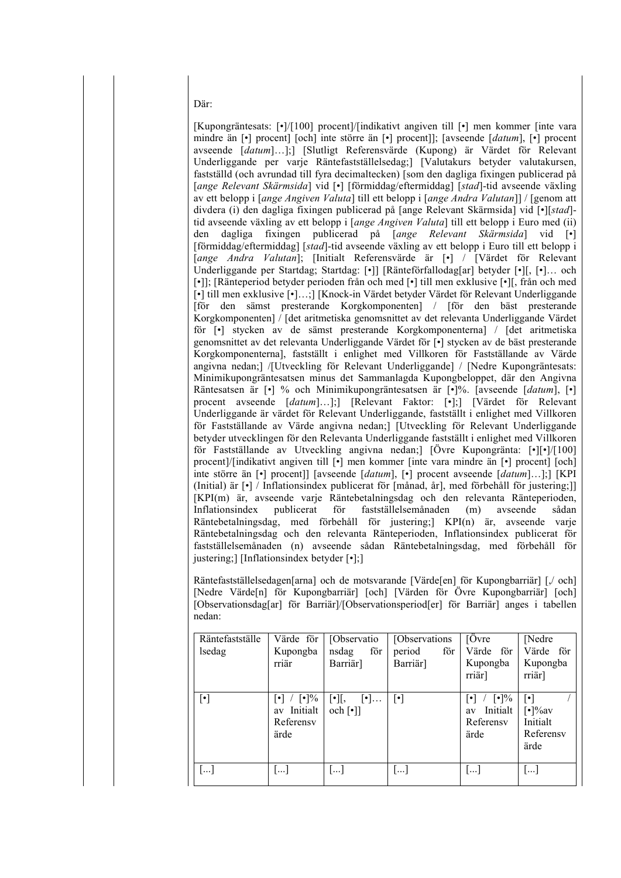Där:

[Kupongräntesats: [•]/[100] procent]/[indikativt angiven till [•] men kommer [inte vara mindre än [•] procent] [och] inte större än [•] procent]]; [avseende [*datum*], [•] procent avseende [*datum*]…];] [Slutligt Referensvärde (Kupong) är Värdet för Relevant Underliggande per varje Räntefastställelsedag;] [Valutakurs betyder valutakursen, fastställd (och avrundad till fyra decimaltecken) [som den dagliga fixingen publicerad på [*ange Relevant Skärmsida*] vid [•] [förmiddag/eftermiddag] [*stad*]-tid avseende växling av ett belopp i [*ange Angiven Valuta*] till ett belopp i [*ange Andra Valutan*]] / [genom att divdera (i) den dagliga fixingen publicerad på [ange Relevant Skärmsida] vid [•][*stad*] tid avseende växling av ett belopp i [*ange Angiven Valuta*] till ett belopp i Euro med (ii) den dagliga fixingen publicerad på [*ange Relevant Skärmsida*] vid [•] [förmiddag/eftermiddag] [*stad*]-tid avseende växling av ett belopp i Euro till ett belopp i [*ange Andra Valutan*]; [Initialt Referensvärde är [•] / [Värdet för Relevant Underliggande per Startdag; Startdag: [•]] [Ränteförfallodag[ar] betyder [•][, [•]… och [•]]; [Ränteperiod betyder perioden från och med [•] till men exklusive [•][, från och med [•] till men exklusive [•]…;] [Knock-in Värdet betyder Värdet för Relevant Underliggande [för den sämst presterande Korgkomponenten] / [för den bäst presterande Korgkomponenten] / [det aritmetiska genomsnittet av det relevanta Underliggande Värdet för [•] stycken av de sämst presterande Korgkomponenterna] / [det aritmetiska genomsnittet av det relevanta Underliggande Värdet för [•] stycken av de bäst presterande Korgkomponenterna], fastställt i enlighet med Villkoren för Fastställande av Värde angivna nedan;] /[Utveckling för Relevant Underliggande] / [Nedre Kupongräntesats: Minimikupongräntesatsen minus det Sammanlagda Kupongbeloppet, där den Angivna Räntesatsen är [•] % och Minimikupongräntesatsen är [•]%. [avseende [*datum*], [•] procent avseende [*datum*]…];] [Relevant Faktor: [•];] [Värdet för Relevant Underliggande är värdet för Relevant Underliggande, fastställt i enlighet med Villkoren för Fastställande av Värde angivna nedan;] [Utveckling för Relevant Underliggande betyder utvecklingen för den Relevanta Underliggande fastställt i enlighet med Villkoren för Fastställande av Utveckling angivna nedan;] [Övre Kupongränta: [•][•]/[100] procent]/[indikativt angiven till [•] men kommer [inte vara mindre än [•] procent] [och] inte större än [•] procent]] [avseende [*datum*], [•] procent avseende [*datum*]…];] [KPI (Initial) är [•] / Inflationsindex publicerat för [månad, år], med förbehåll för justering;]] [KPI(m) är, avseende varje Räntebetalningsdag och den relevanta Ränteperioden, Inflationsindex publicerat för fastställelsemånaden (m) avseende sådan Räntebetalningsdag, med förbehåll för justering;] KPI(n) är, avseende varje Räntebetalningsdag och den relevanta Ränteperioden, Inflationsindex publicerat för fastställelsemånaden (n) avseende sådan Räntebetalningsdag, med förbehåll för justering;] [Inflationsindex betyder [•];]

Räntefastställelsedagen[arna] och de motsvarande [Värde[en] för Kupongbarriär] [,/ och] [Nedre Värde[n] för Kupongbarriär] [och] [Värden för Övre Kupongbarriär] [och] [Observationsdag[ar] för Barriär]/[Observationsperiod[er] för Barriär] anges i tabellen nedan:

| Räntefastställe<br>lsedag | Värde för<br>Kupongba<br>rriär                                 | [Observatio]<br>nsdag<br>för<br>Barriär]              | [Observations]<br>för<br>period<br>Barriär] | $\overline{O}$ vre<br>Värde för<br>Kupongba<br>rriär]      | [Nedre<br>Värde för<br>Kupongba<br>rriär]                                            |
|---------------------------|----------------------------------------------------------------|-------------------------------------------------------|---------------------------------------------|------------------------------------------------------------|--------------------------------------------------------------------------------------|
| $[\cdot]$                 | $\lceil \cdot \rceil\%$<br>Initialt<br>av<br>Referensy<br>ärde | $[\cdot]$ ,<br>$\lceil \cdot \rceil$<br>$och [\cdot]$ | $\lceil \cdot \rceil$                       | $[\cdot] \%$<br>l٠١<br>Initialt<br>av<br>Referensy<br>ärde | $\lceil \cdot \rceil$<br>$\lceil \cdot \rceil\%$ av<br>Initialt<br>Referensy<br>ärde |
| $\lfloor  \rfloor$        | $\left   \right $                                              | []                                                    | []                                          | $\lfloor  \rfloor$                                         | $\left   \right $                                                                    |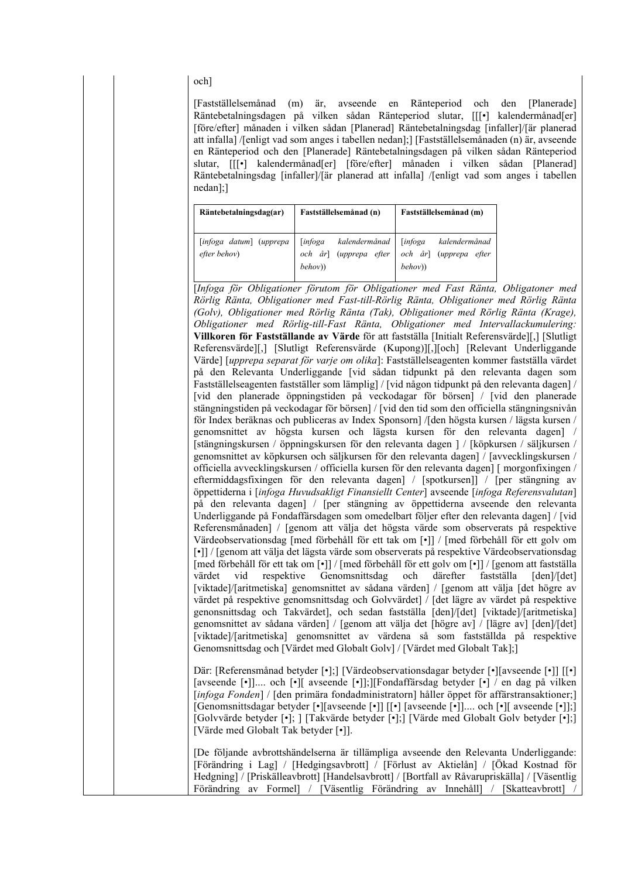och]

[Fastställelsemånad (m) är, avseende en Ränteperiod och den [Planerade] Räntebetalningsdagen på vilken sådan Ränteperiod slutar, [[[•] kalendermånad[er] [före/efter] månaden i vilken sådan [Planerad] Räntebetalningsdag [infaller]/[är planerad att infalla] /[enligt vad som anges i tabellen nedan];] [Fastställelsemånaden (n) är, avseende en Ränteperiod och den [Planerade] Räntebetalningsdagen på vilken sådan Ränteperiod slutar, [[[•] kalendermånad[er] [före/efter] månaden i vilken sådan [Planerad] Räntebetalningsdag [infaller]/[är planerad att infalla] /[enligt vad som anges i tabellen nedan];]

| Räntebetalningsdag(ar)                  | Fastställelsemånad (n)                                    | Fastställelsemånad (m)                                    |  |
|-----------------------------------------|-----------------------------------------------------------|-----------------------------------------------------------|--|
| [infoga datum] (upprepa<br>efter behov) | [infoga kalendermånad<br>och år] (upprepa efter<br>behov) | [infoga kalendermånad<br>och år] (upprepa efter<br>behov) |  |

[*Infoga för Obligationer förutom för Obligationer med Fast Ränta, Obligatoner med Rörlig Ränta, Obligationer med Fast-till-Rörlig Ränta, Obligationer med Rörlig Ränta (Golv), Obligationer med Rörlig Ränta (Tak), Obligationer med Rörlig Ränta (Krage), Obligationer med Rörlig-till-Fast Ränta, Obligationer med Intervallackumulering:*  **Villkoren för Fastställande av Värde** för att fastställa [Initialt Referensvärde][,] [Slutligt Referensvärde][,] [Slutligt Referensvärde (Kupong)][,][och] [Relevant Underliggande Värde] [*upprepa separat för varje om olika*]: Fastställelseagenten kommer fastställa värdet på den Relevanta Underliggande [vid sådan tidpunkt på den relevanta dagen som Fastställelseagenten fastställer som lämplig] / [vid någon tidpunkt på den relevanta dagen] / [vid den planerade öppningstiden på veckodagar för börsen] / [vid den planerade stängningstiden på veckodagar för börsen] / [vid den tid som den officiella stängningsnivån för Index beräknas och publiceras av Index Sponsorn] /[den högsta kursen / lägsta kursen / genomsnittet av högsta kursen och lägsta kursen för den relevanta dagen] / [stängningskursen / öppningskursen för den relevanta dagen ] / [köpkursen / säljkursen / genomsnittet av köpkursen och säljkursen för den relevanta dagen] / [avvecklingskursen / officiella avvecklingskursen / officiella kursen för den relevanta dagen] [ morgonfixingen / eftermiddagsfixingen för den relevanta dagen] / [spotkursen]] / [per stängning av öppettiderna i [*infoga Huvudsakligt Finansiellt Center*] avseende [*infoga Referensvalutan*] på den relevanta dagen] / [per stängning av öppettiderna avseende den relevanta Underliggande på Fondaffärsdagen som omedelbart följer efter den relevanta dagen] / [vid Referensmånaden] / [genom att välja det högsta värde som observerats på respektive Värdeobservationsdag [med förbehåll för ett tak om [•]] / [med förbehåll för ett golv om [•]] / [genom att välja det lägsta värde som observerats på respektive Värdeobservationsdag [med förbehåll för ett tak om [•]] / [med förbehåll för ett golv om [•]] / [genom att fastställa värdet vid respektive Genomsnittsdag och därefter fastställa [den]/[det] [viktade]/[aritmetiska] genomsnittet av sådana värden] / [genom att välja [det högre av värdet på respektive genomsnittsdag och Golvvärdet] / [det lägre av värdet på respektive genonsnittsdag och Takvärdet], och sedan fastställa [den]/[det] [viktade]/[aritmetiska] genomsnittet av sådana värden] / [genom att välja det [högre av] / [lägre av] [den]/[det] [viktade]/[aritmetiska] genomsnittet av värdena så som fastställda på respektive Genomsnittsdag och [Värdet med Globalt Golv] / [Värdet med Globalt Tak];]

Där: [Referensmånad betyder [•];] [Värdeobservationsdagar betyder [•][avseende [•]] [[•] [avseende [•]].... och [•][ avseende [•]];][Fondaffärsdag betyder [•] / en dag på vilken [*infoga Fonden*] / [den primära fondadministratorn] håller öppet för affärstransaktioner;] [Genomsnittsdagar betyder [•][avseende [•]] [[•] [avseende [•]].... och [•][ avseende [•]];] [Golvvärde betyder [•]; ] [Takvärde betyder [•];] [Värde med Globalt Golv betyder [•];] [Värde med Globalt Tak betyder [•]].

[De följande avbrottshändelserna är tillämpliga avseende den Relevanta Underliggande: [Förändring i Lag] / [Hedgingsavbrott] / [Förlust av Aktielån] / [Ökad Kostnad för Hedgning] / [Priskälleavbrott] [Handelsavbrott] / [Bortfall av Råvarupriskälla] / [Väsentlig Förändring av Formel] / [Väsentlig Förändring av Innehåll] / [Skatteavbrott]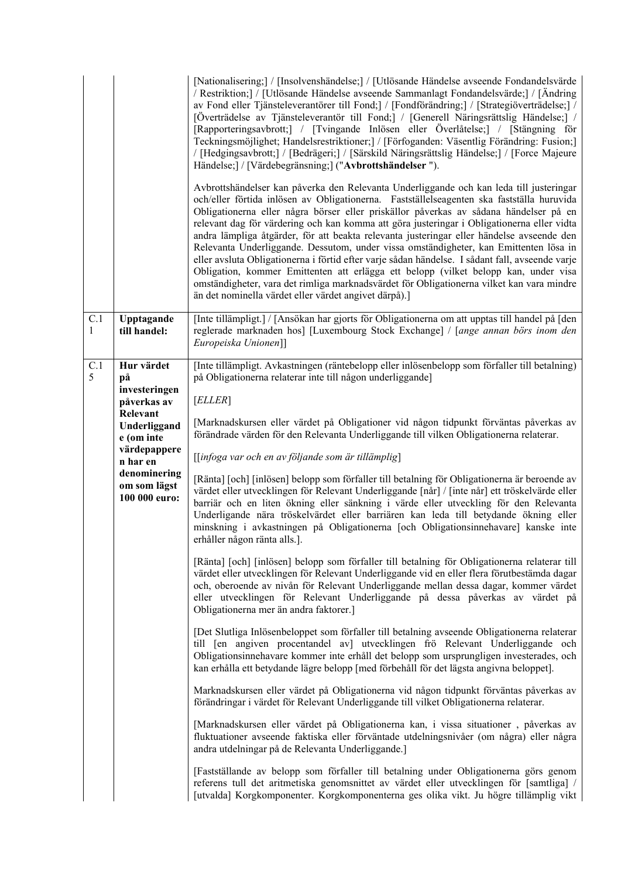|                     |                                                                        | [Nationalisering;] / [Insolvenshändelse;] / [Utlösande Händelse avseende Fondandelsvärde<br>/ Restriktion;] / [Utlösande Händelse avseende Sammanlagt Fondandelsvärde;] / [Ändring<br>av Fond eller Tjänsteleverantörer till Fond; ] / [Fondförändring;] / [Strategiöverträdelse;] /<br>[Överträdelse av Tjänsteleverantör till Fond;] / [Generell Näringsrättslig Händelse;] /<br>[Rapporteringsavbrott;] / [Tvingande Inlösen eller Överlåtelse;] / [Stängning för<br>Teckningsmöjlighet; Handelsrestriktioner;   / [Förfoganden: Väsentlig Förändring: Fusion;]<br>/ [Hedgingsavbrott;] / [Bedrägeri;] / [Särskild Näringsrättslig Händelse;] / [Force Majeure<br>Händelse;] / [Värdebegränsning;] ("Avbrottshändelser").<br>Avbrottshändelser kan påverka den Relevanta Underliggande och kan leda till justeringar |
|---------------------|------------------------------------------------------------------------|-------------------------------------------------------------------------------------------------------------------------------------------------------------------------------------------------------------------------------------------------------------------------------------------------------------------------------------------------------------------------------------------------------------------------------------------------------------------------------------------------------------------------------------------------------------------------------------------------------------------------------------------------------------------------------------------------------------------------------------------------------------------------------------------------------------------------|
|                     |                                                                        | och/eller förtida inlösen av Obligationerna. Fastställelseagenten ska fastställa huruvida<br>Obligationerna eller några börser eller priskällor påverkas av sådana händelser på en<br>relevant dag för värdering och kan komma att göra justeringar i Obligationerna eller vidta<br>andra lämpliga åtgärder, för att beakta relevanta justeringar eller händelse avseende den<br>Relevanta Underliggande. Dessutom, under vissa omständigheter, kan Emittenten lösa in<br>eller avsluta Obligationerna i förtid efter varje sådan händelse. I sådant fall, avseende varje<br>Obligation, kommer Emittenten att erlägga ett belopp (vilket belopp kan, under visa<br>omständigheter, vara det rimliga marknadsvärdet för Obligationerna vilket kan vara mindre<br>än det nominella värdet eller värdet angivet därpå).]  |
| C.1<br>$\mathbf{1}$ | Upptagande<br>till handel:                                             | [Inte tillämpligt.] / [Ansökan har gjorts för Obligationerna om att upptas till handel på [den<br>reglerade marknaden hos] [Luxembourg Stock Exchange] / [ange annan börs inom den<br>Europeiska Unionen]]                                                                                                                                                                                                                                                                                                                                                                                                                                                                                                                                                                                                              |
| C.1<br>5            | Hur värdet<br>på                                                       | [Inte tillämpligt. Avkastningen (räntebelopp eller inlösenbelopp som förfaller till betalning)<br>på Obligationerna relaterar inte till någon underliggande]                                                                                                                                                                                                                                                                                                                                                                                                                                                                                                                                                                                                                                                            |
|                     | investeringen<br>påverkas av<br>Relevant<br>Underliggand<br>e (om inte | [ELLER]                                                                                                                                                                                                                                                                                                                                                                                                                                                                                                                                                                                                                                                                                                                                                                                                                 |
|                     |                                                                        | [Marknadskursen eller värdet på Obligationer vid någon tidpunkt förväntas påverkas av<br>förändrade värden för den Relevanta Underliggande till vilken Obligationerna relaterar.                                                                                                                                                                                                                                                                                                                                                                                                                                                                                                                                                                                                                                        |
|                     | värdepappere<br>n har en                                               | [[infoga var och en av följande som är tillämplig]                                                                                                                                                                                                                                                                                                                                                                                                                                                                                                                                                                                                                                                                                                                                                                      |
|                     | denominering<br>om som lägst<br>100 000 euro:                          | [Ränta] [och] [inlösen] belopp som förfaller till betalning för Obligationerna är beroende av<br>värdet eller utvecklingen för Relevant Underliggande [når] / [inte når] ett tröskelvärde eller<br>barriär och en liten ökning eller sänkning i värde eller utveckling för den Relevanta<br>Underligande nära tröskelvärdet eller barriären kan leda till betydande ökning eller<br>minskning i avkastningen på Obligationerna [och Obligationsinnehavare] kanske inte<br>erhåller någon ränta alls.].                                                                                                                                                                                                                                                                                                                  |
|                     |                                                                        | [Ränta] [och] [inlösen] belopp som förfaller till betalning för Obligationerna relaterar till<br>värdet eller utvecklingen för Relevant Underliggande vid en eller flera förutbestämda dagar<br>och, oberoende av nivån för Relevant Underliggande mellan dessa dagar, kommer värdet<br>eller utvecklingen för Relevant Underliggande på dessa påverkas av värdet på<br>Obligationerna mer än andra faktorer.]                                                                                                                                                                                                                                                                                                                                                                                                          |
|                     |                                                                        | [Det Slutliga Inlösenbeloppet som förfaller till betalning avseende Obligationerna relaterar<br>till [en angiven procentandel av] utvecklingen frö Relevant Underliggande och<br>Obligationsinnehavare kommer inte erhåll det belopp som ursprungligen investerades, och<br>kan erhålla ett betydande lägre belopp [med förbehåll för det lägsta angivna beloppet].                                                                                                                                                                                                                                                                                                                                                                                                                                                     |
|                     |                                                                        | Marknadskursen eller värdet på Obligationerna vid någon tidpunkt förväntas påverkas av<br>förändringar i värdet för Relevant Underliggande till vilket Obligationerna relaterar.                                                                                                                                                                                                                                                                                                                                                                                                                                                                                                                                                                                                                                        |
|                     |                                                                        | [Marknadskursen eller värdet på Obligationerna kan, i vissa situationer, påverkas av<br>fluktuationer avseende faktiska eller förväntade utdelningsnivåer (om några) eller några<br>andra utdelningar på de Relevanta Underliggande.]                                                                                                                                                                                                                                                                                                                                                                                                                                                                                                                                                                                   |
|                     |                                                                        | [Fastställande av belopp som förfaller till betalning under Obligationerna görs genom<br>referens tull det aritmetiska genomsnittet av värdet eller utvecklingen för [samtliga] /<br>[utvalda] Korgkomponenter. Korgkomponenterna ges olika vikt. Ju högre tillämplig vikt                                                                                                                                                                                                                                                                                                                                                                                                                                                                                                                                              |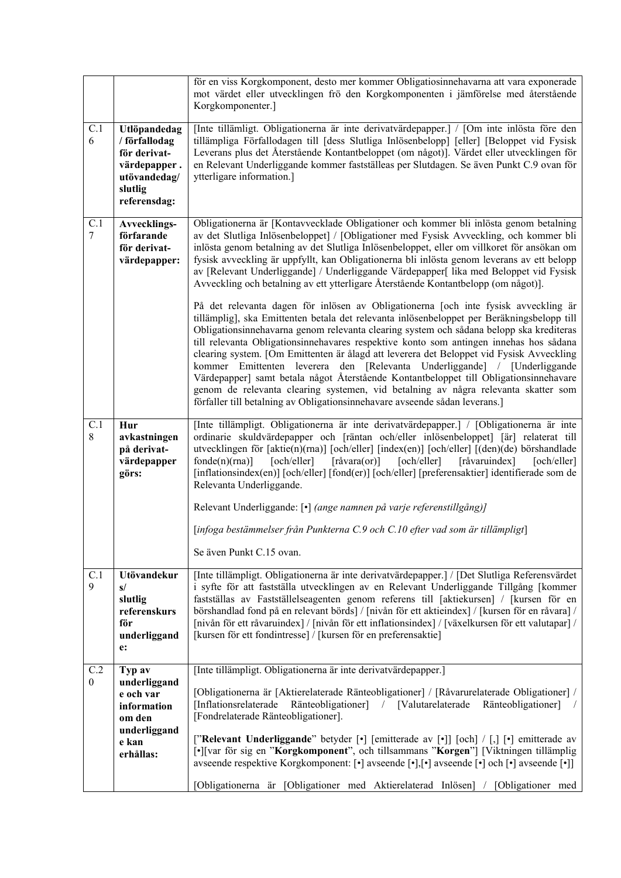|                         |                                                                                                          | för en viss Korgkomponent, desto mer kommer Obligatiosinnehavarna att vara exponerade<br>mot värdet eller utvecklingen frö den Korgkomponenten i jämförelse med återstående<br>Korgkomponenter.]                                                                                                                                                                                                                                                                                                                                                                                                                                                                                                                                                                                                                                                                                                                                                                                                                                                                                                                                                                                                                                                                                                                                                                           |
|-------------------------|----------------------------------------------------------------------------------------------------------|----------------------------------------------------------------------------------------------------------------------------------------------------------------------------------------------------------------------------------------------------------------------------------------------------------------------------------------------------------------------------------------------------------------------------------------------------------------------------------------------------------------------------------------------------------------------------------------------------------------------------------------------------------------------------------------------------------------------------------------------------------------------------------------------------------------------------------------------------------------------------------------------------------------------------------------------------------------------------------------------------------------------------------------------------------------------------------------------------------------------------------------------------------------------------------------------------------------------------------------------------------------------------------------------------------------------------------------------------------------------------|
| C.1<br>6                | Utlöpandedag<br>/ förfallodag<br>för derivat-<br>värdepapper.<br>utövandedag/<br>slutlig<br>referensdag: | [Inte tillämligt. Obligationerna är inte derivatvärdepapper.] / [Om inte inlösta före den<br>tillämpliga Förfallodagen till [dess Slutliga Inlösenbelopp] [eller] [Beloppet vid Fysisk<br>Leverans plus det Återstående Kontantbeloppet (om något)]. Värdet eller utvecklingen för<br>en Relevant Underliggande kommer fastställeas per Slutdagen. Se även Punkt C.9 ovan för<br>ytterligare information.]                                                                                                                                                                                                                                                                                                                                                                                                                                                                                                                                                                                                                                                                                                                                                                                                                                                                                                                                                                 |
| C.1<br>7                | Avvecklings-<br>förfarande<br>för derivat-<br>värdepapper:                                               | Obligationerna är [Kontavvecklade Obligationer och kommer bli inlösta genom betalning<br>av det Slutliga Inlösenbeloppet] / [Obligationer med Fysisk Avveckling, och kommer bli<br>inlösta genom betalning av det Slutliga Inlösenbeloppet, eller om villkoret för ansökan om<br>fysisk avveckling är uppfyllt, kan Obligationerna bli inlösta genom leverans av ett belopp<br>av [Relevant Underliggande] / Underliggande Värdepapper[ lika med Beloppet vid Fysisk<br>Avveckling och betalning av ett ytterligare Återstående Kontantbelopp (om något).<br>På det relevanta dagen för inlösen av Obligationerna [och inte fysisk avveckling är<br>tillämplig], ska Emittenten betala det relevanta inlösenbeloppet per Beräkningsbelopp till<br>Obligationsinnehavarna genom relevanta clearing system och sådana belopp ska krediteras<br>till relevanta Obligationsinnehavares respektive konto som antingen innehas hos sådana<br>clearing system. [Om Emittenten är ålagd att leverera det Beloppet vid Fysisk Avveckling<br>kommer Emittenten leverera den [Relevanta Underliggande] / [Underliggande<br>Värdepapper] samt betala något Återstående Kontantbeloppet till Obligationsinnehavare<br>genom de relevanta clearing systemen, vid betalning av några relevanta skatter som<br>förfaller till betalning av Obligationsinnehavare avseende sådan leverans.] |
| C.1<br>8                | Hur<br>avkastningen<br>på derivat-<br>värdepapper<br>görs:                                               | [Inte tillämpligt. Obligationerna är inte derivatvärdepapper.] / [Obligationerna är inte<br>ordinarie skuldvärdepapper och [räntan och/eller inlösenbeloppet] [är] relaterat till<br>utvecklingen för [aktie(n)(rna)] [och/eller] [index(en)] [och/eller] [(den)(de) börshandlade<br>$fonde(n)(ma)$ ]<br>[och/eller]<br>$[\text{råvara}(\text{or})]$<br>[och/eller]<br>[råvaruindex]<br>[och/eller]<br>[inflationsindex(en)] [och/eller] [fond(er)] [och/eller] [preferensaktier] identifierade som de<br>Relevanta Underliggande.<br>Relevant Underliggande: [•] (ange namnen på varje referenstillgång)]<br>[infoga bestämmelser från Punkterna C.9 och C.10 efter vad som är tillämpligt]<br>Se även Punkt C.15 ovan.                                                                                                                                                                                                                                                                                                                                                                                                                                                                                                                                                                                                                                                   |
| C.1<br>9                | Utövandekur<br>s/<br>slutlig<br>referenskurs<br>för<br>underliggand<br>e:                                | [Inte tillämpligt. Obligationerna är inte derivatvärdepapper.] / [Det Slutliga Referensvärdet<br>i syfte för att fastställa utvecklingen av en Relevant Underliggande Tillgång [kommer<br>fastställas av Fastställelseagenten genom referens till [aktiekursen] / [kursen för en<br>börshandlad fond på en relevant börds] / [nivån för ett aktieindex] / [kursen för en råvara] /<br>[nivån för ett råvaruindex] / [nivån för ett inflationsindex] / [växelkursen för ett valutapar] /<br>[kursen för ett fondintresse] / [kursen för en preferensaktie]                                                                                                                                                                                                                                                                                                                                                                                                                                                                                                                                                                                                                                                                                                                                                                                                                  |
| C.2<br>$\boldsymbol{0}$ | Typ av<br>underliggand<br>e och var<br>information<br>om den<br>underliggand<br>e kan<br>erhållas:       | [Inte tillämpligt. Obligationerna är inte derivatvärdepapper.]<br>[Obligationerna är [Aktierelaterade Ränteobligationer] / [Råvarurelaterade Obligationer] /<br>Ränteobligationer] / [Valutarelaterade<br>Ränteobligationer]<br>[Inflationsrelaterade]<br>[Fondrelaterade Ränteobligationer].<br>["Relevant Underliggande" betyder [•] [emitterade av [•]] [och] / [,] [•] emitterade av<br>[•][var för sig en "Korgkomponent", och tillsammans "Korgen"] [Viktningen tillämplig<br>avseende respektive Korgkomponent: [ $\cdot$ ] avseende [ $\cdot$ ],[ $\cdot$ ] avseende [ $\cdot$ ] och [ $\cdot$ ] avseende [ $\cdot$ ]]<br>[Obligationerna är [Obligationer med Aktierelaterad Inlösen] / [Obligationer med                                                                                                                                                                                                                                                                                                                                                                                                                                                                                                                                                                                                                                                         |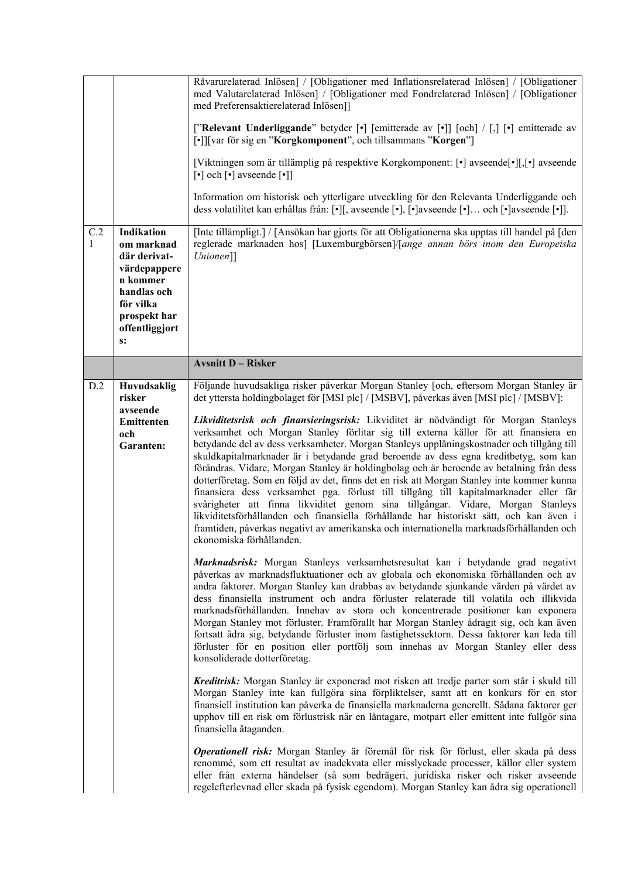| C.2<br>1 | Indikation<br>om marknad<br>där derivat-<br>värdepappere<br>n kommer<br>handlas och<br>för vilka<br>prospekt har<br>offentliggjort | Råvarurelaterad Inlösen] / [Obligationer med Inflationsrelaterad Inlösen] / [Obligationer<br>med Valutarelaterad Inlösen] / [Obligationer med Fondrelaterad Inlösen] / [Obligationer<br>med Preferensaktierelaterad Inlösen]]<br>["Relevant Underliggande" betyder [•] [emitterade av [•]] [och] / [,] [•] emitterade av<br>[•]][var för sig en "Korgkomponent", och tillsammans "Korgen"]<br>[Viktningen som är tillämplig på respektive Korgkomponent: [•] avseende[•][,[•] avseende<br>$\lceil \cdot \rceil$ och $\lceil \cdot \rceil$ avseende $\lceil \cdot \rceil$<br>Information om historisk och ytterligare utveckling för den Relevanta Underliggande och<br>dess volatilitet kan erhållas från: [•][, avseende [•], [•] avseende [•] och [•] avseende [•]].<br>[Inte tillämpligt.] / [Ansökan har gjorts för att Obligationerna ska upptas till handel på [den]<br>reglerade marknaden hos] [Luxemburgbörsen]/[ange annan börs inom den Europeiska<br>Unionen]]                                                                                                                                                                                                                                                                                                                                                                                                                                                                                                                                                                                                                                                                                                                                                                                                                                                                                                                                                                                                                                                                                                                                                                                                                                                                                                                                                                                                                                                                                                                                                                                                                                |
|----------|------------------------------------------------------------------------------------------------------------------------------------|-----------------------------------------------------------------------------------------------------------------------------------------------------------------------------------------------------------------------------------------------------------------------------------------------------------------------------------------------------------------------------------------------------------------------------------------------------------------------------------------------------------------------------------------------------------------------------------------------------------------------------------------------------------------------------------------------------------------------------------------------------------------------------------------------------------------------------------------------------------------------------------------------------------------------------------------------------------------------------------------------------------------------------------------------------------------------------------------------------------------------------------------------------------------------------------------------------------------------------------------------------------------------------------------------------------------------------------------------------------------------------------------------------------------------------------------------------------------------------------------------------------------------------------------------------------------------------------------------------------------------------------------------------------------------------------------------------------------------------------------------------------------------------------------------------------------------------------------------------------------------------------------------------------------------------------------------------------------------------------------------------------------------------------------------------------------------------------------------------------------------------------------------------------------------------------------------------------------------------------------------------------------------------------------------------------------------------------------------------------------------------------------------------------------------------------------------------------------------------------------------------------------------------------------------------------------------------------------------------------|
|          | s:                                                                                                                                 | <b>Avsnitt D - Risker</b>                                                                                                                                                                                                                                                                                                                                                                                                                                                                                                                                                                                                                                                                                                                                                                                                                                                                                                                                                                                                                                                                                                                                                                                                                                                                                                                                                                                                                                                                                                                                                                                                                                                                                                                                                                                                                                                                                                                                                                                                                                                                                                                                                                                                                                                                                                                                                                                                                                                                                                                                                                                 |
|          |                                                                                                                                    |                                                                                                                                                                                                                                                                                                                                                                                                                                                                                                                                                                                                                                                                                                                                                                                                                                                                                                                                                                                                                                                                                                                                                                                                                                                                                                                                                                                                                                                                                                                                                                                                                                                                                                                                                                                                                                                                                                                                                                                                                                                                                                                                                                                                                                                                                                                                                                                                                                                                                                                                                                                                           |
| D.2      | Huvudsaklig<br>risker<br>avseende<br>Emittenten<br>och<br>Garanten:                                                                | Följande huvudsakliga risker påverkar Morgan Stanley [och, eftersom Morgan Stanley är<br>det yttersta holdingbolaget för [MSI plc] / [MSBV], påverkas även [MSI plc] / [MSBV]:<br>Likviditetsrisk och finansieringsrisk: Likviditet är nödvändigt för Morgan Stanleys<br>verksamhet och Morgan Stanley förlitar sig till externa källor för att finansiera en<br>betydande del av dess verksamheter. Morgan Stanleys upplåningskostnader och tillgång till<br>skuldkapitalmarknader är i betydande grad beroende av dess egna kreditbetyg, som kan<br>förändras. Vidare, Morgan Stanley är holdingbolag och är beroende av betalning från dess<br>dotterföretag. Som en följd av det, finns det en risk att Morgan Stanley inte kommer kunna<br>finansiera dess verksamhet pga. förlust till tillgång till kapitalmarknader eller får<br>svårigheter att finna likviditet genom sina tillgångar. Vidare, Morgan Stanleys<br>likviditetsförhållanden och finansiella förhållande har historiskt sätt, och kan även i<br>framtiden, påverkas negativt av amerikanska och internationella marknadsförhållanden och<br>ekonomiska förhållanden.<br>Marknadsrisk: Morgan Stanleys verksamhetsresultat kan i betydande grad negativt<br>påverkas av marknadsfluktuationer och av globala och ekonomiska förhållanden och av<br>andra faktorer. Morgan Stanley kan drabbas av betydande sjunkande värden på värdet av<br>dess finansiella instrument och andra förluster relaterade till volatila och illikvida<br>marknadsförhållanden. Innehav av stora och koncentrerade positioner kan exponera<br>Morgan Stanley mot förluster. Framförallt har Morgan Stanley ådragit sig, och kan även<br>fortsatt ådra sig, betydande förluster inom fastighetssektorn. Dessa faktorer kan leda till<br>förluster för en position eller portfölj som innehas av Morgan Stanley eller dess<br>konsoliderade dotterföretag.<br>Kreditrisk: Morgan Stanley är exponerad mot risken att tredje parter som står i skuld till<br>Morgan Stanley inte kan fullgöra sina förpliktelser, samt att en konkurs för en stor<br>finansiell institution kan påverka de finansiella marknaderna generellt. Sådana faktorer ger<br>upphov till en risk om förlustrisk när en låntagare, motpart eller emittent inte fullgör sina<br>finansiella åtaganden.<br>Operationell risk: Morgan Stanley är föremål för risk för förlust, eller skada på dess<br>renommé, som ett resultat av inadekvata eller misslyckade processer, källor eller system<br>eller från externa händelser (så som bedrägeri, juridiska risker och risker avseende |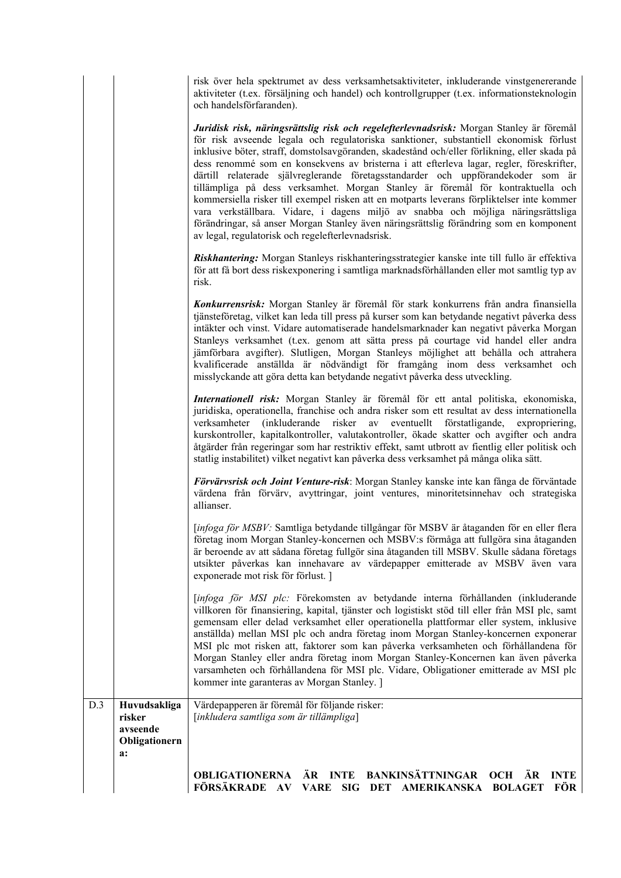risk över hela spektrumet av dess verksamhetsaktiviteter, inkluderande vinstgenererande aktiviteter (t.ex. försäljning och handel) och kontrollgrupper (t.ex. informationsteknologin och handelsförfaranden).

*Juridisk risk, näringsrättslig risk och regelefterlevnadsrisk:* Morgan Stanley är föremål för risk avseende legala och regulatoriska sanktioner, substantiell ekonomisk förlust inklusive böter, straff, domstolsavgöranden, skadestånd och/eller förlikning, eller skada på dess renommé som en konsekvens av bristerna i att efterleva lagar, regler, föreskrifter, därtill relaterade självreglerande företagsstandarder och uppförandekoder som är tillämpliga på dess verksamhet. Morgan Stanley är föremål för kontraktuella och kommersiella risker till exempel risken att en motparts leverans förpliktelser inte kommer vara verkställbara. Vidare, i dagens miljö av snabba och möjliga näringsrättsliga förändringar, så anser Morgan Stanley även näringsrättslig förändring som en komponent av legal, regulatorisk och regelefterlevnadsrisk.

*Riskhantering:* Morgan Stanleys riskhanteringsstrategier kanske inte till fullo är effektiva för att få bort dess riskexponering i samtliga marknadsförhållanden eller mot samtlig typ av risk.

*Konkurrensrisk:* Morgan Stanley är föremål för stark konkurrens från andra finansiella tjänsteföretag, vilket kan leda till press på kurser som kan betydande negativt påverka dess intäkter och vinst. Vidare automatiserade handelsmarknader kan negativt påverka Morgan Stanleys verksamhet (t.ex. genom att sätta press på courtage vid handel eller andra jämförbara avgifter). Slutligen, Morgan Stanleys möjlighet att behålla och attrahera kvalificerade anställda är nödvändigt för framgång inom dess verksamhet och misslyckande att göra detta kan betydande negativt påverka dess utveckling.

*Internationell risk:* Morgan Stanley är föremål för ett antal politiska, ekonomiska, juridiska, operationella, franchise och andra risker som ett resultat av dess internationella verksamheter (inkluderande risker av eventuellt förstatligande, expropriering, kurskontroller, kapitalkontroller, valutakontroller, ökade skatter och avgifter och andra åtgärder från regeringar som har restriktiv effekt, samt utbrott av fientlig eller politisk och statlig instabilitet) vilket negativt kan påverka dess verksamhet på många olika sätt.

*Förvärvsrisk och Joint Venture-risk*: Morgan Stanley kanske inte kan fånga de förväntade värdena från förvärv, avyttringar, joint ventures, minoritetsinnehav och strategiska allianser.

[*infoga för MSBV:* Samtliga betydande tillgångar för MSBV är åtaganden för en eller flera företag inom Morgan Stanley-koncernen och MSBV:s förmåga att fullgöra sina åtaganden är beroende av att sådana företag fullgör sina åtaganden till MSBV. Skulle sådana företags utsikter påverkas kan innehavare av värdepapper emitterade av MSBV även vara exponerade mot risk för förlust. ]

[*infoga för MSI plc:* Förekomsten av betydande interna förhållanden (inkluderande villkoren för finansiering, kapital, tjänster och logistiskt stöd till eller från MSI plc, samt gemensam eller delad verksamhet eller operationella plattformar eller system, inklusive anställda) mellan MSI plc och andra företag inom Morgan Stanley-koncernen exponerar MSI plc mot risken att, faktorer som kan påverka verksamheten och förhållandena för Morgan Stanley eller andra företag inom Morgan Stanley-Koncernen kan även påverka varsamheten och förhållandena för MSI plc. Vidare, Obligationer emitterade av MSI plc kommer inte garanteras av Morgan Stanley. ]

| D.3 | Huvudsakliga  | Värdepapperen är föremål för följande risker:                   |  |  |
|-----|---------------|-----------------------------------------------------------------|--|--|
|     | risker        | [inkludera samtliga som är tillämpliga]                         |  |  |
|     | avseende      |                                                                 |  |  |
|     | Obligationern |                                                                 |  |  |
|     | a:            |                                                                 |  |  |
|     |               |                                                                 |  |  |
|     |               | OBLIGATIONERNA ÄR INTE BANKINSÄTTNINGAR OCH ÄR INTE             |  |  |
|     |               | <b>FÖR</b><br>FÖRSÄKRADE AV<br>VARE SIG DET AMERIKANSKA BOLAGET |  |  |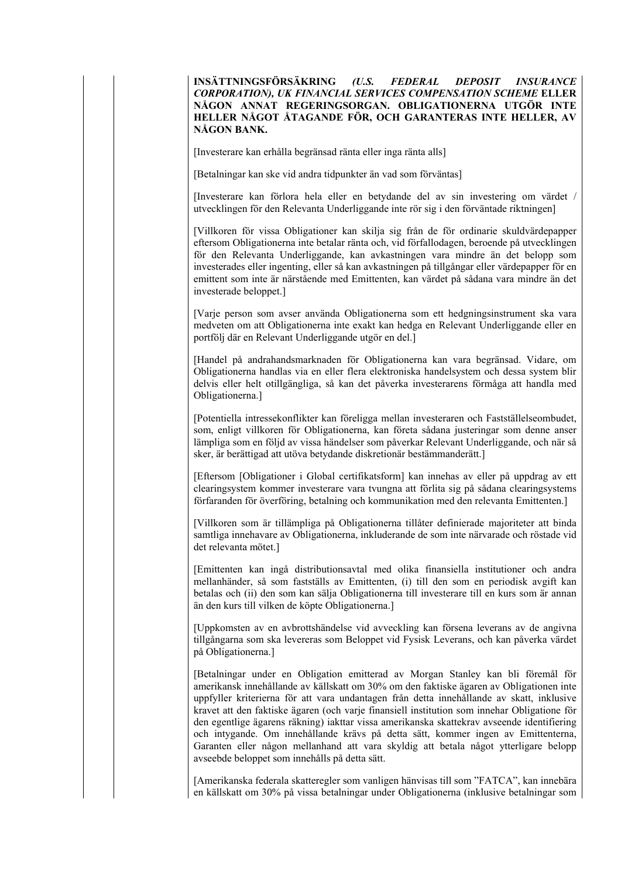#### **INSÄTTNINGSFÖRSÄKRING** *(U.S. FEDERAL DEPOSIT INSURANCE CORPORATION), UK FINANCIAL SERVICES COMPENSATION SCHEME* **ELLER NÅGON ANNAT REGERINGSORGAN. OBLIGATIONERNA UTGÖR INTE HELLER NÅGOT ÅTAGANDE FÖR, OCH GARANTERAS INTE HELLER, AV NÅGON BANK.**

[Investerare kan erhålla begränsad ränta eller inga ränta alls]

[Betalningar kan ske vid andra tidpunkter än vad som förväntas]

[Investerare kan förlora hela eller en betydande del av sin investering om värdet / utvecklingen för den Relevanta Underliggande inte rör sig i den förväntade riktningen]

[Villkoren för vissa Obligationer kan skilja sig från de för ordinarie skuldvärdepapper eftersom Obligationerna inte betalar ränta och, vid förfallodagen, beroende på utvecklingen för den Relevanta Underliggande, kan avkastningen vara mindre än det belopp som investerades eller ingenting, eller så kan avkastningen på tillgångar eller värdepapper för en emittent som inte är närstående med Emittenten, kan värdet på sådana vara mindre än det investerade beloppet.]

[Varje person som avser använda Obligationerna som ett hedgningsinstrument ska vara medveten om att Obligationerna inte exakt kan hedga en Relevant Underliggande eller en portfölj där en Relevant Underliggande utgör en del.]

[Handel på andrahandsmarknaden för Obligationerna kan vara begränsad. Vidare, om Obligationerna handlas via en eller flera elektroniska handelsystem och dessa system blir delvis eller helt otillgängliga, så kan det påverka investerarens förmåga att handla med Obligationerna.]

[Potentiella intressekonflikter kan föreligga mellan investeraren och Fastställelseombudet, som, enligt villkoren för Obligationerna, kan företa sådana justeringar som denne anser lämpliga som en följd av vissa händelser som påverkar Relevant Underliggande, och när så sker, är berättigad att utöva betydande diskretionär bestämmanderätt.]

[Eftersom [Obligationer i Global certifikatsform] kan innehas av eller på uppdrag av ett clearingsystem kommer investerare vara tvungna att förlita sig på sådana clearingsystems förfaranden för överföring, betalning och kommunikation med den relevanta Emittenten.]

[Villkoren som är tillämpliga på Obligationerna tillåter definierade majoriteter att binda samtliga innehavare av Obligationerna, inkluderande de som inte närvarade och röstade vid det relevanta mötet.]

[Emittenten kan ingå distributionsavtal med olika finansiella institutioner och andra mellanhänder, så som fastställs av Emittenten, (i) till den som en periodisk avgift kan betalas och (ii) den som kan sälja Obligationerna till investerare till en kurs som är annan än den kurs till vilken de köpte Obligationerna.]

[Uppkomsten av en avbrottshändelse vid avveckling kan försena leverans av de angivna tillgångarna som ska levereras som Beloppet vid Fysisk Leverans, och kan påverka värdet på Obligationerna.]

[Betalningar under en Obligation emitterad av Morgan Stanley kan bli föremål för amerikansk innehållande av källskatt om 30% om den faktiske ägaren av Obligationen inte uppfyller kriterierna för att vara undantagen från detta innehållande av skatt, inklusive kravet att den faktiske ägaren (och varje finansiell institution som innehar Obligatione för den egentlige ägarens räkning) iakttar vissa amerikanska skattekrav avseende identifiering och intygande. Om innehållande krävs på detta sätt, kommer ingen av Emittenterna, Garanten eller någon mellanhand att vara skyldig att betala något ytterligare belopp avseebde beloppet som innehålls på detta sätt.

[Amerikanska federala skatteregler som vanligen hänvisas till som "FATCA", kan innebära en källskatt om 30% på vissa betalningar under Obligationerna (inklusive betalningar som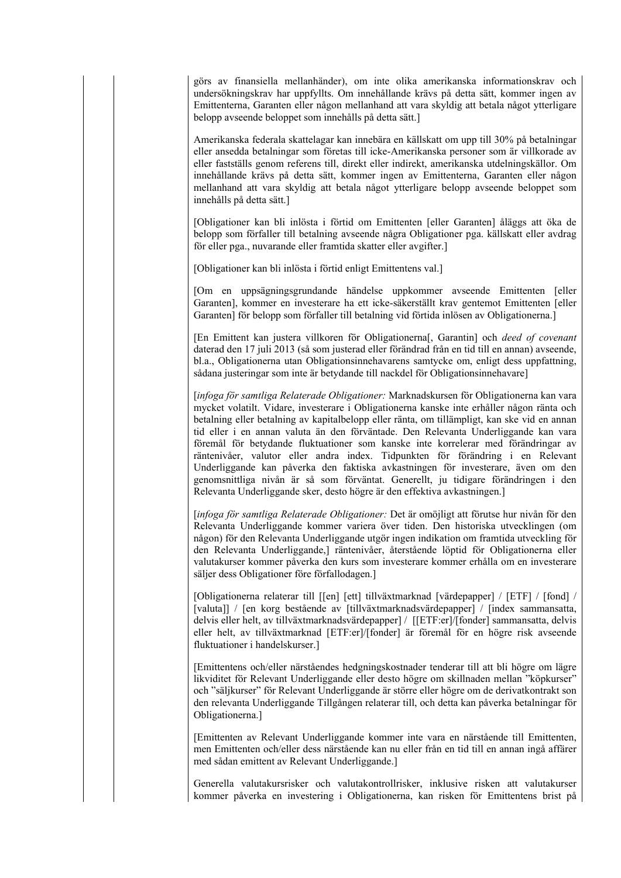görs av finansiella mellanhänder), om inte olika amerikanska informationskrav och undersökningskrav har uppfyllts. Om innehållande krävs på detta sätt, kommer ingen av Emittenterna, Garanten eller någon mellanhand att vara skyldig att betala något ytterligare belopp avseende beloppet som innehålls på detta sätt.]

Amerikanska federala skattelagar kan innebära en källskatt om upp till 30% på betalningar eller ansedda betalningar som företas till icke-Amerikanska personer som är villkorade av eller fastställs genom referens till, direkt eller indirekt, amerikanska utdelningskällor. Om innehållande krävs på detta sätt, kommer ingen av Emittenterna, Garanten eller någon mellanhand att vara skyldig att betala något ytterligare belopp avseende beloppet som innehålls på detta sätt.]

[Obligationer kan bli inlösta i förtid om Emittenten [eller Garanten] åläggs att öka de belopp som förfaller till betalning avseende några Obligationer pga. källskatt eller avdrag för eller pga., nuvarande eller framtida skatter eller avgifter.]

[Obligationer kan bli inlösta i förtid enligt Emittentens val.]

[Om en uppsägningsgrundande händelse uppkommer avseende Emittenten [eller Garanten], kommer en investerare ha ett icke-säkerställt krav gentemot Emittenten [eller Garanten] för belopp som förfaller till betalning vid förtida inlösen av Obligationerna.]

[En Emittent kan justera villkoren för Obligationerna[, Garantin] och *deed of covenant* daterad den 17 juli 2013 (så som justerad eller förändrad från en tid till en annan) avseende, bl.a., Obligationerna utan Obligationsinnehavarens samtycke om, enligt dess uppfattning, sådana justeringar som inte är betydande till nackdel för Obligationsinnehavare]

[*infoga för samtliga Relaterade Obligationer:* Marknadskursen för Obligationerna kan vara mycket volatilt. Vidare, investerare i Obligationerna kanske inte erhåller någon ränta och betalning eller betalning av kapitalbelopp eller ränta, om tillämpligt, kan ske vid en annan tid eller i en annan valuta än den förväntade. Den Relevanta Underliggande kan vara föremål för betydande fluktuationer som kanske inte korrelerar med förändringar av räntenivåer, valutor eller andra index. Tidpunkten för förändring i en Relevant Underliggande kan påverka den faktiska avkastningen för investerare, även om den genomsnittliga nivån är så som förväntat. Generellt, ju tidigare förändringen i den Relevanta Underliggande sker, desto högre är den effektiva avkastningen.]

[*infoga för samtliga Relaterade Obligationer:* Det är omöjligt att förutse hur nivån för den Relevanta Underliggande kommer variera över tiden. Den historiska utvecklingen (om någon) för den Relevanta Underliggande utgör ingen indikation om framtida utveckling för den Relevanta Underliggande,] räntenivåer, återstående löptid för Obligationerna eller valutakurser kommer påverka den kurs som investerare kommer erhålla om en investerare säljer dess Obligationer före förfallodagen.]

[Obligationerna relaterar till [[en] [ett] tillväxtmarknad [värdepapper] / [ETF] / [fond] / [valuta]] / [en korg bestående av [tillväxtmarknadsvärdepapper] / [index sammansatta, delvis eller helt, av tillväxtmarknadsvärdepapper] / [[ETF:er]/[fonder] sammansatta, delvis eller helt, av tillväxtmarknad [ETF:er]/[fonder] är föremål för en högre risk avseende fluktuationer i handelskurser.]

[Emittentens och/eller närståendes hedgningskostnader tenderar till att bli högre om lägre likviditet för Relevant Underliggande eller desto högre om skillnaden mellan "köpkurser" och "säljkurser" för Relevant Underliggande är större eller högre om de derivatkontrakt son den relevanta Underliggande Tillgången relaterar till, och detta kan påverka betalningar för Obligationerna.]

[Emittenten av Relevant Underliggande kommer inte vara en närstående till Emittenten, men Emittenten och/eller dess närstående kan nu eller från en tid till en annan ingå affärer med sådan emittent av Relevant Underliggande.]

Generella valutakursrisker och valutakontrollrisker, inklusive risken att valutakurser kommer påverka en investering i Obligationerna, kan risken för Emittentens brist på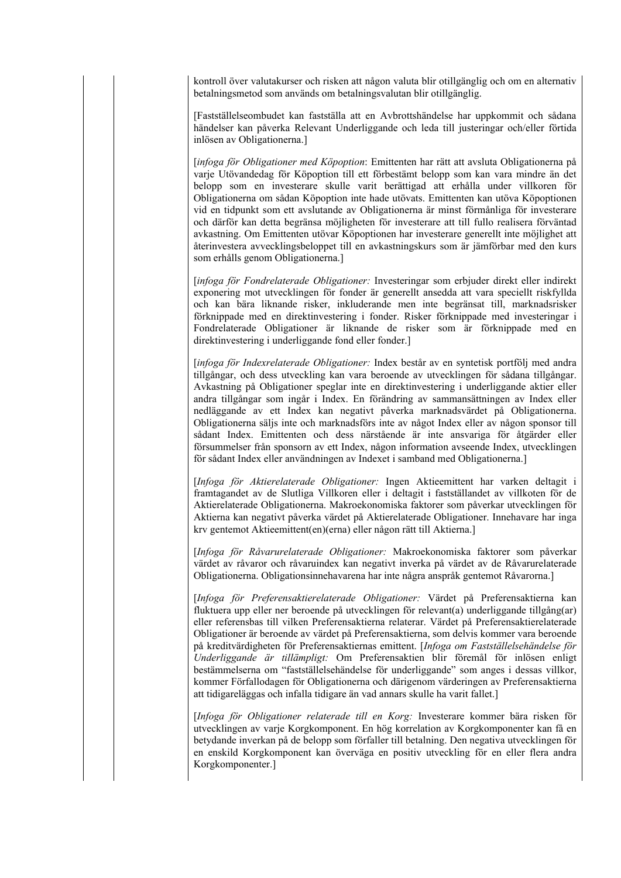kontroll över valutakurser och risken att någon valuta blir otillgänglig och om en alternativ betalningsmetod som används om betalningsvalutan blir otillgänglig.

[Fastställelseombudet kan fastställa att en Avbrottshändelse har uppkommit och sådana händelser kan påverka Relevant Underliggande och leda till justeringar och/eller förtida inlösen av Obligationerna.]

[*infoga för Obligationer med Köpoption*: Emittenten har rätt att avsluta Obligationerna på varje Utövandedag för Köpoption till ett förbestämt belopp som kan vara mindre än det belopp som en investerare skulle varit berättigad att erhålla under villkoren för Obligationerna om sådan Köpoption inte hade utövats. Emittenten kan utöva Köpoptionen vid en tidpunkt som ett avslutande av Obligationerna är minst förmånliga för investerare och därför kan detta begränsa möjligheten för investerare att till fullo realisera förväntad avkastning. Om Emittenten utövar Köpoptionen har investerare generellt inte möjlighet att återinvestera avvecklingsbeloppet till en avkastningskurs som är jämförbar med den kurs som erhålls genom Obligationerna.]

[*infoga för Fondrelaterade Obligationer:* Investeringar som erbjuder direkt eller indirekt exponering mot utvecklingen för fonder är generellt ansedda att vara speciellt riskfyllda och kan bära liknande risker, inkluderande men inte begränsat till, marknadsrisker förknippade med en direktinvestering i fonder. Risker förknippade med investeringar i Fondrelaterade Obligationer är liknande de risker som är förknippade med en direktinvestering i underliggande fond eller fonder.]

[*infoga för Indexrelaterade Obligationer:* Index består av en syntetisk portfölj med andra tillgångar, och dess utveckling kan vara beroende av utvecklingen för sådana tillgångar. Avkastning på Obligationer speglar inte en direktinvestering i underliggande aktier eller andra tillgångar som ingår i Index. En förändring av sammansättningen av Index eller nedläggande av ett Index kan negativt påverka marknadsvärdet på Obligationerna. Obligationerna säljs inte och marknadsförs inte av något Index eller av någon sponsor till sådant Index. Emittenten och dess närstående är inte ansvariga för åtgärder eller försummelser från sponsorn av ett Index, någon information avseende Index, utvecklingen för sådant Index eller användningen av Indexet i samband med Obligationerna.]

[*Infoga för Aktierelaterade Obligationer:* Ingen Aktieemittent har varken deltagit i framtagandet av de Slutliga Villkoren eller i deltagit i fastställandet av villkoten för de Aktierelaterade Obligationerna. Makroekonomiska faktorer som påverkar utvecklingen för Aktierna kan negativt påverka värdet på Aktierelaterade Obligationer. Innehavare har inga krv gentemot Aktieemittent(en)(erna) eller någon rätt till Aktierna.]

[*Infoga för Råvarurelaterade Obligationer:* Makroekonomiska faktorer som påverkar värdet av råvaror och råvaruindex kan negativt inverka på värdet av de Råvarurelaterade Obligationerna. Obligationsinnehavarena har inte några anspråk gentemot Råvarorna.]

[*Infoga för Preferensaktierelaterade Obligationer:* Värdet på Preferensaktierna kan fluktuera upp eller ner beroende på utvecklingen för relevant(a) underliggande tillgång(ar) eller referensbas till vilken Preferensaktierna relaterar. Värdet på Preferensaktierelaterade Obligationer är beroende av värdet på Preferensaktierna, som delvis kommer vara beroende på kreditvärdigheten för Preferensaktiernas emittent. [*Infoga om Fastställelsehändelse för Underliggande är tillämpligt:* Om Preferensaktien blir föremål för inlösen enligt bestämmelserna om "fastställelsehändelse för underliggande" som anges i dessas villkor, kommer Förfallodagen för Obligationerna och därigenom värderingen av Preferensaktierna att tidigareläggas och infalla tidigare än vad annars skulle ha varit fallet.]

[*Infoga för Obligationer relaterade till en Korg:* Investerare kommer bära risken för utvecklingen av varje Korgkomponent. En hög korrelation av Korgkomponenter kan få en betydande inverkan på de belopp som förfaller till betalning. Den negativa utvecklingen för en enskild Korgkomponent kan överväga en positiv utveckling för en eller flera andra Korgkomponenter.]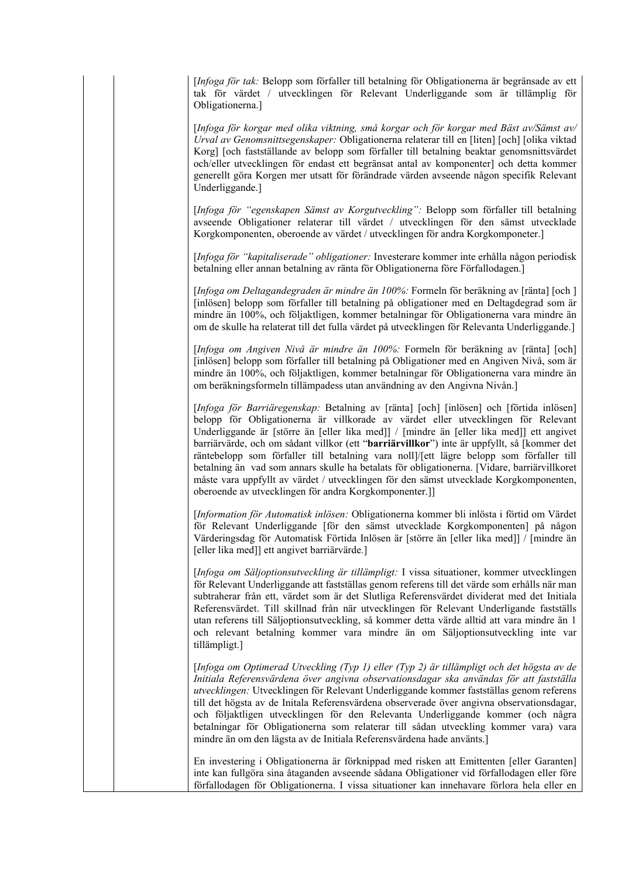[*Infoga för tak:* Belopp som förfaller till betalning för Obligationerna är begränsade av ett tak för värdet / utvecklingen för Relevant Underliggande som är tillämplig för Obligationerna.]

[*Infoga för korgar med olika viktning, små korgar och för korgar med Bäst av/Sämst av/ Urval av Genomsnittsegenskaper:* Obligationerna relaterar till en [liten] [och] [olika viktad Korg] [och fastställande av belopp som förfaller till betalning beaktar genomsnittsvärdet och/eller utvecklingen för endast ett begränsat antal av komponenter] och detta kommer generellt göra Korgen mer utsatt för förändrade värden avseende någon specifik Relevant Underliggande.]

[*Infoga för "egenskapen Sämst av Korgutveckling":* Belopp som förfaller till betalning avseende Obligationer relaterar till värdet / utvecklingen för den sämst utvecklade Korgkomponenten, oberoende av värdet / utvecklingen för andra Korgkomponeter.]

[*Infoga för "kapitaliserade" obligationer:* Investerare kommer inte erhålla någon periodisk betalning eller annan betalning av ränta för Obligationerna före Förfallodagen.]

[*Infoga om Deltagandegraden är mindre än 100%:* Formeln för beräkning av [ränta] [och ] [inlösen] belopp som förfaller till betalning på obligationer med en Deltagdegrad som är mindre än 100%, och följaktligen, kommer betalningar för Obligationerna vara mindre än om de skulle ha relaterat till det fulla värdet på utvecklingen för Relevanta Underliggande.]

[*Infoga om Angiven Nivå är mindre än 100%:* Formeln för beräkning av [ränta] [och] [inlösen] belopp som förfaller till betalning på Obligationer med en Angiven Nivå, som är mindre än 100%, och följaktligen, kommer betalningar för Obligationerna vara mindre än om beräkningsformeln tillämpadess utan användning av den Angivna Nivån.]

[*Infoga för Barriäregenskap:* Betalning av [ränta] [och] [inlösen] och [förtida inlösen] belopp för Obligationerna är villkorade av värdet eller utvecklingen för Relevant Underliggande är [större än [eller lika med]] / [mindre än [eller lika med]] ett angivet barriärvärde, och om sådant villkor (ett "**barriärvillkor**") inte är uppfyllt, så [kommer det räntebelopp som förfaller till betalning vara noll]/[ett lägre belopp som förfaller till betalning än vad som annars skulle ha betalats för obligationerna. [Vidare, barriärvillkoret måste vara uppfyllt av värdet / utvecklingen för den sämst utvecklade Korgkomponenten, oberoende av utvecklingen för andra Korgkomponenter.]]

[*Information för Automatisk inlösen:* Obligationerna kommer bli inlösta i förtid om Värdet för Relevant Underliggande [för den sämst utvecklade Korgkomponenten] på någon Värderingsdag för Automatisk Förtida Inlösen är [större än [eller lika med]] / [mindre än [eller lika med]] ett angivet barriärvärde*.*]

[*Infoga om Säljoptionsutveckling är tillämpligt:* I vissa situationer, kommer utvecklingen för Relevant Underliggande att fastställas genom referens till det värde som erhålls när man subtraherar från ett, värdet som är det Slutliga Referensvärdet dividerat med det Initiala Referensvärdet. Till skillnad från när utvecklingen för Relevant Underligande fastställs utan referens till Säljoptionsutveckling, så kommer detta värde alltid att vara mindre än 1 och relevant betalning kommer vara mindre än om Säljoptionsutveckling inte var tillämpligt.]

[*Infoga om Optimerad Utveckling (Typ 1) eller (Typ 2) är tillämpligt och det högsta av de Initiala Referensvärdena över angivna observationsdagar ska användas för att fastställa utvecklingen:* Utvecklingen för Relevant Underliggande kommer fastställas genom referens till det högsta av de Initala Referensvärdena observerade över angivna observationsdagar, och följaktligen utvecklingen för den Relevanta Underliggande kommer (och några betalningar för Obligationerna som relaterar till sådan utveckling kommer vara) vara mindre än om den lägsta av de Initiala Referensvärdena hade använts.]

En investering i Obligationerna är förknippad med risken att Emittenten [eller Garanten] inte kan fullgöra sina åtaganden avseende sådana Obligationer vid förfallodagen eller före förfallodagen för Obligationerna. I vissa situationer kan innehavare förlora hela eller en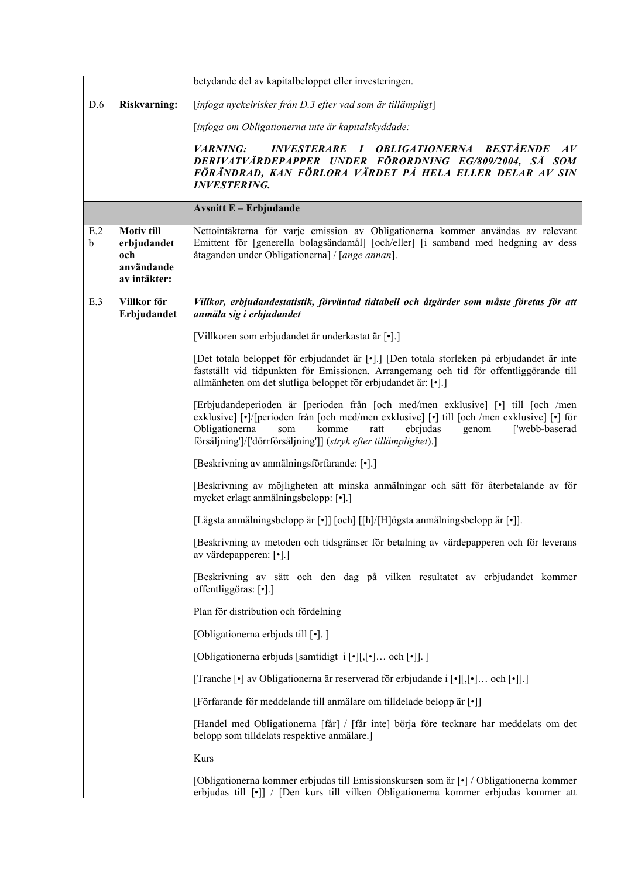|          |                                                                       | betydande del av kapitalbeloppet eller investeringen.                                                                                                                                                                                                                                                                                |
|----------|-----------------------------------------------------------------------|--------------------------------------------------------------------------------------------------------------------------------------------------------------------------------------------------------------------------------------------------------------------------------------------------------------------------------------|
| D.6      | <b>Riskvarning:</b>                                                   | [infoga nyckelrisker från D.3 efter vad som är tillämpligt]                                                                                                                                                                                                                                                                          |
|          |                                                                       | [infoga om Obligationerna inte är kapitalskyddade:                                                                                                                                                                                                                                                                                   |
|          |                                                                       | <i><b>INVESTERARE</b></i> I<br><i><b>OBLIGATIONERNA</b></i><br><b>BESTÅENDE</b><br><i>VARNING:</i><br>$\overline{AV}$<br>DERIVATVÄRDEPAPPER UNDER FÖRORDNING EG/809/2004, SÅ SOM<br>FÖRÄNDRAD, KAN FÖRLORA VÄRDET PÅ HELA ELLER DELAR AV SIN<br><b>INVESTERING.</b>                                                                  |
|          |                                                                       | <b>Avsnitt E - Erbjudande</b>                                                                                                                                                                                                                                                                                                        |
| E.2<br>b | <b>Motiv till</b><br>erbjudandet<br>och<br>användande<br>av intäkter: | Nettointäkterna för varje emission av Obligationerna kommer användas av relevant<br>Emittent för [generella bolagsändamål] [och/eller] [i samband med hedgning av dess<br>åtaganden under Obligationerna] / [ange annan].                                                                                                            |
| E.3      | Villkor för<br>Erbjudandet                                            | Villkor, erbjudandestatistik, förväntad tidtabell och åtgärder som måste företas för att<br>anmäla sig i erbjudandet                                                                                                                                                                                                                 |
|          |                                                                       | [Villkoren som erbjudandet är underkastat är [•].]                                                                                                                                                                                                                                                                                   |
|          |                                                                       | [Det totala beloppet för erbjudandet är [·].] [Den totala storleken på erbjudandet är inte<br>fastställt vid tidpunkten för Emissionen. Arrangemang och tid för offentliggörande till<br>allmänheten om det slutliga beloppet för erbjudandet är: [·].]                                                                              |
|          |                                                                       | [Erbjudandeperioden är [perioden från [och med/men exklusive] [•] till [och /men<br>exklusive] [•]/[perioden från [och med/men exklusive] [•] till [och /men exklusive] [•] för<br>Obligationerna<br>komme<br>ebrjudas<br>['webb-baserad<br>som<br>ratt<br>genom<br>försäljning']/['dörrförsäljning']] (stryk efter tillämplighet).] |
|          |                                                                       | [Beskrivning av anmälningsförfarande: [•].]                                                                                                                                                                                                                                                                                          |
|          |                                                                       | [Beskrivning av möjligheten att minska anmälningar och sätt för återbetalande av för<br>mycket erlagt anmälningsbelopp: [•].]                                                                                                                                                                                                        |
|          |                                                                       | [Lägsta anmälningsbelopp är [•]] [och] [[h]/[H]ögsta anmälningsbelopp är [•]].                                                                                                                                                                                                                                                       |
|          |                                                                       | [Beskrivning av metoden och tidsgränser för betalning av värdepapperen och för leverans<br>av värdepapperen: [•].]                                                                                                                                                                                                                   |
|          |                                                                       | [Beskrivning av sätt och den dag på vilken resultatet av erbjudandet kommer<br>offentliggöras: [•].]                                                                                                                                                                                                                                 |
|          |                                                                       | Plan för distribution och fördelning                                                                                                                                                                                                                                                                                                 |
|          |                                                                       | [Obligationerna erbjuds till [.].]                                                                                                                                                                                                                                                                                                   |
|          |                                                                       | [Obligationerna erbjuds [samtidigt i [.][,[.] och [.]].]                                                                                                                                                                                                                                                                             |
|          |                                                                       | [Tranche [•] av Obligationerna är reserverad för erbjudande i [•][[•] och [•]].]                                                                                                                                                                                                                                                     |
|          |                                                                       | [Förfarande för meddelande till anmälare om tilldelade belopp är [·]]                                                                                                                                                                                                                                                                |
|          |                                                                       | [Handel med Obligationerna [får] / [får inte] börja före tecknare har meddelats om det<br>belopp som tilldelats respektive anmälare.]                                                                                                                                                                                                |
|          |                                                                       | Kurs                                                                                                                                                                                                                                                                                                                                 |
|          |                                                                       | [Obligationerna kommer erbjudas till Emissionskursen som är [•] / Obligationerna kommer<br>erbjudas till [•]] / [Den kurs till vilken Obligationerna kommer erbjudas kommer att                                                                                                                                                      |